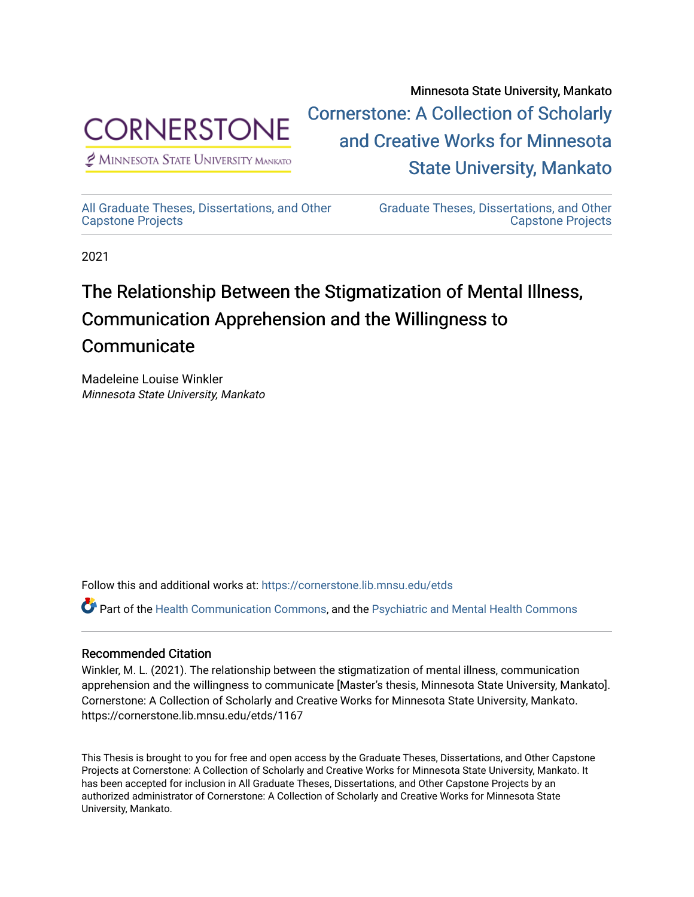

[Cornerstone: A Collection of Scholarly](https://cornerstone.lib.mnsu.edu/)  [and Creative Works for Minnesota](https://cornerstone.lib.mnsu.edu/)   $<sup>2</sup>$  Minnesota State University Mankato</sup> [State University, Mankato](https://cornerstone.lib.mnsu.edu/) 

[All Graduate Theses, Dissertations, and Other](https://cornerstone.lib.mnsu.edu/etds)  [Capstone Projects](https://cornerstone.lib.mnsu.edu/etds) 

[Graduate Theses, Dissertations, and Other](https://cornerstone.lib.mnsu.edu/theses_dissertations-capstone)  [Capstone Projects](https://cornerstone.lib.mnsu.edu/theses_dissertations-capstone) 

Minnesota State University, Mankato

2021

# The Relationship Between the Stigmatization of Mental Illness, Communication Apprehension and the Willingness to **Communicate**

Madeleine Louise Winkler Minnesota State University, Mankato

Follow this and additional works at: [https://cornerstone.lib.mnsu.edu/etds](https://cornerstone.lib.mnsu.edu/etds?utm_source=cornerstone.lib.mnsu.edu%2Fetds%2F1167&utm_medium=PDF&utm_campaign=PDFCoverPages) 

Part of the [Health Communication Commons](http://network.bepress.com/hgg/discipline/330?utm_source=cornerstone.lib.mnsu.edu%2Fetds%2F1167&utm_medium=PDF&utm_campaign=PDFCoverPages), and the [Psychiatric and Mental Health Commons](http://network.bepress.com/hgg/discipline/711?utm_source=cornerstone.lib.mnsu.edu%2Fetds%2F1167&utm_medium=PDF&utm_campaign=PDFCoverPages) 

#### Recommended Citation

Winkler, M. L. (2021). The relationship between the stigmatization of mental illness, communication apprehension and the willingness to communicate [Master's thesis, Minnesota State University, Mankato]. Cornerstone: A Collection of Scholarly and Creative Works for Minnesota State University, Mankato. https://cornerstone.lib.mnsu.edu/etds/1167

This Thesis is brought to you for free and open access by the Graduate Theses, Dissertations, and Other Capstone Projects at Cornerstone: A Collection of Scholarly and Creative Works for Minnesota State University, Mankato. It has been accepted for inclusion in All Graduate Theses, Dissertations, and Other Capstone Projects by an authorized administrator of Cornerstone: A Collection of Scholarly and Creative Works for Minnesota State University, Mankato.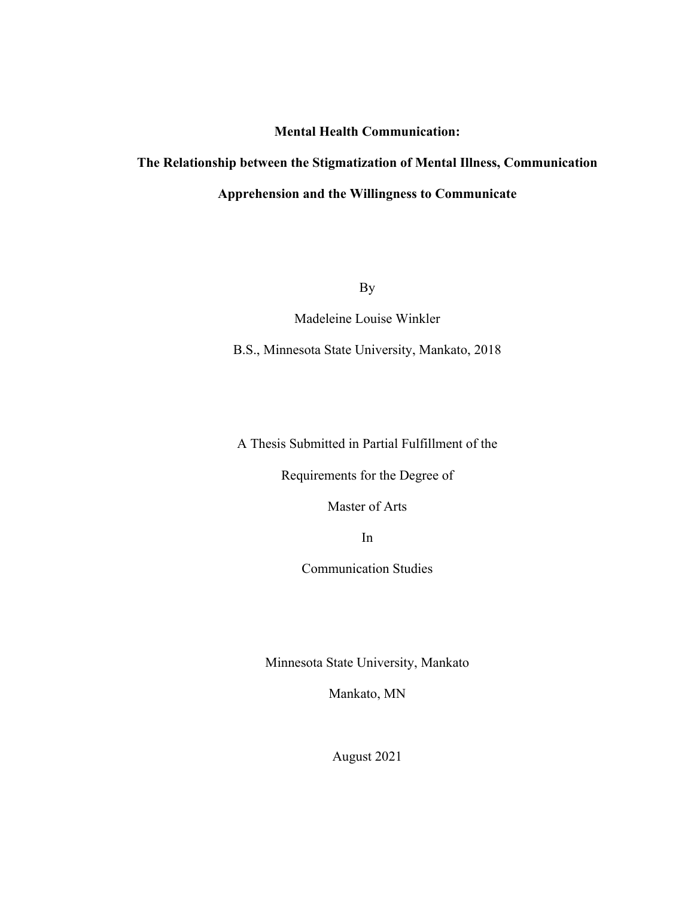### **Mental Health Communication:**

## **The Relationship between the Stigmatization of Mental Illness, Communication Apprehension and the Willingness to Communicate**

By

Madeleine Louise Winkler

B.S., Minnesota State University, Mankato, 2018

A Thesis Submitted in Partial Fulfillment of the

Requirements for the Degree of

Master of Arts

In

Communication Studies

Minnesota State University, Mankato

Mankato, MN

August 2021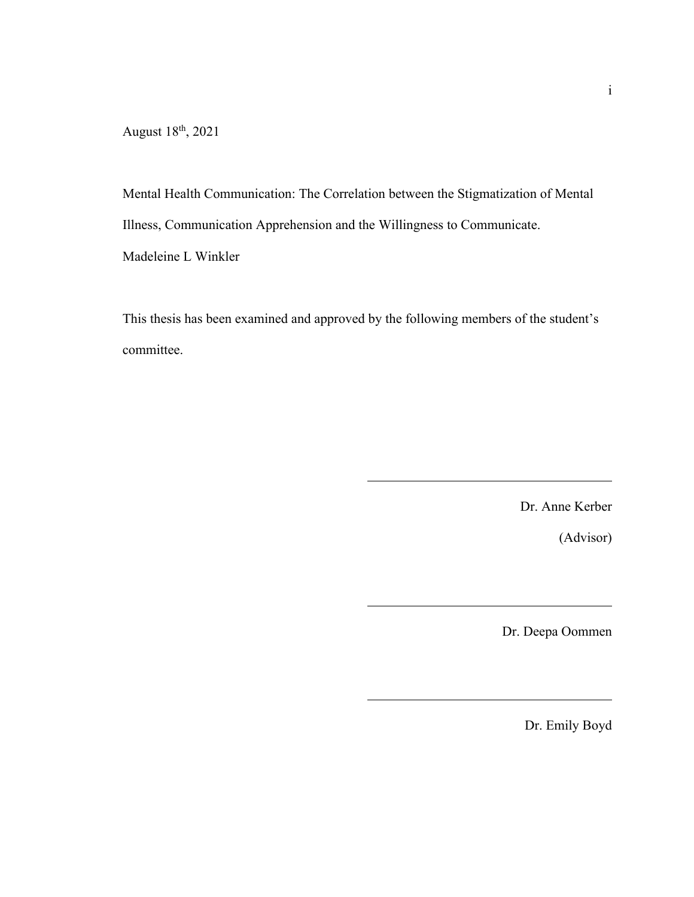August 18th, 2021

Mental Health Communication: The Correlation between the Stigmatization of Mental Illness, Communication Apprehension and the Willingness to Communicate.

Madeleine L Winkler

This thesis has been examined and approved by the following members of the student's committee.

Dr. Anne Kerber

(Advisor)

Dr. Deepa Oommen

Dr. Emily Boyd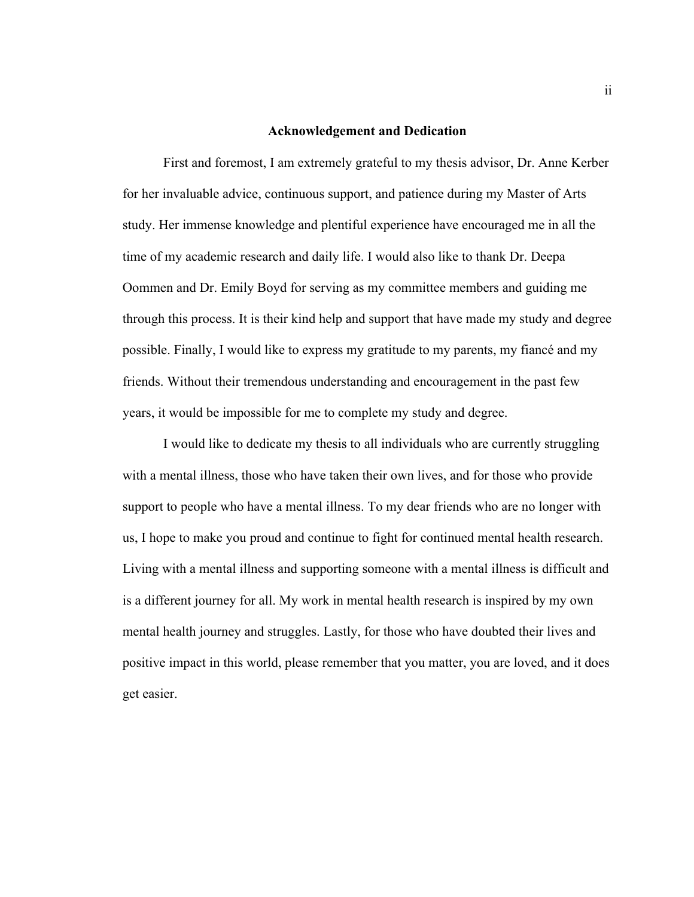#### **Acknowledgement and Dedication**

First and foremost, I am extremely grateful to my thesis advisor, Dr. Anne Kerber for her invaluable advice, continuous support, and patience during my Master of Arts study. Her immense knowledge and plentiful experience have encouraged me in all the time of my academic research and daily life. I would also like to thank Dr. Deepa Oommen and Dr. Emily Boyd for serving as my committee members and guiding me through this process. It is their kind help and support that have made my study and degree possible. Finally, I would like to express my gratitude to my parents, my fiancé and my friends. Without their tremendous understanding and encouragement in the past few years, it would be impossible for me to complete my study and degree.

I would like to dedicate my thesis to all individuals who are currently struggling with a mental illness, those who have taken their own lives, and for those who provide support to people who have a mental illness. To my dear friends who are no longer with us, I hope to make you proud and continue to fight for continued mental health research. Living with a mental illness and supporting someone with a mental illness is difficult and is a different journey for all. My work in mental health research is inspired by my own mental health journey and struggles. Lastly, for those who have doubted their lives and positive impact in this world, please remember that you matter, you are loved, and it does get easier.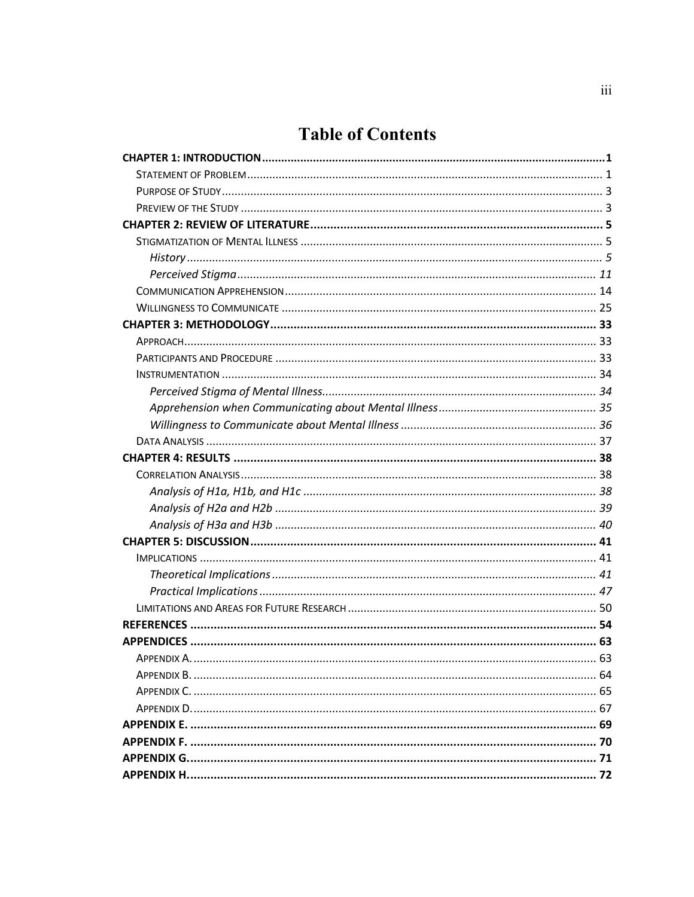### **Table of Contents**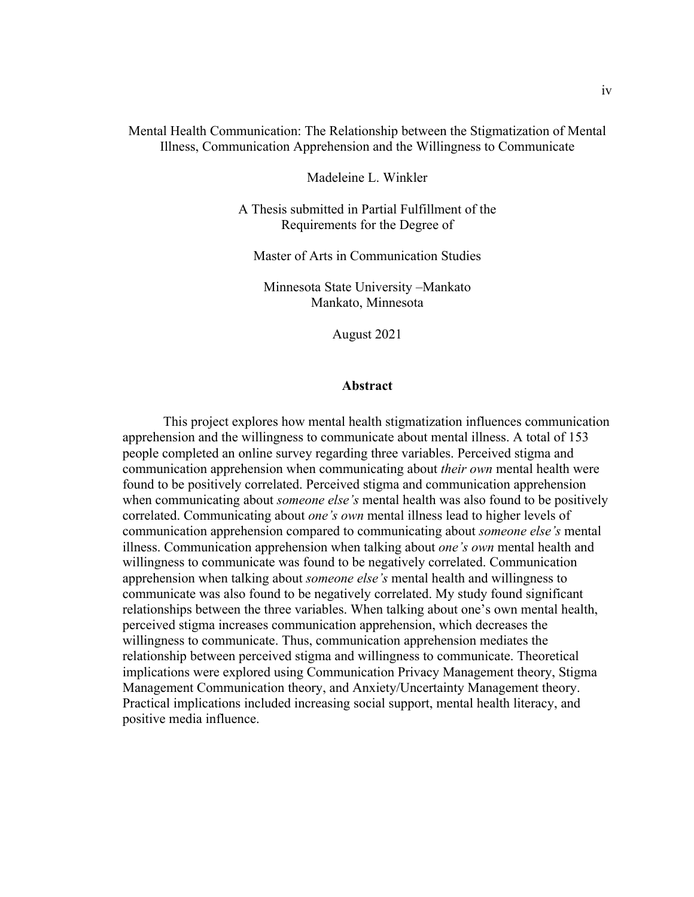#### Mental Health Communication: The Relationship between the Stigmatization of Mental Illness, Communication Apprehension and the Willingness to Communicate

Madeleine L. Winkler

A Thesis submitted in Partial Fulfillment of the Requirements for the Degree of

Master of Arts in Communication Studies

Minnesota State University –Mankato Mankato, Minnesota

August 2021

#### **Abstract**

This project explores how mental health stigmatization influences communication apprehension and the willingness to communicate about mental illness. A total of 153 people completed an online survey regarding three variables. Perceived stigma and communication apprehension when communicating about *their own* mental health were found to be positively correlated. Perceived stigma and communication apprehension when communicating about *someone else's* mental health was also found to be positively correlated. Communicating about *one's own* mental illness lead to higher levels of communication apprehension compared to communicating about *someone else's* mental illness. Communication apprehension when talking about *one's own* mental health and willingness to communicate was found to be negatively correlated. Communication apprehension when talking about *someone else's* mental health and willingness to communicate was also found to be negatively correlated. My study found significant relationships between the three variables. When talking about one's own mental health, perceived stigma increases communication apprehension, which decreases the willingness to communicate. Thus, communication apprehension mediates the relationship between perceived stigma and willingness to communicate. Theoretical implications were explored using Communication Privacy Management theory, Stigma Management Communication theory, and Anxiety/Uncertainty Management theory. Practical implications included increasing social support, mental health literacy, and positive media influence.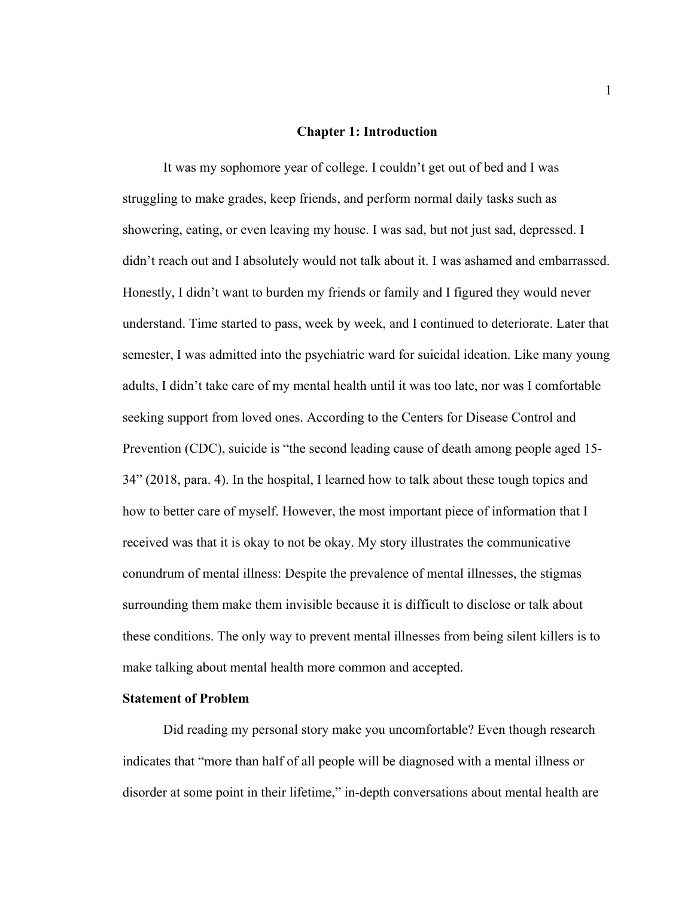#### **Chapter 1: Introduction**

It was my sophomore year of college. I couldn't get out of bed and I was struggling to make grades, keep friends, and perform normal daily tasks such as showering, eating, or even leaving my house. I was sad, but not just sad, depressed. I didn't reach out and I absolutely would not talk about it. I was ashamed and embarrassed. Honestly, I didn't want to burden my friends or family and I figured they would never understand. Time started to pass, week by week, and I continued to deteriorate. Later that semester, I was admitted into the psychiatric ward for suicidal ideation. Like many young adults, I didn't take care of my mental health until it was too late, nor was I comfortable seeking support from loved ones. According to the Centers for Disease Control and Prevention (CDC), suicide is "the second leading cause of death among people aged 15- 34" (2018, para. 4). In the hospital, I learned how to talk about these tough topics and how to better care of myself. However, the most important piece of information that I received was that it is okay to not be okay. My story illustrates the communicative conundrum of mental illness: Despite the prevalence of mental illnesses, the stigmas surrounding them make them invisible because it is difficult to disclose or talk about these conditions. The only way to prevent mental illnesses from being silent killers is to make talking about mental health more common and accepted.

#### **Statement of Problem**

Did reading my personal story make you uncomfortable? Even though research indicates that "more than half of all people will be diagnosed with a mental illness or disorder at some point in their lifetime," in-depth conversations about mental health are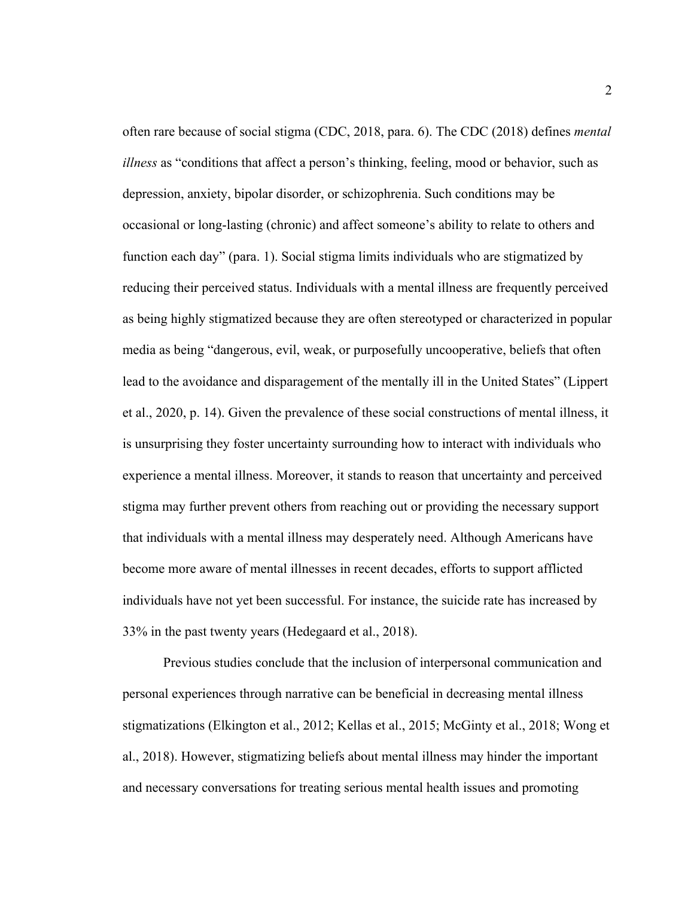often rare because of social stigma (CDC, 2018, para. 6). The CDC (2018) defines *mental illness* as "conditions that affect a person's thinking, feeling, mood or behavior, such as depression, anxiety, bipolar disorder, or schizophrenia. Such conditions may be occasional or long-lasting (chronic) and affect someone's ability to relate to others and function each day" (para. 1). Social stigma limits individuals who are stigmatized by reducing their perceived status. Individuals with a mental illness are frequently perceived as being highly stigmatized because they are often stereotyped or characterized in popular media as being "dangerous, evil, weak, or purposefully uncooperative, beliefs that often lead to the avoidance and disparagement of the mentally ill in the United States" (Lippert et al., 2020, p. 14). Given the prevalence of these social constructions of mental illness, it is unsurprising they foster uncertainty surrounding how to interact with individuals who experience a mental illness. Moreover, it stands to reason that uncertainty and perceived stigma may further prevent others from reaching out or providing the necessary support that individuals with a mental illness may desperately need. Although Americans have become more aware of mental illnesses in recent decades, efforts to support afflicted individuals have not yet been successful. For instance, the suicide rate has increased by 33% in the past twenty years (Hedegaard et al., 2018).

Previous studies conclude that the inclusion of interpersonal communication and personal experiences through narrative can be beneficial in decreasing mental illness stigmatizations (Elkington et al., 2012; Kellas et al., 2015; McGinty et al., 2018; Wong et al., 2018). However, stigmatizing beliefs about mental illness may hinder the important and necessary conversations for treating serious mental health issues and promoting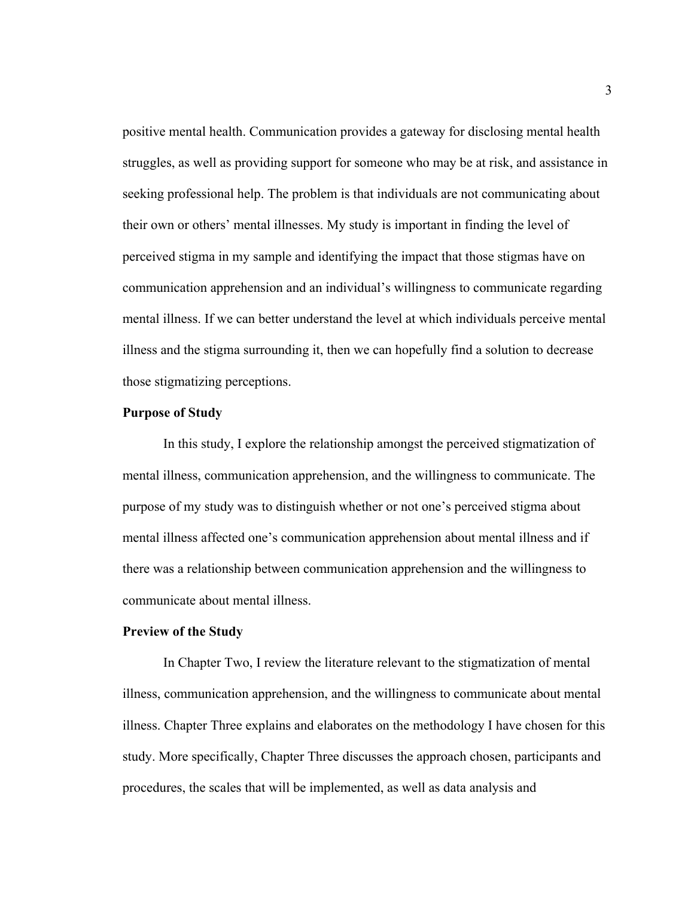positive mental health. Communication provides a gateway for disclosing mental health struggles, as well as providing support for someone who may be at risk, and assistance in seeking professional help. The problem is that individuals are not communicating about their own or others' mental illnesses. My study is important in finding the level of perceived stigma in my sample and identifying the impact that those stigmas have on communication apprehension and an individual's willingness to communicate regarding mental illness. If we can better understand the level at which individuals perceive mental illness and the stigma surrounding it, then we can hopefully find a solution to decrease those stigmatizing perceptions.

#### **Purpose of Study**

In this study, I explore the relationship amongst the perceived stigmatization of mental illness, communication apprehension, and the willingness to communicate. The purpose of my study was to distinguish whether or not one's perceived stigma about mental illness affected one's communication apprehension about mental illness and if there was a relationship between communication apprehension and the willingness to communicate about mental illness.

#### **Preview of the Study**

In Chapter Two, I review the literature relevant to the stigmatization of mental illness, communication apprehension, and the willingness to communicate about mental illness. Chapter Three explains and elaborates on the methodology I have chosen for this study. More specifically, Chapter Three discusses the approach chosen, participants and procedures, the scales that will be implemented, as well as data analysis and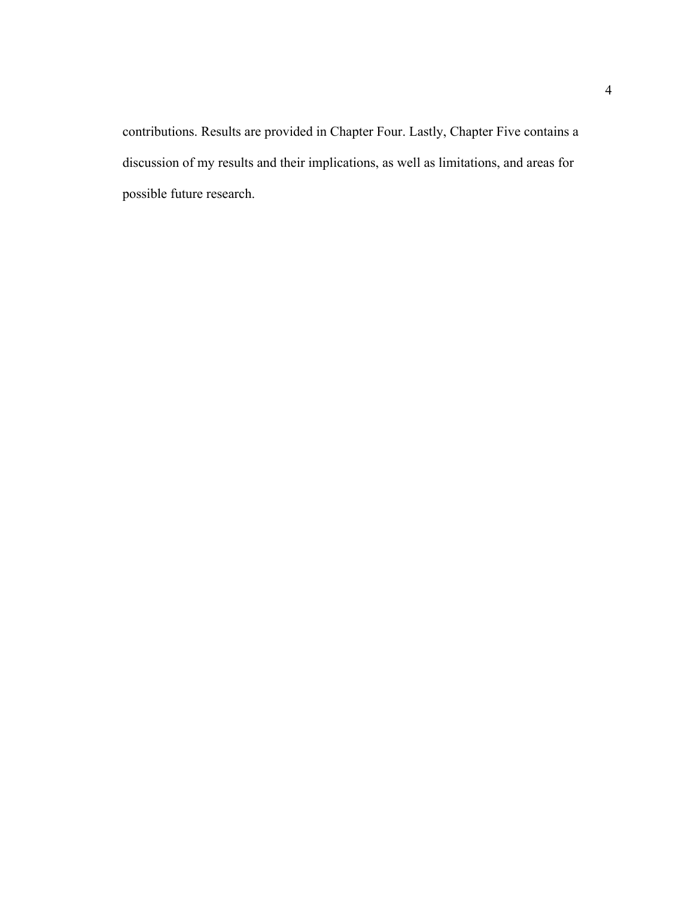contributions. Results are provided in Chapter Four. Lastly, Chapter Five contains a discussion of my results and their implications, as well as limitations, and areas for possible future research.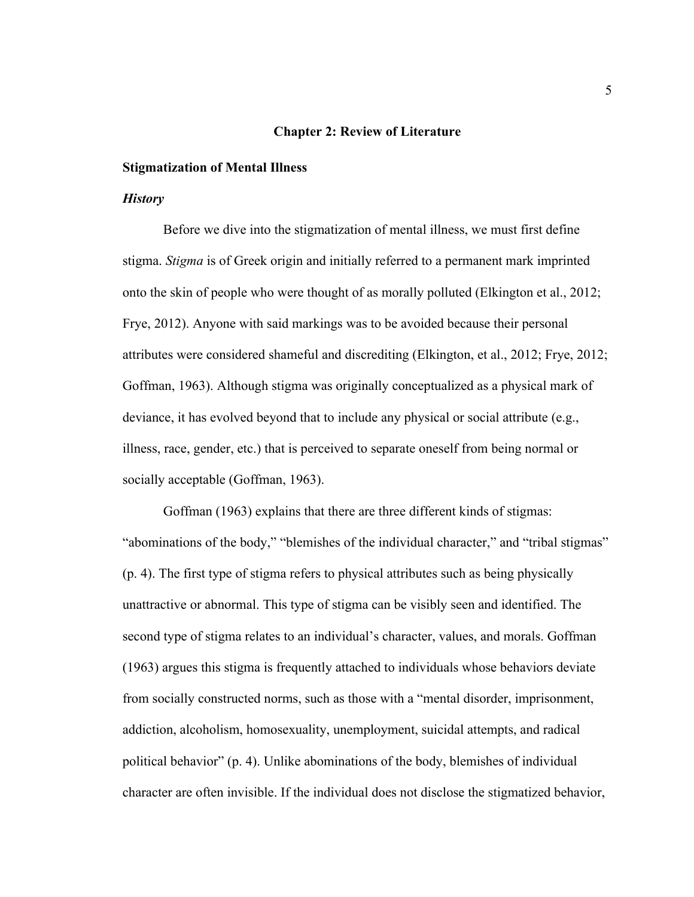#### **Chapter 2: Review of Literature**

#### **Stigmatization of Mental Illness**

#### *History*

Before we dive into the stigmatization of mental illness, we must first define stigma. *Stigma* is of Greek origin and initially referred to a permanent mark imprinted onto the skin of people who were thought of as morally polluted (Elkington et al., 2012; Frye, 2012). Anyone with said markings was to be avoided because their personal attributes were considered shameful and discrediting (Elkington, et al., 2012; Frye, 2012; Goffman, 1963). Although stigma was originally conceptualized as a physical mark of deviance, it has evolved beyond that to include any physical or social attribute (e.g., illness, race, gender, etc.) that is perceived to separate oneself from being normal or socially acceptable (Goffman, 1963).

Goffman (1963) explains that there are three different kinds of stigmas: "abominations of the body," "blemishes of the individual character," and "tribal stigmas" (p. 4). The first type of stigma refers to physical attributes such as being physically unattractive or abnormal. This type of stigma can be visibly seen and identified. The second type of stigma relates to an individual's character, values, and morals. Goffman (1963) argues this stigma is frequently attached to individuals whose behaviors deviate from socially constructed norms, such as those with a "mental disorder, imprisonment, addiction, alcoholism, homosexuality, unemployment, suicidal attempts, and radical political behavior" (p. 4). Unlike abominations of the body, blemishes of individual character are often invisible. If the individual does not disclose the stigmatized behavior,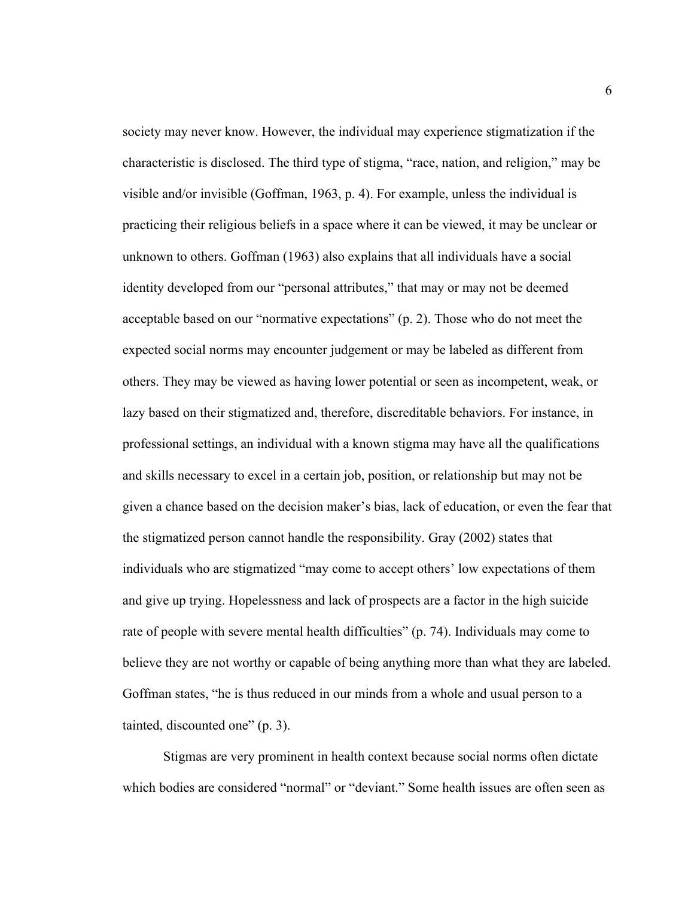society may never know. However, the individual may experience stigmatization if the characteristic is disclosed. The third type of stigma, "race, nation, and religion," may be visible and/or invisible (Goffman, 1963, p. 4). For example, unless the individual is practicing their religious beliefs in a space where it can be viewed, it may be unclear or unknown to others. Goffman (1963) also explains that all individuals have a social identity developed from our "personal attributes," that may or may not be deemed acceptable based on our "normative expectations" (p. 2). Those who do not meet the expected social norms may encounter judgement or may be labeled as different from others. They may be viewed as having lower potential or seen as incompetent, weak, or lazy based on their stigmatized and, therefore, discreditable behaviors. For instance, in professional settings, an individual with a known stigma may have all the qualifications and skills necessary to excel in a certain job, position, or relationship but may not be given a chance based on the decision maker's bias, lack of education, or even the fear that the stigmatized person cannot handle the responsibility. Gray (2002) states that individuals who are stigmatized "may come to accept others' low expectations of them and give up trying. Hopelessness and lack of prospects are a factor in the high suicide rate of people with severe mental health difficulties" (p. 74). Individuals may come to believe they are not worthy or capable of being anything more than what they are labeled. Goffman states, "he is thus reduced in our minds from a whole and usual person to a tainted, discounted one" (p. 3).

Stigmas are very prominent in health context because social norms often dictate which bodies are considered "normal" or "deviant." Some health issues are often seen as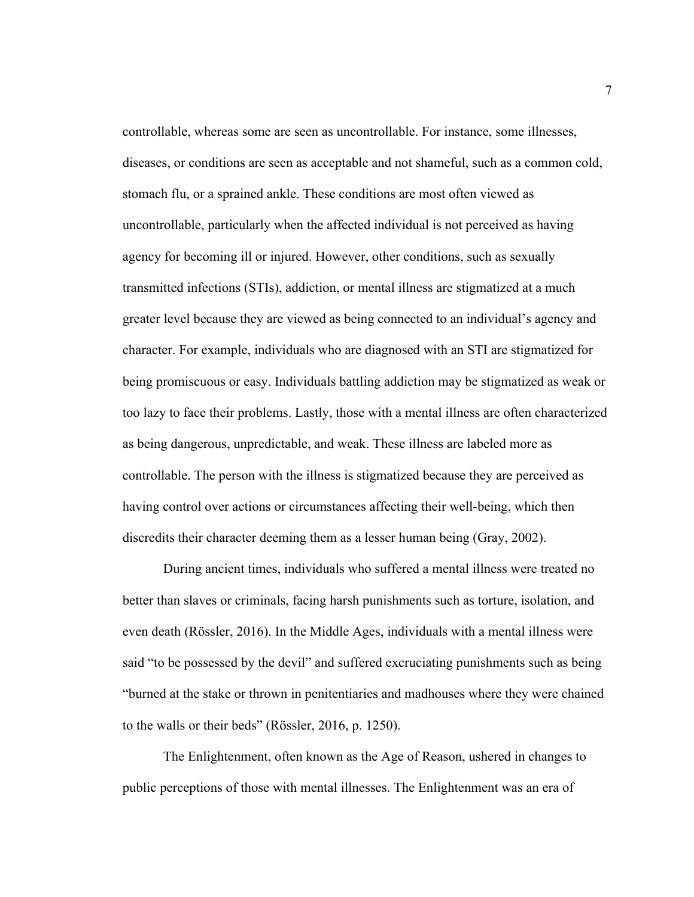controllable, whereas some are seen as uncontrollable. For instance, some illnesses, diseases, or conditions are seen as acceptable and not shameful, such as a common cold, stomach flu, or a sprained ankle. These conditions are most often viewed as uncontrollable, particularly when the affected individual is not perceived as having agency for becoming ill or injured. However, other conditions, such as sexually transmitted infections (STIs), addiction, or mental illness are stigmatized at a much greater level because they are viewed as being connected to an individual's agency and character. For example, individuals who are diagnosed with an STI are stigmatized for being promiscuous or easy. Individuals battling addiction may be stigmatized as weak or too lazy to face their problems. Lastly, those with a mental illness are often characterized as being dangerous, unpredictable, and weak. These illness are labeled more as controllable. The person with the illness is stigmatized because they are perceived as having control over actions or circumstances affecting their well-being, which then discredits their character deeming them as a lesser human being (Gray, 2002).

During ancient times, individuals who suffered a mental illness were treated no better than slaves or criminals, facing harsh punishments such as torture, isolation, and even death (Rössler, 2016). In the Middle Ages, individuals with a mental illness were said "to be possessed by the devil" and suffered excruciating punishments such as being "burned at the stake or thrown in penitentiaries and madhouses where they were chained to the walls or their beds" (Rössler, 2016, p. 1250).

The Enlightenment, often known as the Age of Reason, ushered in changes to public perceptions of those with mental illnesses. The Enlightenment was an era of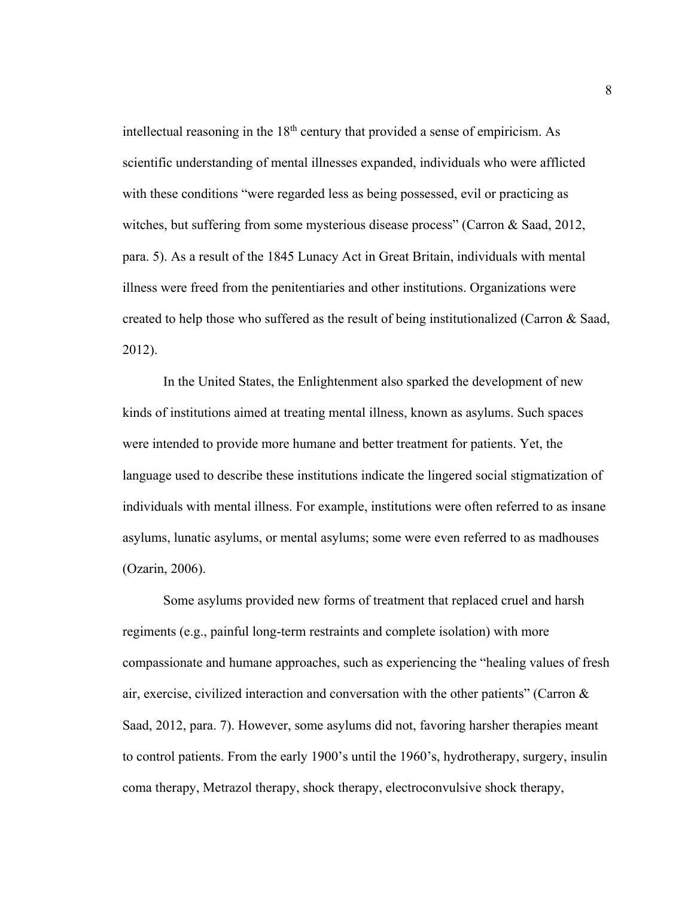intellectual reasoning in the  $18<sup>th</sup>$  century that provided a sense of empiricism. As scientific understanding of mental illnesses expanded, individuals who were afflicted with these conditions "were regarded less as being possessed, evil or practicing as witches, but suffering from some mysterious disease process" (Carron & Saad, 2012, para. 5). As a result of the 1845 Lunacy Act in Great Britain, individuals with mental illness were freed from the penitentiaries and other institutions. Organizations were created to help those who suffered as the result of being institutionalized (Carron & Saad, 2012).

In the United States, the Enlightenment also sparked the development of new kinds of institutions aimed at treating mental illness, known as asylums. Such spaces were intended to provide more humane and better treatment for patients. Yet, the language used to describe these institutions indicate the lingered social stigmatization of individuals with mental illness. For example, institutions were often referred to as insane asylums, lunatic asylums, or mental asylums; some were even referred to as madhouses (Ozarin, 2006).

Some asylums provided new forms of treatment that replaced cruel and harsh regiments (e.g., painful long-term restraints and complete isolation) with more compassionate and humane approaches, such as experiencing the "healing values of fresh air, exercise, civilized interaction and conversation with the other patients" (Carron  $\&$ Saad, 2012, para. 7). However, some asylums did not, favoring harsher therapies meant to control patients. From the early 1900's until the 1960's, hydrotherapy, surgery, insulin coma therapy, Metrazol therapy, shock therapy, electroconvulsive shock therapy,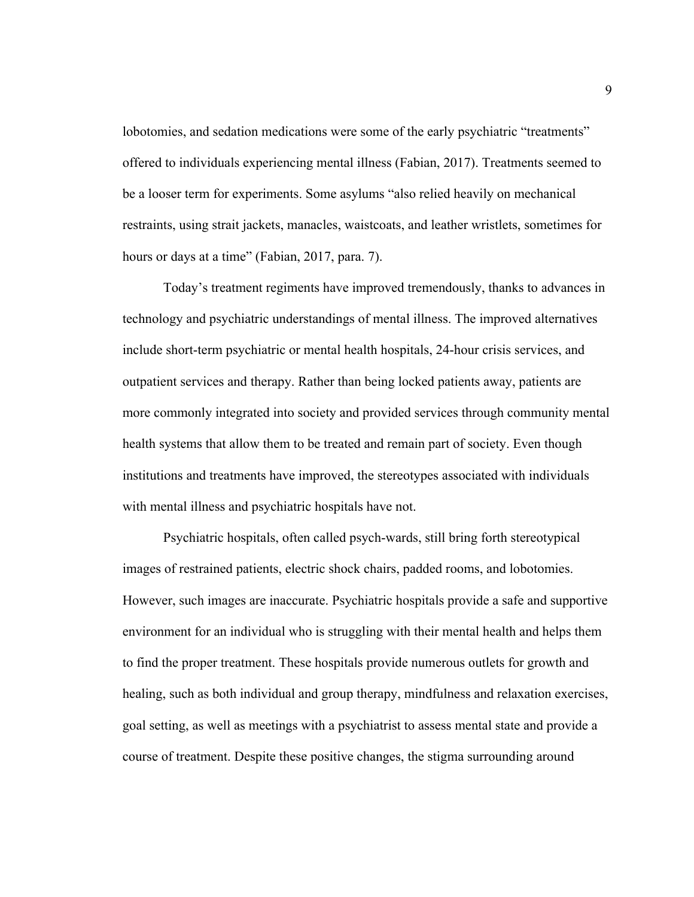lobotomies, and sedation medications were some of the early psychiatric "treatments" offered to individuals experiencing mental illness (Fabian, 2017). Treatments seemed to be a looser term for experiments. Some asylums "also relied heavily on mechanical restraints, using strait jackets, manacles, waistcoats, and leather wristlets, sometimes for hours or days at a time" (Fabian, 2017, para. 7).

Today's treatment regiments have improved tremendously, thanks to advances in technology and psychiatric understandings of mental illness. The improved alternatives include short-term psychiatric or mental health hospitals, 24-hour crisis services, and outpatient services and therapy. Rather than being locked patients away, patients are more commonly integrated into society and provided services through community mental health systems that allow them to be treated and remain part of society. Even though institutions and treatments have improved, the stereotypes associated with individuals with mental illness and psychiatric hospitals have not.

Psychiatric hospitals, often called psych-wards, still bring forth stereotypical images of restrained patients, electric shock chairs, padded rooms, and lobotomies. However, such images are inaccurate. Psychiatric hospitals provide a safe and supportive environment for an individual who is struggling with their mental health and helps them to find the proper treatment. These hospitals provide numerous outlets for growth and healing, such as both individual and group therapy, mindfulness and relaxation exercises, goal setting, as well as meetings with a psychiatrist to assess mental state and provide a course of treatment. Despite these positive changes, the stigma surrounding around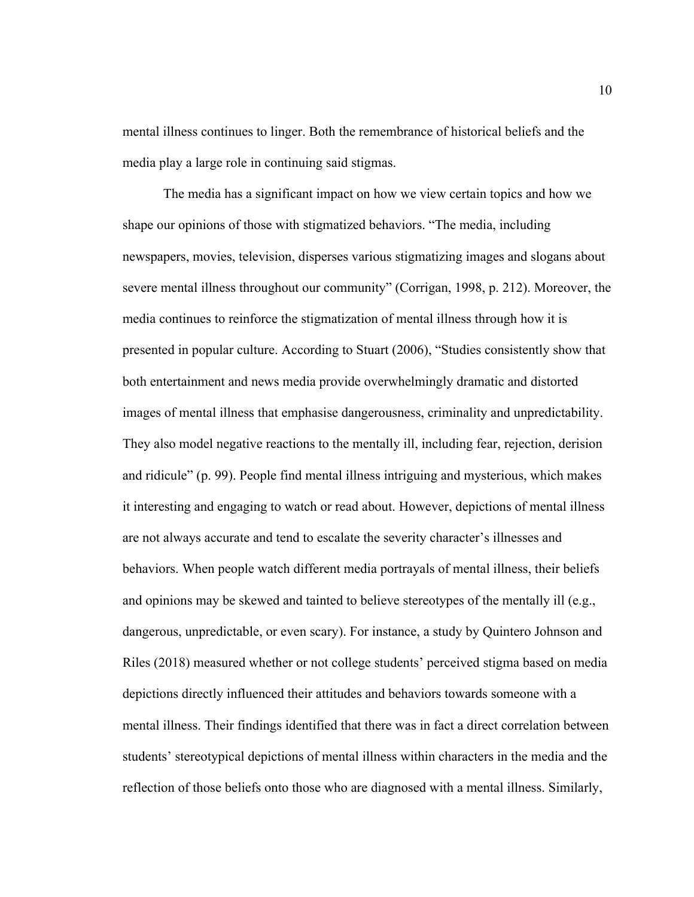mental illness continues to linger. Both the remembrance of historical beliefs and the media play a large role in continuing said stigmas.

The media has a significant impact on how we view certain topics and how we shape our opinions of those with stigmatized behaviors. "The media, including newspapers, movies, television, disperses various stigmatizing images and slogans about severe mental illness throughout our community" (Corrigan, 1998, p. 212). Moreover, the media continues to reinforce the stigmatization of mental illness through how it is presented in popular culture. According to Stuart (2006), "Studies consistently show that both entertainment and news media provide overwhelmingly dramatic and distorted images of mental illness that emphasise dangerousness, criminality and unpredictability. They also model negative reactions to the mentally ill, including fear, rejection, derision and ridicule" (p. 99). People find mental illness intriguing and mysterious, which makes it interesting and engaging to watch or read about. However, depictions of mental illness are not always accurate and tend to escalate the severity character's illnesses and behaviors. When people watch different media portrayals of mental illness, their beliefs and opinions may be skewed and tainted to believe stereotypes of the mentally ill (e.g., dangerous, unpredictable, or even scary). For instance, a study by Quintero Johnson and Riles (2018) measured whether or not college students' perceived stigma based on media depictions directly influenced their attitudes and behaviors towards someone with a mental illness. Their findings identified that there was in fact a direct correlation between students' stereotypical depictions of mental illness within characters in the media and the reflection of those beliefs onto those who are diagnosed with a mental illness. Similarly,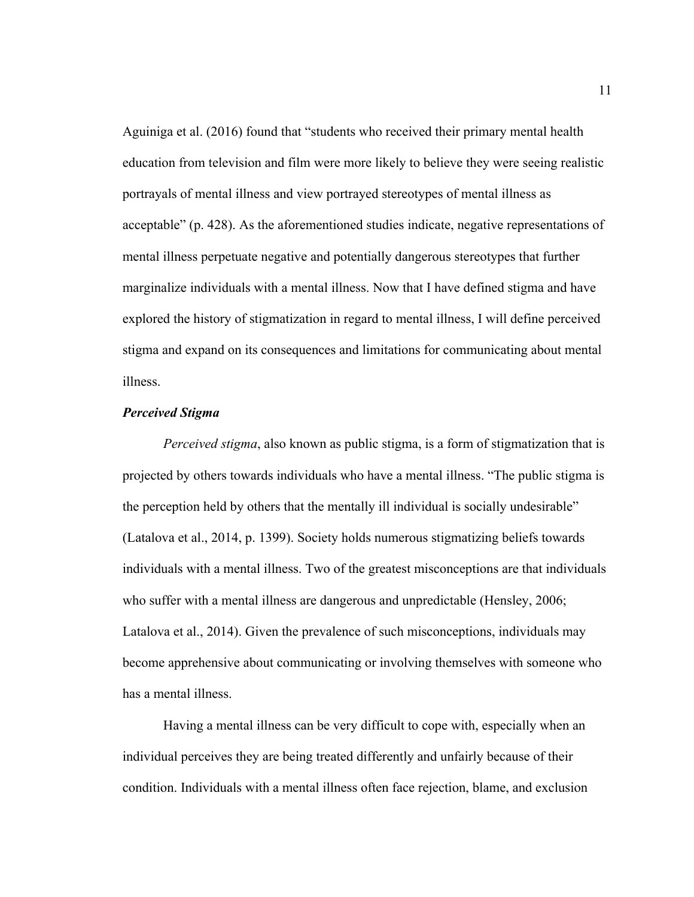Aguiniga et al. (2016) found that "students who received their primary mental health education from television and film were more likely to believe they were seeing realistic portrayals of mental illness and view portrayed stereotypes of mental illness as acceptable" (p. 428). As the aforementioned studies indicate, negative representations of mental illness perpetuate negative and potentially dangerous stereotypes that further marginalize individuals with a mental illness. Now that I have defined stigma and have explored the history of stigmatization in regard to mental illness, I will define perceived stigma and expand on its consequences and limitations for communicating about mental illness.

#### *Perceived Stigma*

*Perceived stigma*, also known as public stigma, is a form of stigmatization that is projected by others towards individuals who have a mental illness. "The public stigma is the perception held by others that the mentally ill individual is socially undesirable" (Latalova et al., 2014, p. 1399). Society holds numerous stigmatizing beliefs towards individuals with a mental illness. Two of the greatest misconceptions are that individuals who suffer with a mental illness are dangerous and unpredictable (Hensley, 2006; Latalova et al., 2014). Given the prevalence of such misconceptions, individuals may become apprehensive about communicating or involving themselves with someone who has a mental illness.

Having a mental illness can be very difficult to cope with, especially when an individual perceives they are being treated differently and unfairly because of their condition. Individuals with a mental illness often face rejection, blame, and exclusion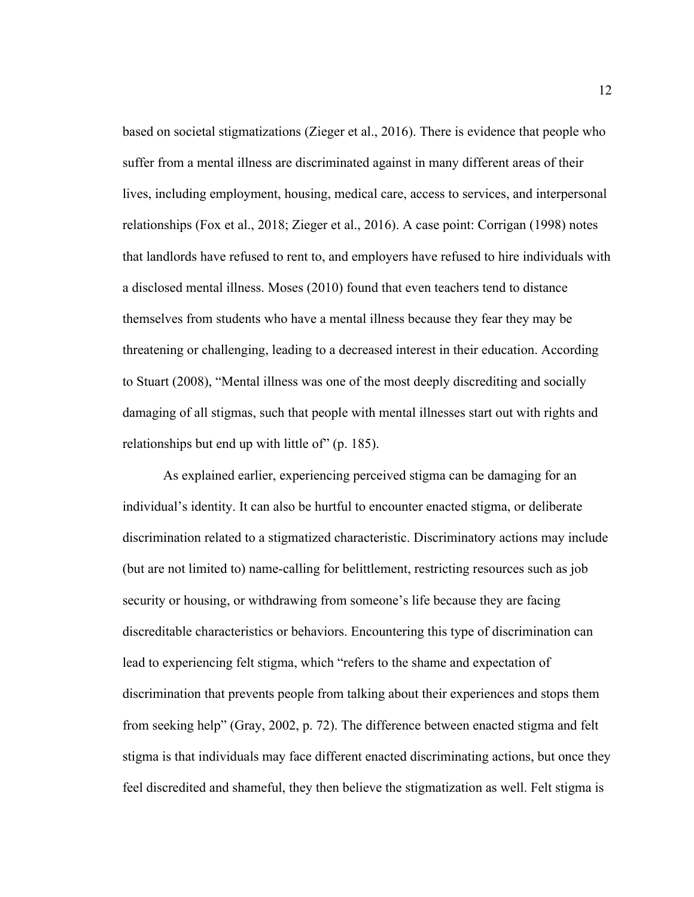based on societal stigmatizations (Zieger et al., 2016). There is evidence that people who suffer from a mental illness are discriminated against in many different areas of their lives, including employment, housing, medical care, access to services, and interpersonal relationships (Fox et al., 2018; Zieger et al., 2016). A case point: Corrigan (1998) notes that landlords have refused to rent to, and employers have refused to hire individuals with a disclosed mental illness. Moses (2010) found that even teachers tend to distance themselves from students who have a mental illness because they fear they may be threatening or challenging, leading to a decreased interest in their education. According to Stuart (2008), "Mental illness was one of the most deeply discrediting and socially damaging of all stigmas, such that people with mental illnesses start out with rights and relationships but end up with little of" (p. 185).

As explained earlier, experiencing perceived stigma can be damaging for an individual's identity. It can also be hurtful to encounter enacted stigma, or deliberate discrimination related to a stigmatized characteristic. Discriminatory actions may include (but are not limited to) name-calling for belittlement, restricting resources such as job security or housing, or withdrawing from someone's life because they are facing discreditable characteristics or behaviors. Encountering this type of discrimination can lead to experiencing felt stigma, which "refers to the shame and expectation of discrimination that prevents people from talking about their experiences and stops them from seeking help" (Gray, 2002, p. 72). The difference between enacted stigma and felt stigma is that individuals may face different enacted discriminating actions, but once they feel discredited and shameful, they then believe the stigmatization as well. Felt stigma is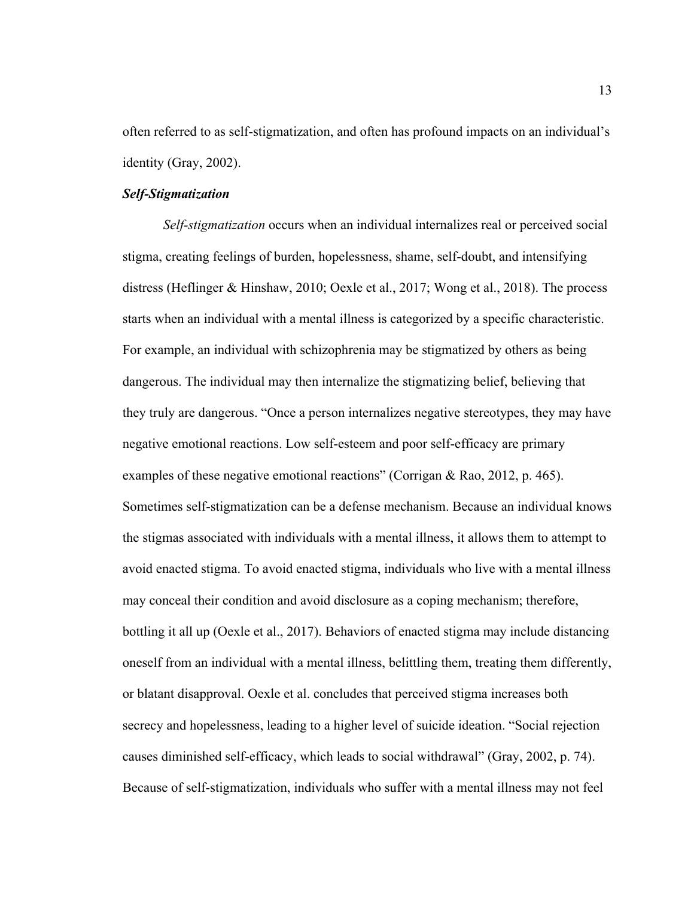often referred to as self-stigmatization, and often has profound impacts on an individual's identity (Gray, 2002).

#### *Self-Stigmatization*

*Self-stigmatization* occurs when an individual internalizes real or perceived social stigma, creating feelings of burden, hopelessness, shame, self-doubt, and intensifying distress (Heflinger & Hinshaw, 2010; Oexle et al., 2017; Wong et al., 2018). The process starts when an individual with a mental illness is categorized by a specific characteristic. For example, an individual with schizophrenia may be stigmatized by others as being dangerous. The individual may then internalize the stigmatizing belief, believing that they truly are dangerous. "Once a person internalizes negative stereotypes, they may have negative emotional reactions. Low self-esteem and poor self-efficacy are primary examples of these negative emotional reactions" (Corrigan & Rao, 2012, p. 465). Sometimes self-stigmatization can be a defense mechanism. Because an individual knows the stigmas associated with individuals with a mental illness, it allows them to attempt to avoid enacted stigma. To avoid enacted stigma, individuals who live with a mental illness may conceal their condition and avoid disclosure as a coping mechanism; therefore, bottling it all up (Oexle et al., 2017). Behaviors of enacted stigma may include distancing oneself from an individual with a mental illness, belittling them, treating them differently, or blatant disapproval. Oexle et al. concludes that perceived stigma increases both secrecy and hopelessness, leading to a higher level of suicide ideation. "Social rejection causes diminished self-efficacy, which leads to social withdrawal" (Gray, 2002, p. 74). Because of self-stigmatization, individuals who suffer with a mental illness may not feel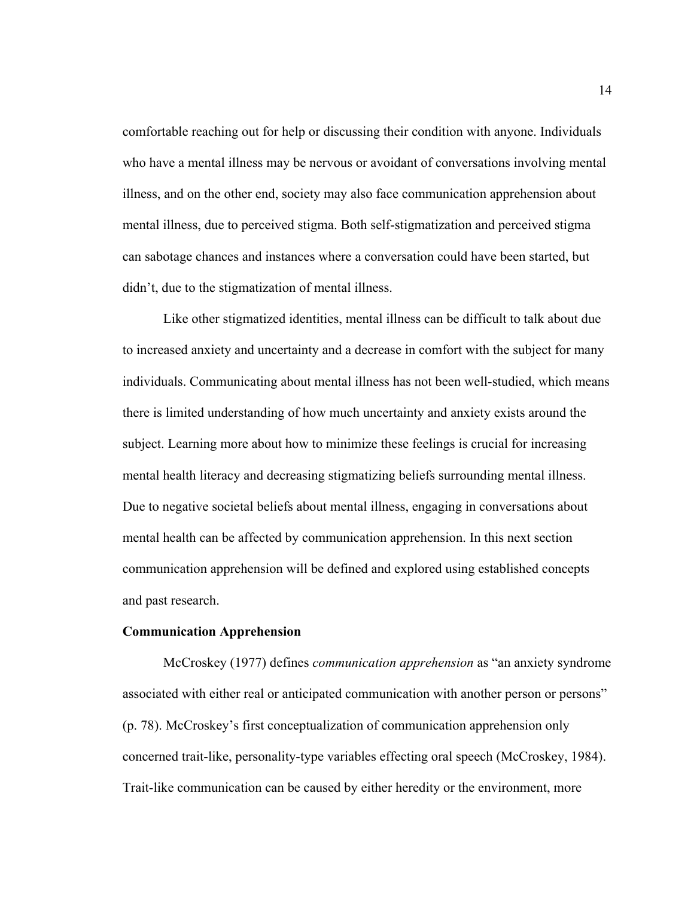comfortable reaching out for help or discussing their condition with anyone. Individuals who have a mental illness may be nervous or avoidant of conversations involving mental illness, and on the other end, society may also face communication apprehension about mental illness, due to perceived stigma. Both self-stigmatization and perceived stigma can sabotage chances and instances where a conversation could have been started, but didn't, due to the stigmatization of mental illness.

Like other stigmatized identities, mental illness can be difficult to talk about due to increased anxiety and uncertainty and a decrease in comfort with the subject for many individuals. Communicating about mental illness has not been well-studied, which means there is limited understanding of how much uncertainty and anxiety exists around the subject. Learning more about how to minimize these feelings is crucial for increasing mental health literacy and decreasing stigmatizing beliefs surrounding mental illness. Due to negative societal beliefs about mental illness, engaging in conversations about mental health can be affected by communication apprehension. In this next section communication apprehension will be defined and explored using established concepts and past research.

#### **Communication Apprehension**

McCroskey (1977) defines *communication apprehension* as "an anxiety syndrome associated with either real or anticipated communication with another person or persons" (p. 78). McCroskey's first conceptualization of communication apprehension only concerned trait-like, personality-type variables effecting oral speech (McCroskey, 1984). Trait-like communication can be caused by either heredity or the environment, more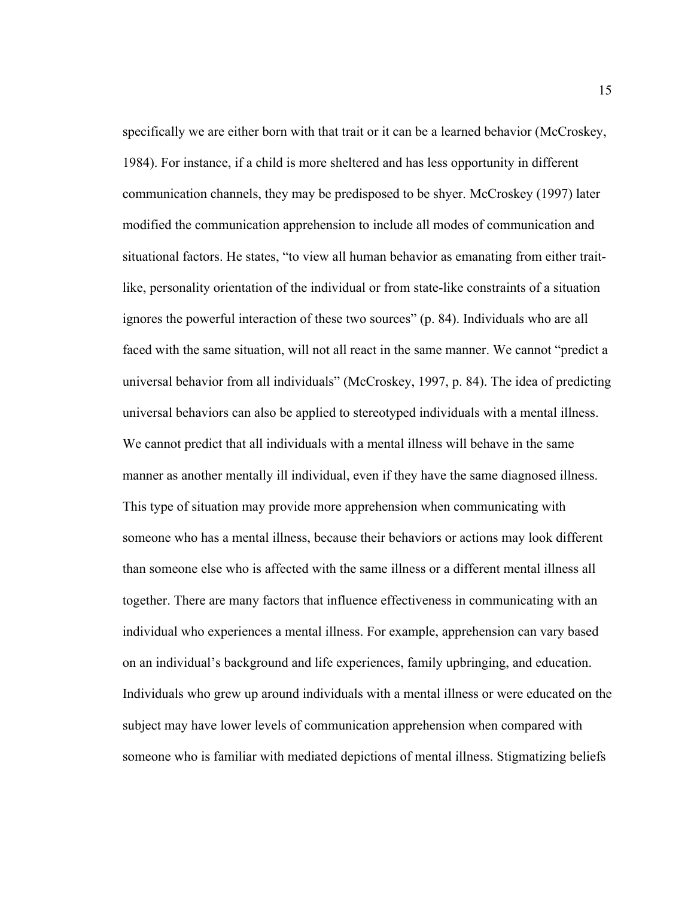specifically we are either born with that trait or it can be a learned behavior (McCroskey, 1984). For instance, if a child is more sheltered and has less opportunity in different communication channels, they may be predisposed to be shyer. McCroskey (1997) later modified the communication apprehension to include all modes of communication and situational factors. He states, "to view all human behavior as emanating from either traitlike, personality orientation of the individual or from state-like constraints of a situation ignores the powerful interaction of these two sources" (p. 84). Individuals who are all faced with the same situation, will not all react in the same manner. We cannot "predict a universal behavior from all individuals" (McCroskey, 1997, p. 84). The idea of predicting universal behaviors can also be applied to stereotyped individuals with a mental illness. We cannot predict that all individuals with a mental illness will behave in the same manner as another mentally ill individual, even if they have the same diagnosed illness. This type of situation may provide more apprehension when communicating with someone who has a mental illness, because their behaviors or actions may look different than someone else who is affected with the same illness or a different mental illness all together. There are many factors that influence effectiveness in communicating with an individual who experiences a mental illness. For example, apprehension can vary based on an individual's background and life experiences, family upbringing, and education. Individuals who grew up around individuals with a mental illness or were educated on the subject may have lower levels of communication apprehension when compared with someone who is familiar with mediated depictions of mental illness. Stigmatizing beliefs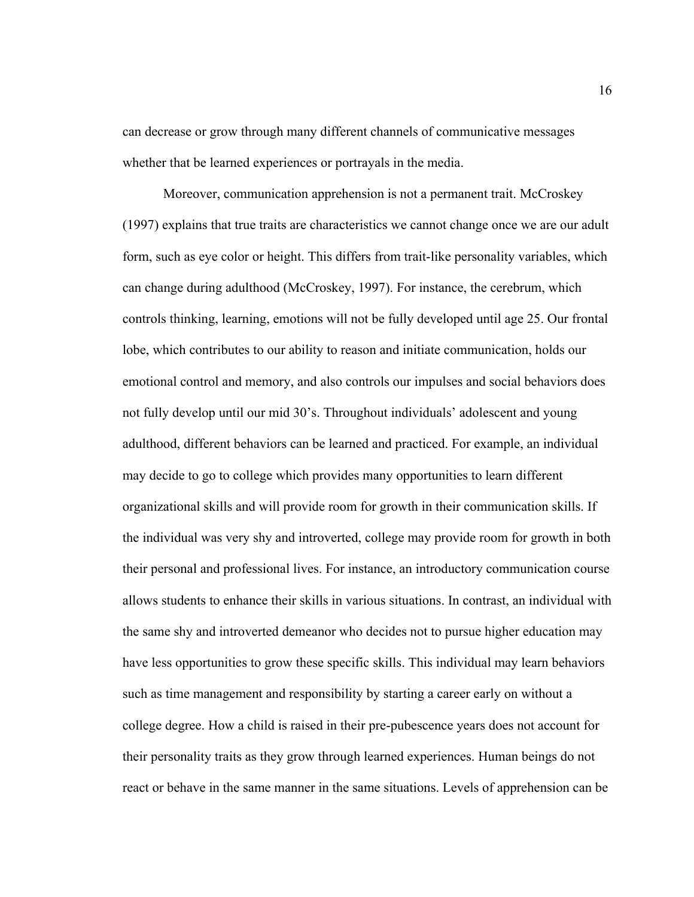can decrease or grow through many different channels of communicative messages whether that be learned experiences or portrayals in the media.

Moreover, communication apprehension is not a permanent trait. McCroskey (1997) explains that true traits are characteristics we cannot change once we are our adult form, such as eye color or height. This differs from trait-like personality variables, which can change during adulthood (McCroskey, 1997). For instance, the cerebrum, which controls thinking, learning, emotions will not be fully developed until age 25. Our frontal lobe, which contributes to our ability to reason and initiate communication, holds our emotional control and memory, and also controls our impulses and social behaviors does not fully develop until our mid 30's. Throughout individuals' adolescent and young adulthood, different behaviors can be learned and practiced. For example, an individual may decide to go to college which provides many opportunities to learn different organizational skills and will provide room for growth in their communication skills. If the individual was very shy and introverted, college may provide room for growth in both their personal and professional lives. For instance, an introductory communication course allows students to enhance their skills in various situations. In contrast, an individual with the same shy and introverted demeanor who decides not to pursue higher education may have less opportunities to grow these specific skills. This individual may learn behaviors such as time management and responsibility by starting a career early on without a college degree. How a child is raised in their pre-pubescence years does not account for their personality traits as they grow through learned experiences. Human beings do not react or behave in the same manner in the same situations. Levels of apprehension can be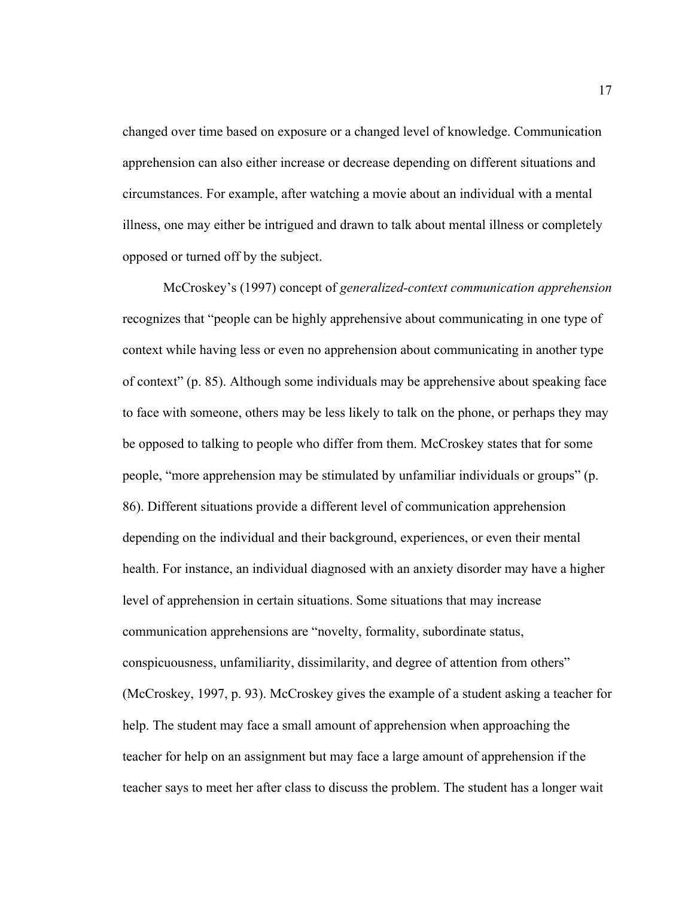changed over time based on exposure or a changed level of knowledge. Communication apprehension can also either increase or decrease depending on different situations and circumstances. For example, after watching a movie about an individual with a mental illness, one may either be intrigued and drawn to talk about mental illness or completely opposed or turned off by the subject.

McCroskey's (1997) concept of *generalized-context communication apprehension* recognizes that "people can be highly apprehensive about communicating in one type of context while having less or even no apprehension about communicating in another type of context" (p. 85). Although some individuals may be apprehensive about speaking face to face with someone, others may be less likely to talk on the phone, or perhaps they may be opposed to talking to people who differ from them. McCroskey states that for some people, "more apprehension may be stimulated by unfamiliar individuals or groups" (p. 86). Different situations provide a different level of communication apprehension depending on the individual and their background, experiences, or even their mental health. For instance, an individual diagnosed with an anxiety disorder may have a higher level of apprehension in certain situations. Some situations that may increase communication apprehensions are "novelty, formality, subordinate status, conspicuousness, unfamiliarity, dissimilarity, and degree of attention from others" (McCroskey, 1997, p. 93). McCroskey gives the example of a student asking a teacher for help. The student may face a small amount of apprehension when approaching the teacher for help on an assignment but may face a large amount of apprehension if the teacher says to meet her after class to discuss the problem. The student has a longer wait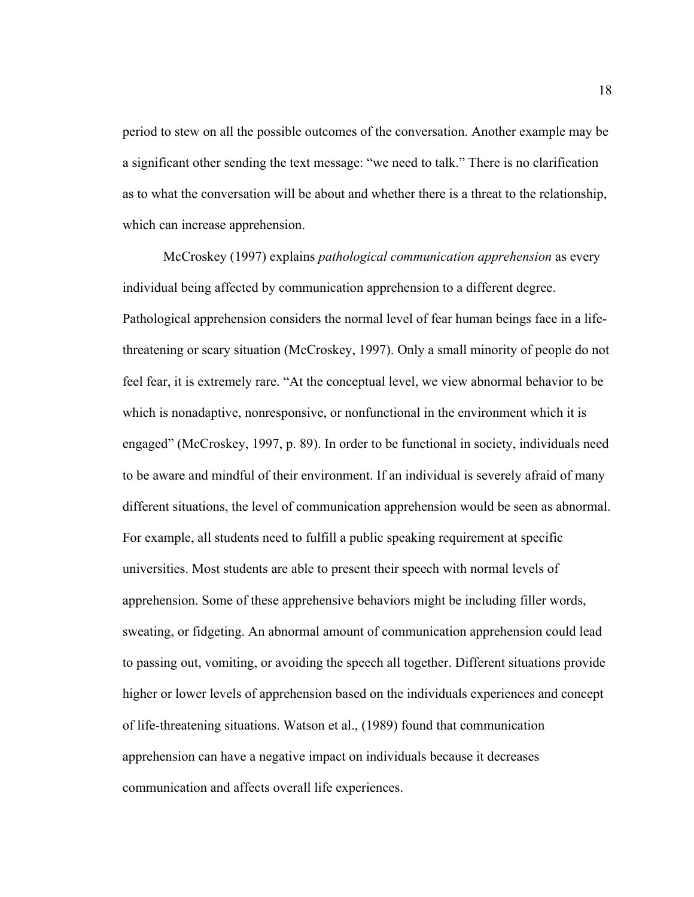period to stew on all the possible outcomes of the conversation. Another example may be a significant other sending the text message: "we need to talk." There is no clarification as to what the conversation will be about and whether there is a threat to the relationship, which can increase apprehension.

McCroskey (1997) explains *pathological communication apprehension* as every individual being affected by communication apprehension to a different degree. Pathological apprehension considers the normal level of fear human beings face in a lifethreatening or scary situation (McCroskey, 1997). Only a small minority of people do not feel fear, it is extremely rare. "At the conceptual level, we view abnormal behavior to be which is nonadaptive, nonresponsive, or nonfunctional in the environment which it is engaged" (McCroskey, 1997, p. 89). In order to be functional in society, individuals need to be aware and mindful of their environment. If an individual is severely afraid of many different situations, the level of communication apprehension would be seen as abnormal. For example, all students need to fulfill a public speaking requirement at specific universities. Most students are able to present their speech with normal levels of apprehension. Some of these apprehensive behaviors might be including filler words, sweating, or fidgeting. An abnormal amount of communication apprehension could lead to passing out, vomiting, or avoiding the speech all together. Different situations provide higher or lower levels of apprehension based on the individuals experiences and concept of life-threatening situations. Watson et al., (1989) found that communication apprehension can have a negative impact on individuals because it decreases communication and affects overall life experiences.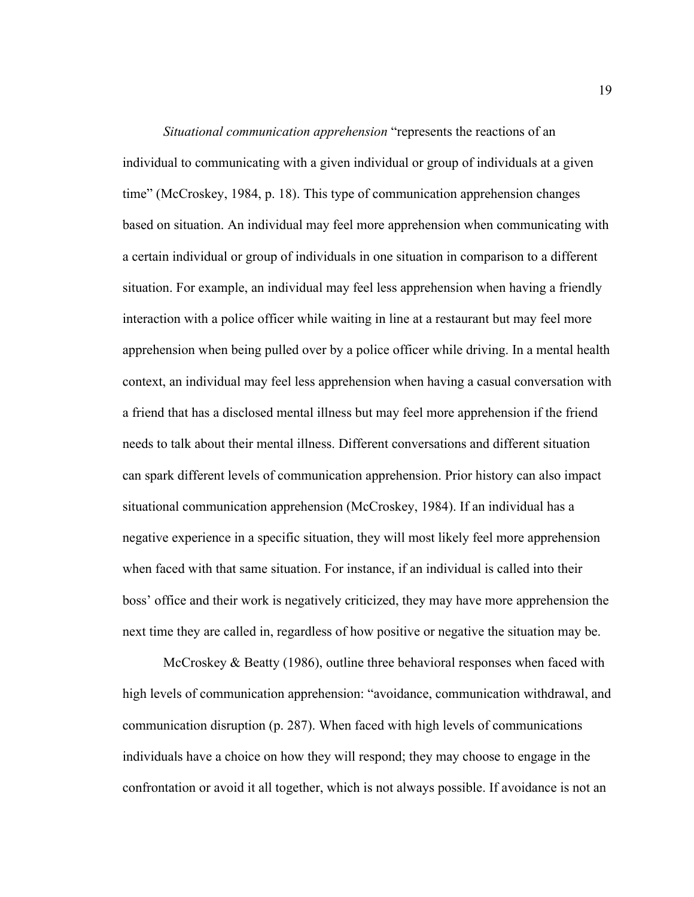*Situational communication apprehension* "represents the reactions of an individual to communicating with a given individual or group of individuals at a given time" (McCroskey, 1984, p. 18). This type of communication apprehension changes based on situation. An individual may feel more apprehension when communicating with a certain individual or group of individuals in one situation in comparison to a different situation. For example, an individual may feel less apprehension when having a friendly interaction with a police officer while waiting in line at a restaurant but may feel more apprehension when being pulled over by a police officer while driving. In a mental health context, an individual may feel less apprehension when having a casual conversation with a friend that has a disclosed mental illness but may feel more apprehension if the friend needs to talk about their mental illness. Different conversations and different situation can spark different levels of communication apprehension. Prior history can also impact situational communication apprehension (McCroskey, 1984). If an individual has a negative experience in a specific situation, they will most likely feel more apprehension when faced with that same situation. For instance, if an individual is called into their boss' office and their work is negatively criticized, they may have more apprehension the next time they are called in, regardless of how positive or negative the situation may be.

McCroskey & Beatty (1986), outline three behavioral responses when faced with high levels of communication apprehension: "avoidance, communication withdrawal, and communication disruption (p. 287). When faced with high levels of communications individuals have a choice on how they will respond; they may choose to engage in the confrontation or avoid it all together, which is not always possible. If avoidance is not an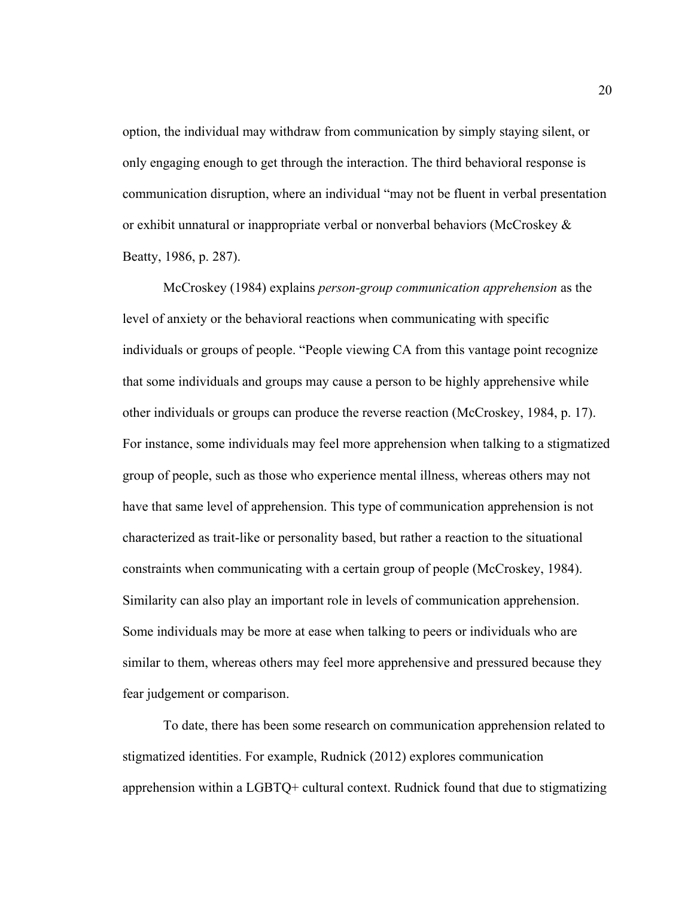option, the individual may withdraw from communication by simply staying silent, or only engaging enough to get through the interaction. The third behavioral response is communication disruption, where an individual "may not be fluent in verbal presentation or exhibit unnatural or inappropriate verbal or nonverbal behaviors (McCroskey & Beatty, 1986, p. 287).

McCroskey (1984) explains *person-group communication apprehension* as the level of anxiety or the behavioral reactions when communicating with specific individuals or groups of people. "People viewing CA from this vantage point recognize that some individuals and groups may cause a person to be highly apprehensive while other individuals or groups can produce the reverse reaction (McCroskey, 1984, p. 17). For instance, some individuals may feel more apprehension when talking to a stigmatized group of people, such as those who experience mental illness, whereas others may not have that same level of apprehension. This type of communication apprehension is not characterized as trait-like or personality based, but rather a reaction to the situational constraints when communicating with a certain group of people (McCroskey, 1984). Similarity can also play an important role in levels of communication apprehension. Some individuals may be more at ease when talking to peers or individuals who are similar to them, whereas others may feel more apprehensive and pressured because they fear judgement or comparison.

To date, there has been some research on communication apprehension related to stigmatized identities. For example, Rudnick (2012) explores communication apprehension within a LGBTQ+ cultural context. Rudnick found that due to stigmatizing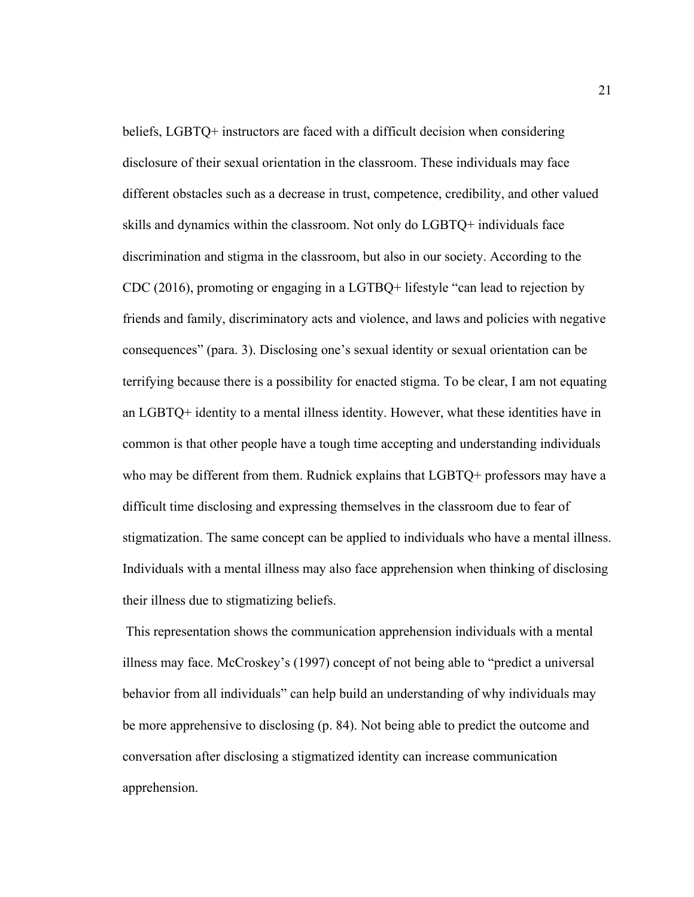beliefs, LGBTQ+ instructors are faced with a difficult decision when considering disclosure of their sexual orientation in the classroom. These individuals may face different obstacles such as a decrease in trust, competence, credibility, and other valued skills and dynamics within the classroom. Not only do LGBTQ+ individuals face discrimination and stigma in the classroom, but also in our society. According to the CDC (2016), promoting or engaging in a LGTBQ+ lifestyle "can lead to rejection by friends and family, discriminatory acts and violence, and laws and policies with negative consequences" (para. 3). Disclosing one's sexual identity or sexual orientation can be terrifying because there is a possibility for enacted stigma. To be clear, I am not equating an LGBTQ+ identity to a mental illness identity. However, what these identities have in common is that other people have a tough time accepting and understanding individuals who may be different from them. Rudnick explains that LGBTQ+ professors may have a difficult time disclosing and expressing themselves in the classroom due to fear of stigmatization. The same concept can be applied to individuals who have a mental illness. Individuals with a mental illness may also face apprehension when thinking of disclosing their illness due to stigmatizing beliefs.

This representation shows the communication apprehension individuals with a mental illness may face. McCroskey's (1997) concept of not being able to "predict a universal behavior from all individuals" can help build an understanding of why individuals may be more apprehensive to disclosing (p. 84). Not being able to predict the outcome and conversation after disclosing a stigmatized identity can increase communication apprehension.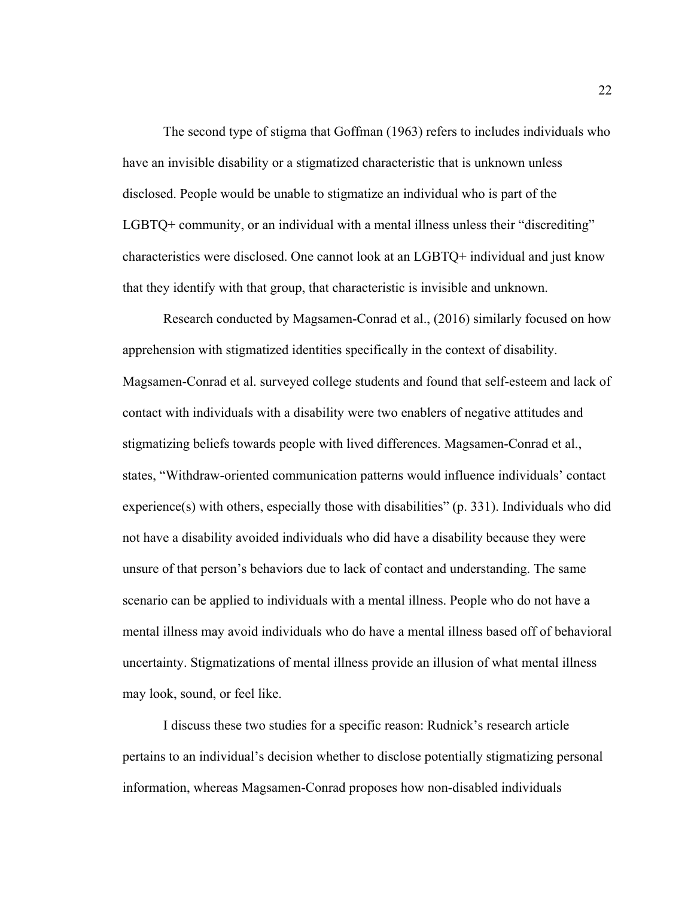The second type of stigma that Goffman (1963) refers to includes individuals who have an invisible disability or a stigmatized characteristic that is unknown unless disclosed. People would be unable to stigmatize an individual who is part of the LGBTQ+ community, or an individual with a mental illness unless their "discrediting" characteristics were disclosed. One cannot look at an LGBTQ+ individual and just know that they identify with that group, that characteristic is invisible and unknown.

Research conducted by Magsamen-Conrad et al., (2016) similarly focused on how apprehension with stigmatized identities specifically in the context of disability. Magsamen-Conrad et al. surveyed college students and found that self-esteem and lack of contact with individuals with a disability were two enablers of negative attitudes and stigmatizing beliefs towards people with lived differences. Magsamen-Conrad et al., states, "Withdraw-oriented communication patterns would influence individuals' contact experience(s) with others, especially those with disabilities" (p. 331). Individuals who did not have a disability avoided individuals who did have a disability because they were unsure of that person's behaviors due to lack of contact and understanding. The same scenario can be applied to individuals with a mental illness. People who do not have a mental illness may avoid individuals who do have a mental illness based off of behavioral uncertainty. Stigmatizations of mental illness provide an illusion of what mental illness may look, sound, or feel like.

I discuss these two studies for a specific reason: Rudnick's research article pertains to an individual's decision whether to disclose potentially stigmatizing personal information, whereas Magsamen-Conrad proposes how non-disabled individuals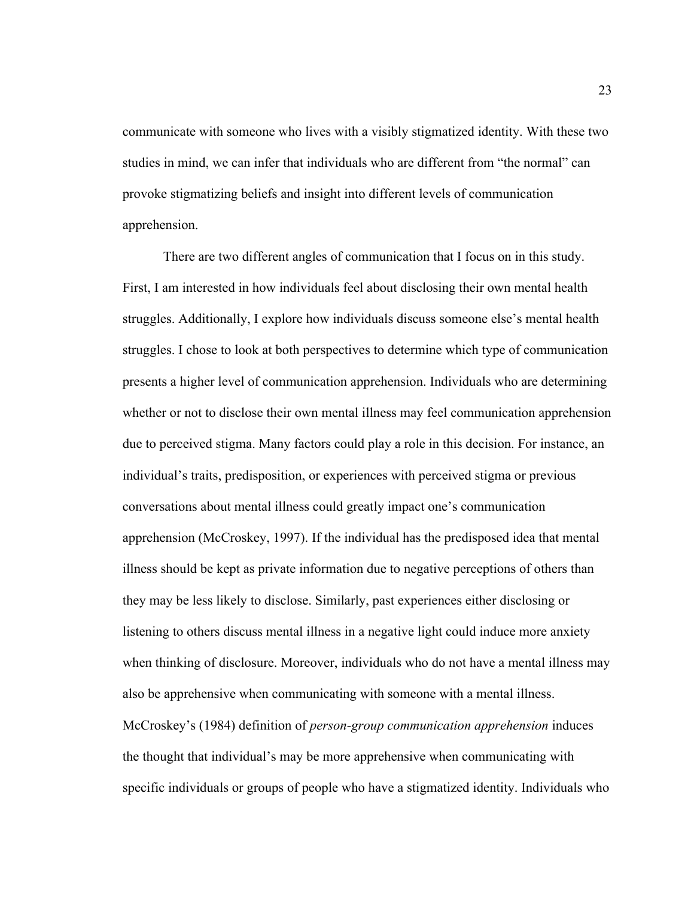communicate with someone who lives with a visibly stigmatized identity. With these two studies in mind, we can infer that individuals who are different from "the normal" can provoke stigmatizing beliefs and insight into different levels of communication apprehension.

There are two different angles of communication that I focus on in this study. First, I am interested in how individuals feel about disclosing their own mental health struggles. Additionally, I explore how individuals discuss someone else's mental health struggles. I chose to look at both perspectives to determine which type of communication presents a higher level of communication apprehension. Individuals who are determining whether or not to disclose their own mental illness may feel communication apprehension due to perceived stigma. Many factors could play a role in this decision. For instance, an individual's traits, predisposition, or experiences with perceived stigma or previous conversations about mental illness could greatly impact one's communication apprehension (McCroskey, 1997). If the individual has the predisposed idea that mental illness should be kept as private information due to negative perceptions of others than they may be less likely to disclose. Similarly, past experiences either disclosing or listening to others discuss mental illness in a negative light could induce more anxiety when thinking of disclosure. Moreover, individuals who do not have a mental illness may also be apprehensive when communicating with someone with a mental illness. McCroskey's (1984) definition of *person-group communication apprehension* induces the thought that individual's may be more apprehensive when communicating with specific individuals or groups of people who have a stigmatized identity. Individuals who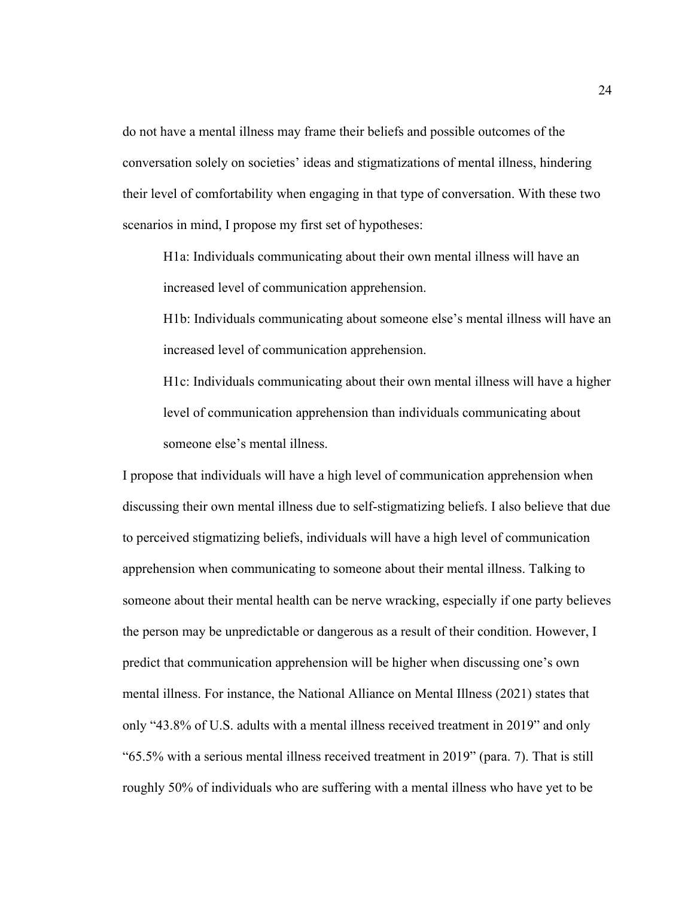do not have a mental illness may frame their beliefs and possible outcomes of the conversation solely on societies' ideas and stigmatizations of mental illness, hindering their level of comfortability when engaging in that type of conversation. With these two scenarios in mind, I propose my first set of hypotheses:

H1a: Individuals communicating about their own mental illness will have an increased level of communication apprehension.

H1b: Individuals communicating about someone else's mental illness will have an increased level of communication apprehension.

H1c: Individuals communicating about their own mental illness will have a higher level of communication apprehension than individuals communicating about someone else's mental illness.

I propose that individuals will have a high level of communication apprehension when discussing their own mental illness due to self-stigmatizing beliefs. I also believe that due to perceived stigmatizing beliefs, individuals will have a high level of communication apprehension when communicating to someone about their mental illness. Talking to someone about their mental health can be nerve wracking, especially if one party believes the person may be unpredictable or dangerous as a result of their condition. However, I predict that communication apprehension will be higher when discussing one's own mental illness. For instance, the National Alliance on Mental Illness (2021) states that only "43.8% of U.S. adults with a mental illness received treatment in 2019" and only "65.5% with a serious mental illness received treatment in 2019" (para. 7). That is still roughly 50% of individuals who are suffering with a mental illness who have yet to be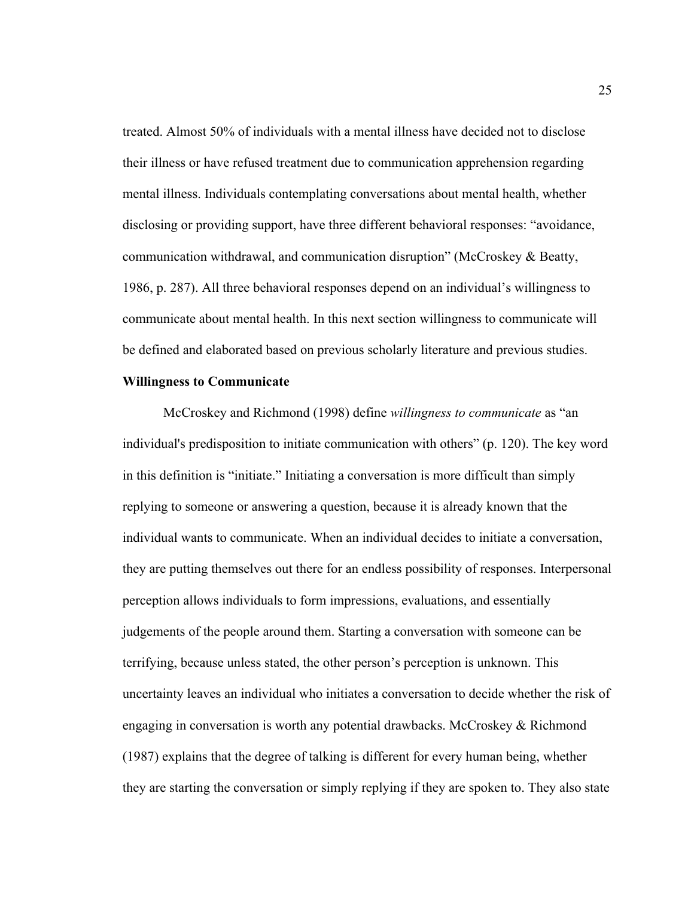treated. Almost 50% of individuals with a mental illness have decided not to disclose their illness or have refused treatment due to communication apprehension regarding mental illness. Individuals contemplating conversations about mental health, whether disclosing or providing support, have three different behavioral responses: "avoidance, communication withdrawal, and communication disruption" (McCroskey & Beatty, 1986, p. 287). All three behavioral responses depend on an individual's willingness to communicate about mental health. In this next section willingness to communicate will be defined and elaborated based on previous scholarly literature and previous studies.

#### **Willingness to Communicate**

McCroskey and Richmond (1998) define *willingness to communicate* as "an individual's predisposition to initiate communication with others" (p. 120). The key word in this definition is "initiate." Initiating a conversation is more difficult than simply replying to someone or answering a question, because it is already known that the individual wants to communicate. When an individual decides to initiate a conversation, they are putting themselves out there for an endless possibility of responses. Interpersonal perception allows individuals to form impressions, evaluations, and essentially judgements of the people around them. Starting a conversation with someone can be terrifying, because unless stated, the other person's perception is unknown. This uncertainty leaves an individual who initiates a conversation to decide whether the risk of engaging in conversation is worth any potential drawbacks. McCroskey & Richmond (1987) explains that the degree of talking is different for every human being, whether they are starting the conversation or simply replying if they are spoken to. They also state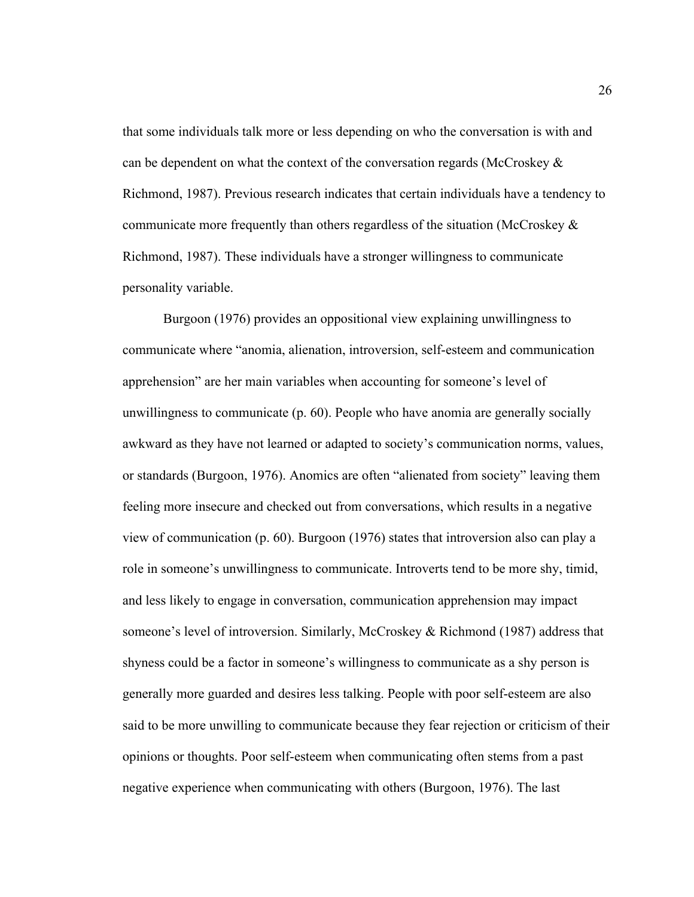that some individuals talk more or less depending on who the conversation is with and can be dependent on what the context of the conversation regards (McCroskey  $\&$ Richmond, 1987). Previous research indicates that certain individuals have a tendency to communicate more frequently than others regardless of the situation (McCroskey & Richmond, 1987). These individuals have a stronger willingness to communicate personality variable.

Burgoon (1976) provides an oppositional view explaining unwillingness to communicate where "anomia, alienation, introversion, self-esteem and communication apprehension" are her main variables when accounting for someone's level of unwillingness to communicate (p. 60). People who have anomia are generally socially awkward as they have not learned or adapted to society's communication norms, values, or standards (Burgoon, 1976). Anomics are often "alienated from society" leaving them feeling more insecure and checked out from conversations, which results in a negative view of communication (p. 60). Burgoon (1976) states that introversion also can play a role in someone's unwillingness to communicate. Introverts tend to be more shy, timid, and less likely to engage in conversation, communication apprehension may impact someone's level of introversion. Similarly, McCroskey & Richmond (1987) address that shyness could be a factor in someone's willingness to communicate as a shy person is generally more guarded and desires less talking. People with poor self-esteem are also said to be more unwilling to communicate because they fear rejection or criticism of their opinions or thoughts. Poor self-esteem when communicating often stems from a past negative experience when communicating with others (Burgoon, 1976). The last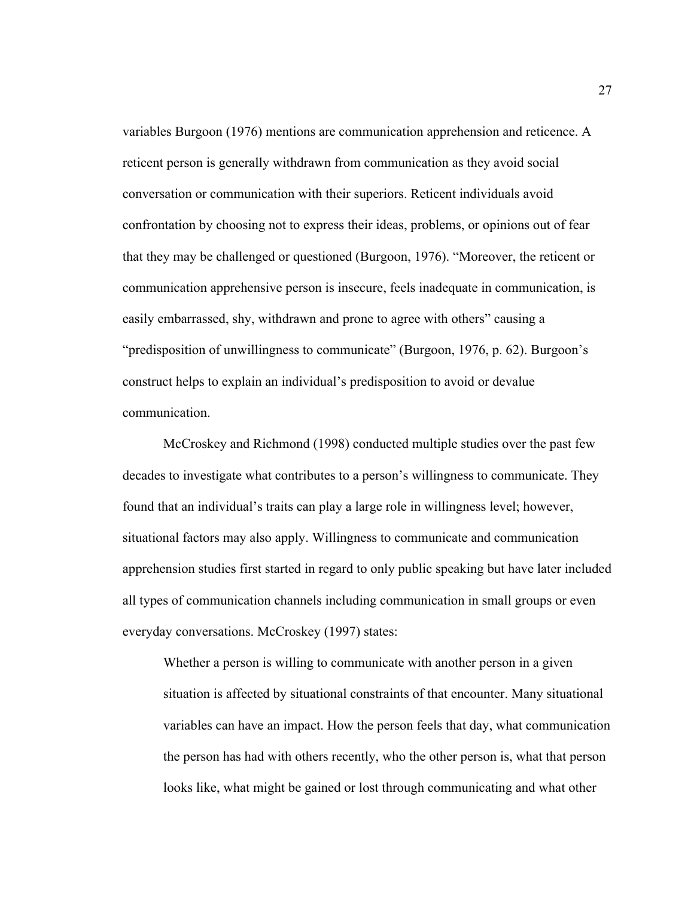variables Burgoon (1976) mentions are communication apprehension and reticence. A reticent person is generally withdrawn from communication as they avoid social conversation or communication with their superiors. Reticent individuals avoid confrontation by choosing not to express their ideas, problems, or opinions out of fear that they may be challenged or questioned (Burgoon, 1976). "Moreover, the reticent or communication apprehensive person is insecure, feels inadequate in communication, is easily embarrassed, shy, withdrawn and prone to agree with others" causing a "predisposition of unwillingness to communicate" (Burgoon, 1976, p. 62). Burgoon's construct helps to explain an individual's predisposition to avoid or devalue communication.

McCroskey and Richmond (1998) conducted multiple studies over the past few decades to investigate what contributes to a person's willingness to communicate. They found that an individual's traits can play a large role in willingness level; however, situational factors may also apply. Willingness to communicate and communication apprehension studies first started in regard to only public speaking but have later included all types of communication channels including communication in small groups or even everyday conversations. McCroskey (1997) states:

Whether a person is willing to communicate with another person in a given situation is affected by situational constraints of that encounter. Many situational variables can have an impact. How the person feels that day, what communication the person has had with others recently, who the other person is, what that person looks like, what might be gained or lost through communicating and what other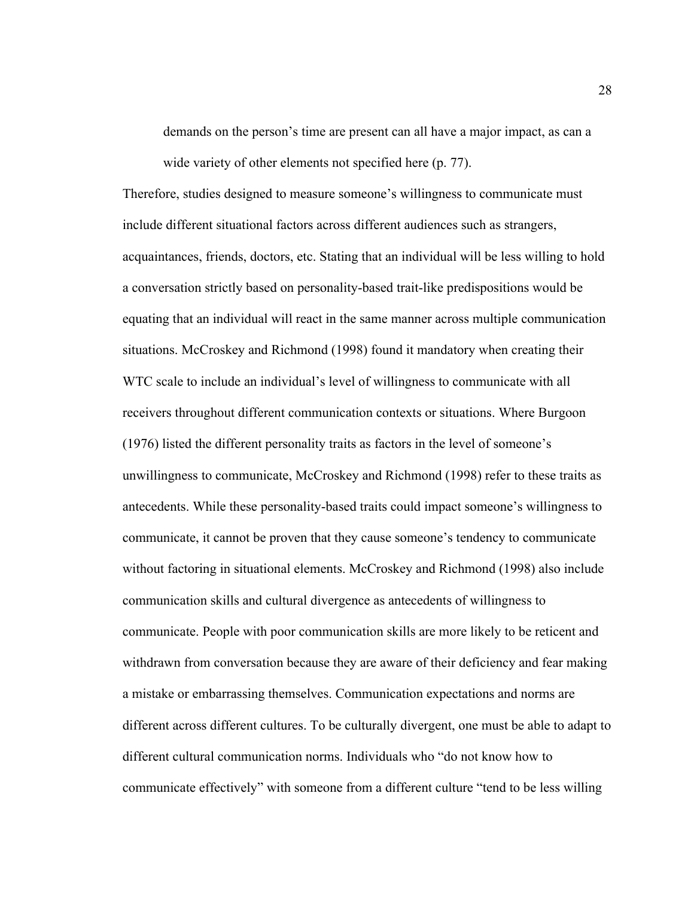demands on the person's time are present can all have a major impact, as can a wide variety of other elements not specified here (p. 77).

Therefore, studies designed to measure someone's willingness to communicate must include different situational factors across different audiences such as strangers, acquaintances, friends, doctors, etc. Stating that an individual will be less willing to hold a conversation strictly based on personality-based trait-like predispositions would be equating that an individual will react in the same manner across multiple communication situations. McCroskey and Richmond (1998) found it mandatory when creating their WTC scale to include an individual's level of willingness to communicate with all receivers throughout different communication contexts or situations. Where Burgoon (1976) listed the different personality traits as factors in the level of someone's unwillingness to communicate, McCroskey and Richmond (1998) refer to these traits as antecedents. While these personality-based traits could impact someone's willingness to communicate, it cannot be proven that they cause someone's tendency to communicate without factoring in situational elements. McCroskey and Richmond (1998) also include communication skills and cultural divergence as antecedents of willingness to communicate. People with poor communication skills are more likely to be reticent and withdrawn from conversation because they are aware of their deficiency and fear making a mistake or embarrassing themselves. Communication expectations and norms are different across different cultures. To be culturally divergent, one must be able to adapt to different cultural communication norms. Individuals who "do not know how to communicate effectively" with someone from a different culture "tend to be less willing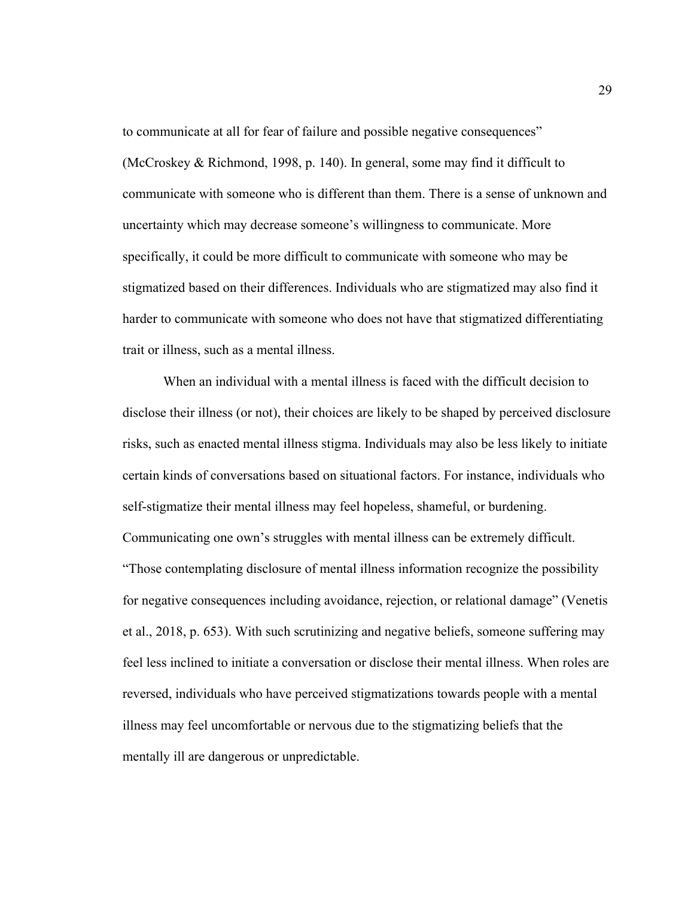to communicate at all for fear of failure and possible negative consequences" (McCroskey & Richmond, 1998, p. 140). In general, some may find it difficult to communicate with someone who is different than them. There is a sense of unknown and uncertainty which may decrease someone's willingness to communicate. More specifically, it could be more difficult to communicate with someone who may be stigmatized based on their differences. Individuals who are stigmatized may also find it harder to communicate with someone who does not have that stigmatized differentiating trait or illness, such as a mental illness.

When an individual with a mental illness is faced with the difficult decision to disclose their illness (or not), their choices are likely to be shaped by perceived disclosure risks, such as enacted mental illness stigma. Individuals may also be less likely to initiate certain kinds of conversations based on situational factors. For instance, individuals who self-stigmatize their mental illness may feel hopeless, shameful, or burdening. Communicating one own's struggles with mental illness can be extremely difficult. "Those contemplating disclosure of mental illness information recognize the possibility for negative consequences including avoidance, rejection, or relational damage" (Venetis et al., 2018, p. 653). With such scrutinizing and negative beliefs, someone suffering may feel less inclined to initiate a conversation or disclose their mental illness. When roles are reversed, individuals who have perceived stigmatizations towards people with a mental illness may feel uncomfortable or nervous due to the stigmatizing beliefs that the mentally ill are dangerous or unpredictable.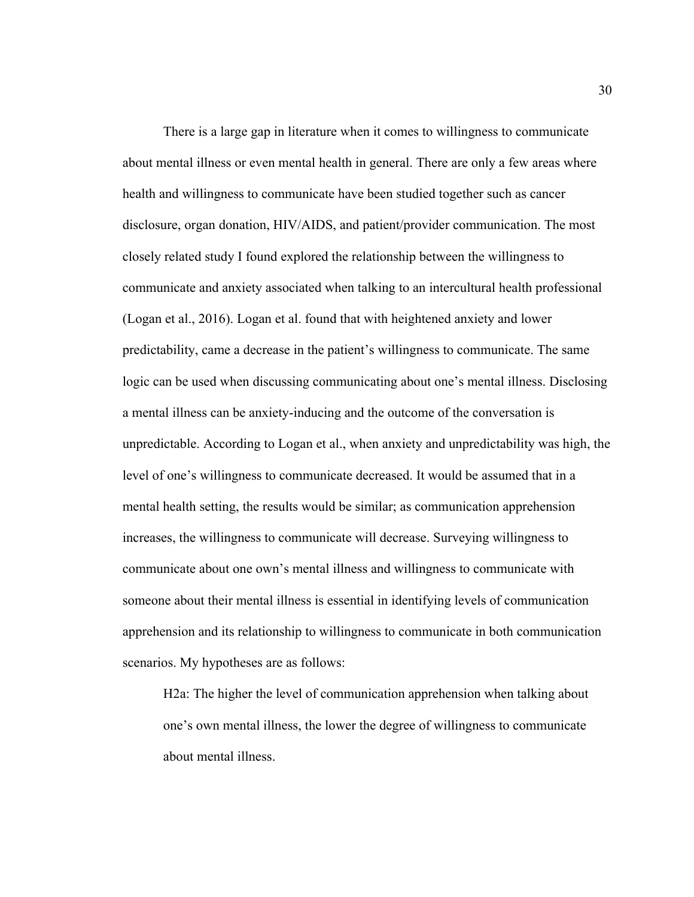There is a large gap in literature when it comes to willingness to communicate about mental illness or even mental health in general. There are only a few areas where health and willingness to communicate have been studied together such as cancer disclosure, organ donation, HIV/AIDS, and patient/provider communication. The most closely related study I found explored the relationship between the willingness to communicate and anxiety associated when talking to an intercultural health professional (Logan et al., 2016). Logan et al. found that with heightened anxiety and lower predictability, came a decrease in the patient's willingness to communicate. The same logic can be used when discussing communicating about one's mental illness. Disclosing a mental illness can be anxiety-inducing and the outcome of the conversation is unpredictable. According to Logan et al., when anxiety and unpredictability was high, the level of one's willingness to communicate decreased. It would be assumed that in a mental health setting, the results would be similar; as communication apprehension increases, the willingness to communicate will decrease. Surveying willingness to communicate about one own's mental illness and willingness to communicate with someone about their mental illness is essential in identifying levels of communication apprehension and its relationship to willingness to communicate in both communication scenarios. My hypotheses are as follows:

H2a: The higher the level of communication apprehension when talking about one's own mental illness, the lower the degree of willingness to communicate about mental illness.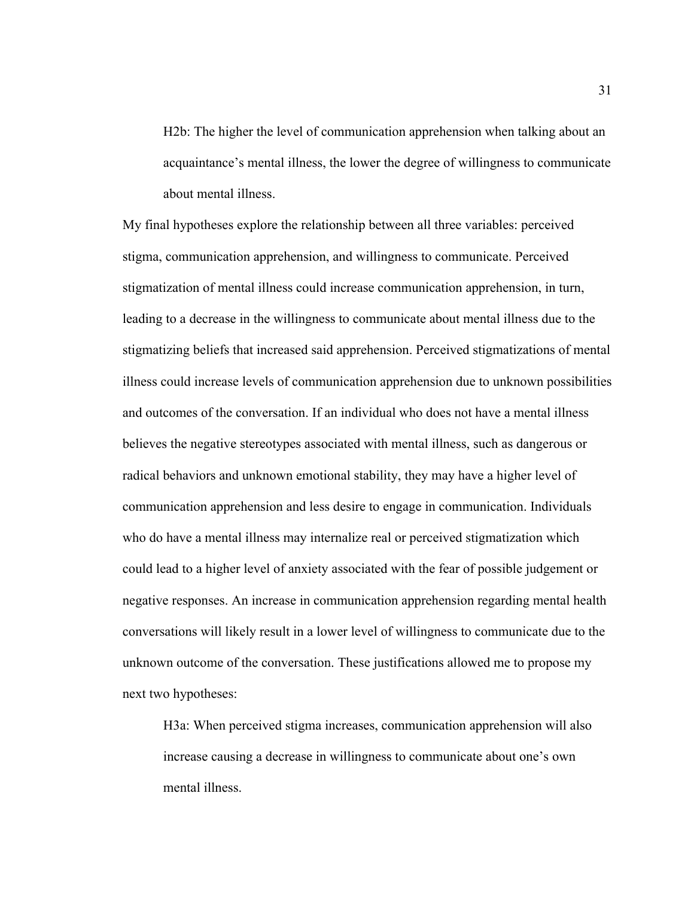H2b: The higher the level of communication apprehension when talking about an acquaintance's mental illness, the lower the degree of willingness to communicate about mental illness.

My final hypotheses explore the relationship between all three variables: perceived stigma, communication apprehension, and willingness to communicate. Perceived stigmatization of mental illness could increase communication apprehension, in turn, leading to a decrease in the willingness to communicate about mental illness due to the stigmatizing beliefs that increased said apprehension. Perceived stigmatizations of mental illness could increase levels of communication apprehension due to unknown possibilities and outcomes of the conversation. If an individual who does not have a mental illness believes the negative stereotypes associated with mental illness, such as dangerous or radical behaviors and unknown emotional stability, they may have a higher level of communication apprehension and less desire to engage in communication. Individuals who do have a mental illness may internalize real or perceived stigmatization which could lead to a higher level of anxiety associated with the fear of possible judgement or negative responses. An increase in communication apprehension regarding mental health conversations will likely result in a lower level of willingness to communicate due to the unknown outcome of the conversation. These justifications allowed me to propose my next two hypotheses:

H3a: When perceived stigma increases, communication apprehension will also increase causing a decrease in willingness to communicate about one's own mental illness.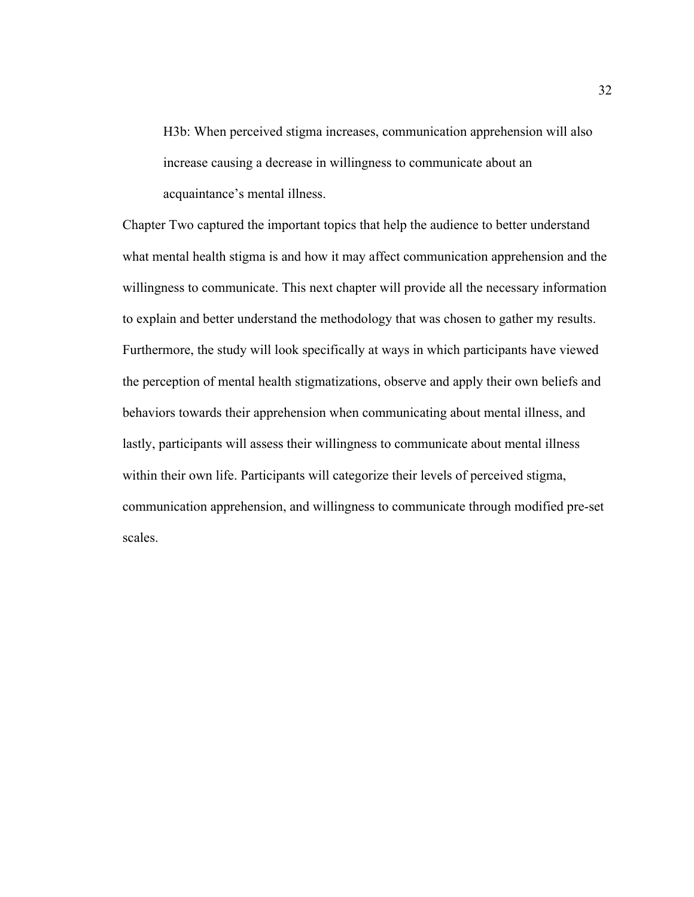H3b: When perceived stigma increases, communication apprehension will also increase causing a decrease in willingness to communicate about an acquaintance's mental illness.

Chapter Two captured the important topics that help the audience to better understand what mental health stigma is and how it may affect communication apprehension and the willingness to communicate. This next chapter will provide all the necessary information to explain and better understand the methodology that was chosen to gather my results. Furthermore, the study will look specifically at ways in which participants have viewed the perception of mental health stigmatizations, observe and apply their own beliefs and behaviors towards their apprehension when communicating about mental illness, and lastly, participants will assess their willingness to communicate about mental illness within their own life. Participants will categorize their levels of perceived stigma, communication apprehension, and willingness to communicate through modified pre-set scales.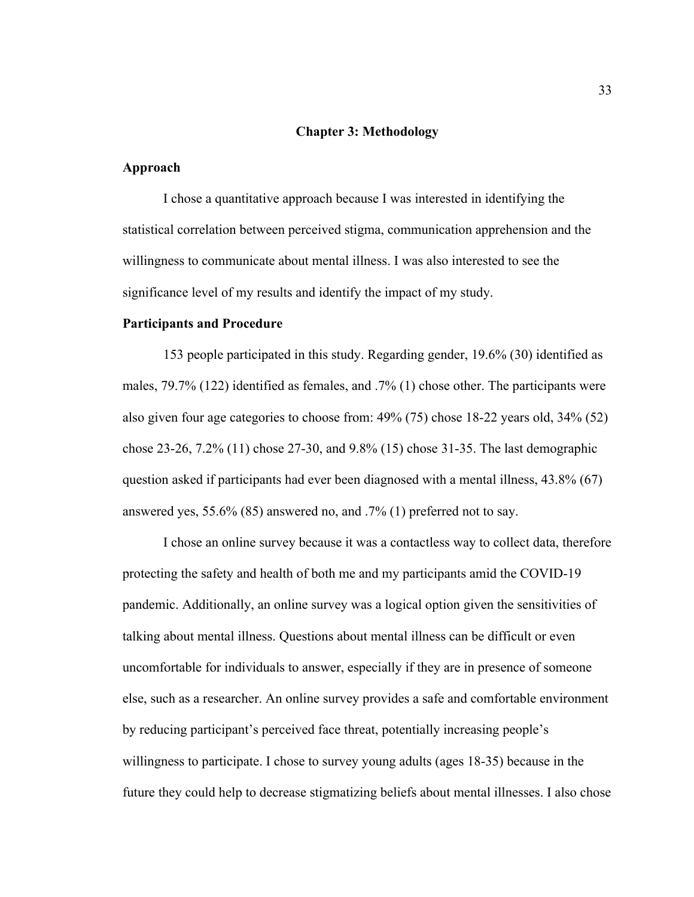#### **Chapter 3: Methodology**

# **Approach**

I chose a quantitative approach because I was interested in identifying the statistical correlation between perceived stigma, communication apprehension and the willingness to communicate about mental illness. I was also interested to see the significance level of my results and identify the impact of my study.

## **Participants and Procedure**

153 people participated in this study. Regarding gender, 19.6% (30) identified as males, 79.7% (122) identified as females, and .7% (1) chose other. The participants were also given four age categories to choose from: 49% (75) chose 18-22 years old, 34% (52) chose 23-26, 7.2% (11) chose 27-30, and 9.8% (15) chose 31-35. The last demographic question asked if participants had ever been diagnosed with a mental illness, 43.8% (67) answered yes, 55.6% (85) answered no, and .7% (1) preferred not to say.

I chose an online survey because it was a contactless way to collect data, therefore protecting the safety and health of both me and my participants amid the COVID-19 pandemic. Additionally, an online survey was a logical option given the sensitivities of talking about mental illness. Questions about mental illness can be difficult or even uncomfortable for individuals to answer, especially if they are in presence of someone else, such as a researcher. An online survey provides a safe and comfortable environment by reducing participant's perceived face threat, potentially increasing people's willingness to participate. I chose to survey young adults (ages 18-35) because in the future they could help to decrease stigmatizing beliefs about mental illnesses. I also chose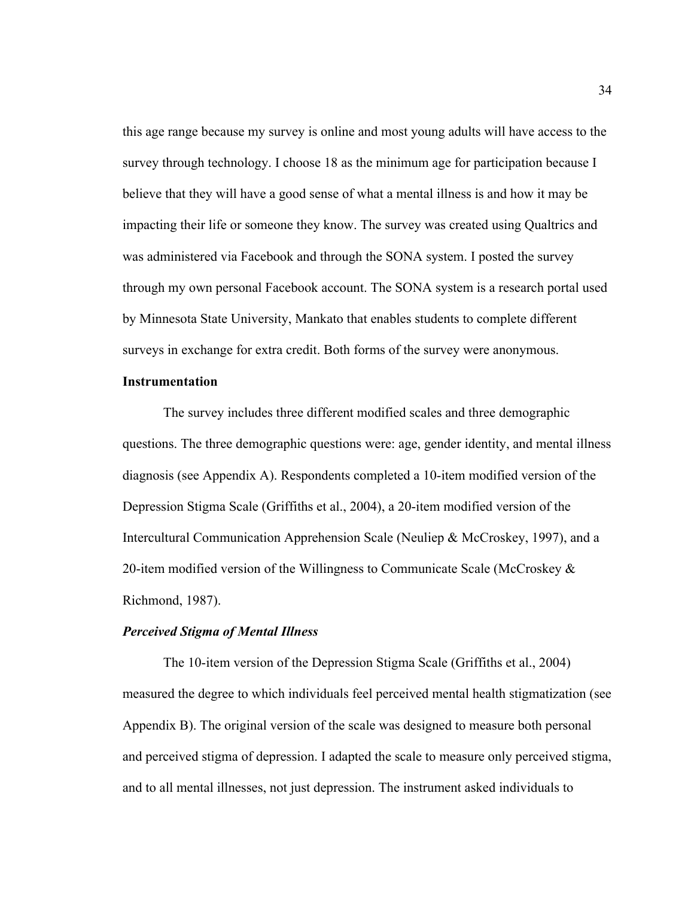this age range because my survey is online and most young adults will have access to the survey through technology. I choose 18 as the minimum age for participation because I believe that they will have a good sense of what a mental illness is and how it may be impacting their life or someone they know. The survey was created using Qualtrics and was administered via Facebook and through the SONA system. I posted the survey through my own personal Facebook account. The SONA system is a research portal used by Minnesota State University, Mankato that enables students to complete different surveys in exchange for extra credit. Both forms of the survey were anonymous.

### **Instrumentation**

The survey includes three different modified scales and three demographic questions. The three demographic questions were: age, gender identity, and mental illness diagnosis (see Appendix A). Respondents completed a 10-item modified version of the Depression Stigma Scale (Griffiths et al., 2004), a 20-item modified version of the Intercultural Communication Apprehension Scale (Neuliep & McCroskey, 1997), and a 20-item modified version of the Willingness to Communicate Scale (McCroskey  $\&$ Richmond, 1987).

## *Perceived Stigma of Mental Illness*

The 10-item version of the Depression Stigma Scale (Griffiths et al., 2004) measured the degree to which individuals feel perceived mental health stigmatization (see Appendix B). The original version of the scale was designed to measure both personal and perceived stigma of depression. I adapted the scale to measure only perceived stigma, and to all mental illnesses, not just depression. The instrument asked individuals to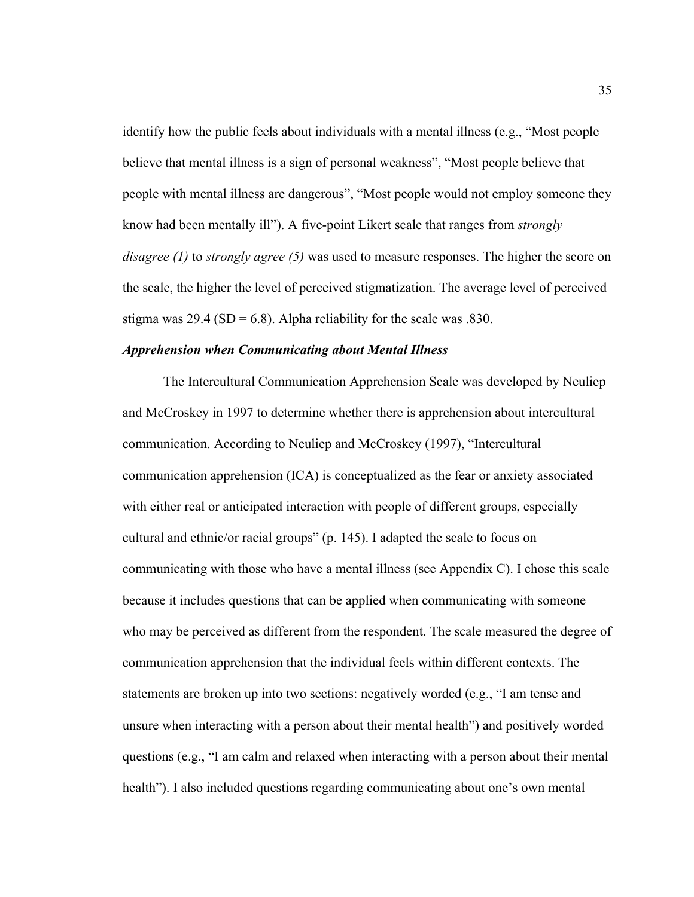identify how the public feels about individuals with a mental illness (e.g., "Most people believe that mental illness is a sign of personal weakness", "Most people believe that people with mental illness are dangerous", "Most people would not employ someone they know had been mentally ill"). A five-point Likert scale that ranges from *strongly disagree (1)* to *strongly agree (5)* was used to measure responses. The higher the score on the scale, the higher the level of perceived stigmatization. The average level of perceived stigma was  $29.4$  (SD = 6.8). Alpha reliability for the scale was .830.

#### *Apprehension when Communicating about Mental Illness*

The Intercultural Communication Apprehension Scale was developed by Neuliep and McCroskey in 1997 to determine whether there is apprehension about intercultural communication. According to Neuliep and McCroskey (1997), "Intercultural communication apprehension (ICA) is conceptualized as the fear or anxiety associated with either real or anticipated interaction with people of different groups, especially cultural and ethnic/or racial groups" (p. 145). I adapted the scale to focus on communicating with those who have a mental illness (see Appendix C). I chose this scale because it includes questions that can be applied when communicating with someone who may be perceived as different from the respondent. The scale measured the degree of communication apprehension that the individual feels within different contexts. The statements are broken up into two sections: negatively worded (e.g., "I am tense and unsure when interacting with a person about their mental health") and positively worded questions (e.g., "I am calm and relaxed when interacting with a person about their mental health"). I also included questions regarding communicating about one's own mental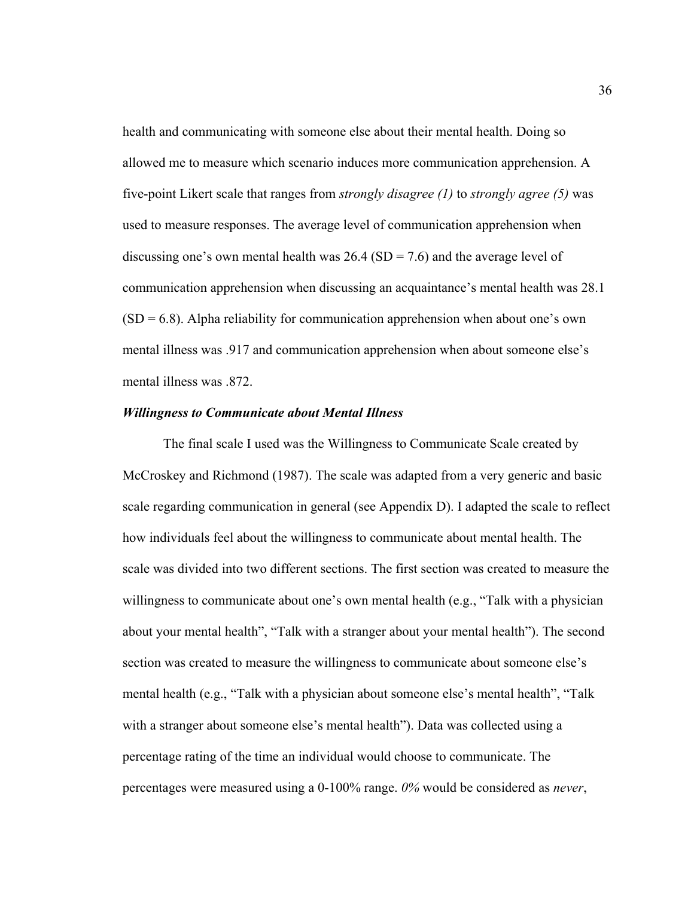health and communicating with someone else about their mental health. Doing so allowed me to measure which scenario induces more communication apprehension. A five-point Likert scale that ranges from *strongly disagree (1)* to *strongly agree (5)* was used to measure responses. The average level of communication apprehension when discussing one's own mental health was  $26.4$  (SD = 7.6) and the average level of communication apprehension when discussing an acquaintance's mental health was 28.1  $(SD = 6.8)$ . Alpha reliability for communication apprehension when about one's own mental illness was .917 and communication apprehension when about someone else's mental illness was .872.

#### *Willingness to Communicate about Mental Illness*

The final scale I used was the Willingness to Communicate Scale created by McCroskey and Richmond (1987). The scale was adapted from a very generic and basic scale regarding communication in general (see Appendix D). I adapted the scale to reflect how individuals feel about the willingness to communicate about mental health. The scale was divided into two different sections. The first section was created to measure the willingness to communicate about one's own mental health (e.g., "Talk with a physician about your mental health", "Talk with a stranger about your mental health"). The second section was created to measure the willingness to communicate about someone else's mental health (e.g., "Talk with a physician about someone else's mental health", "Talk with a stranger about someone else's mental health"). Data was collected using a percentage rating of the time an individual would choose to communicate. The percentages were measured using a 0-100% range. *0%* would be considered as *never*,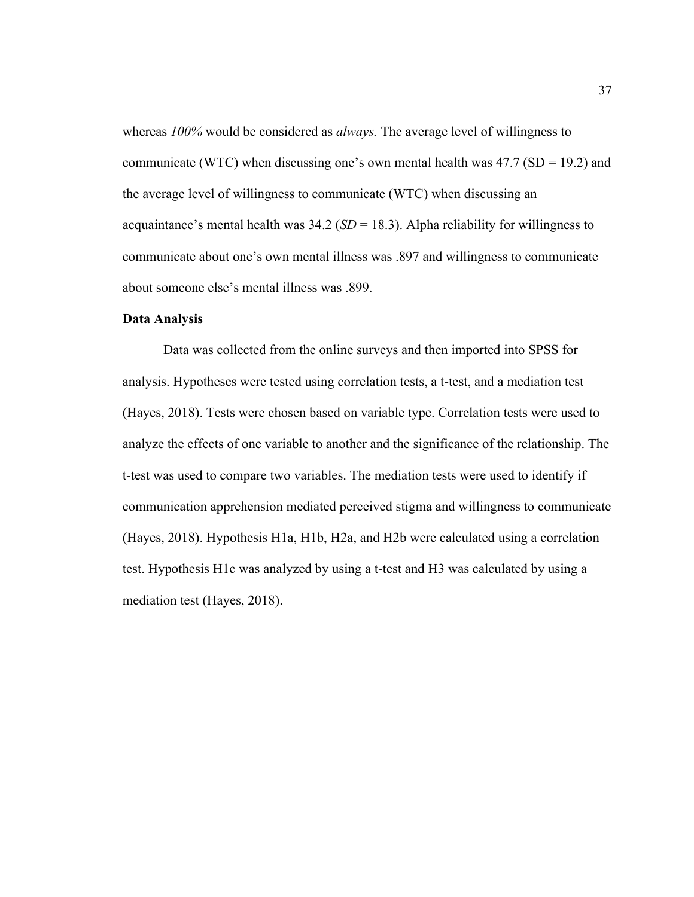whereas *100%* would be considered as *always.* The average level of willingness to communicate (WTC) when discussing one's own mental health was  $47.7$  (SD = 19.2) and the average level of willingness to communicate (WTC) when discussing an acquaintance's mental health was  $34.2$  (*SD* = 18.3). Alpha reliability for willingness to communicate about one's own mental illness was .897 and willingness to communicate about someone else's mental illness was .899.

## **Data Analysis**

Data was collected from the online surveys and then imported into SPSS for analysis. Hypotheses were tested using correlation tests, a t-test, and a mediation test (Hayes, 2018). Tests were chosen based on variable type. Correlation tests were used to analyze the effects of one variable to another and the significance of the relationship. The t-test was used to compare two variables. The mediation tests were used to identify if communication apprehension mediated perceived stigma and willingness to communicate (Hayes, 2018). Hypothesis H1a, H1b, H2a, and H2b were calculated using a correlation test. Hypothesis H1c was analyzed by using a t-test and H3 was calculated by using a mediation test (Hayes, 2018).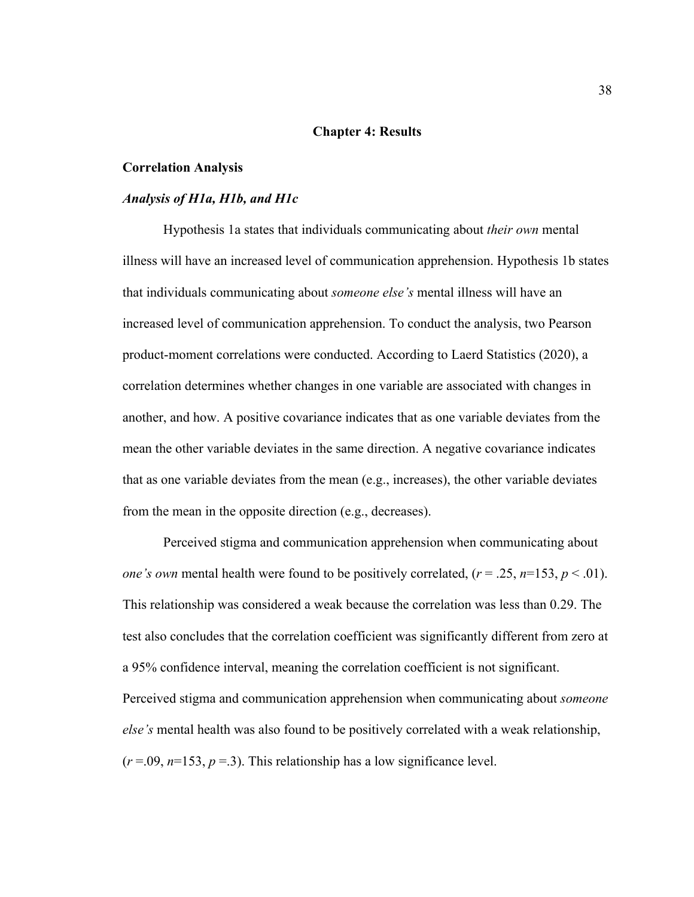#### **Chapter 4: Results**

#### **Correlation Analysis**

### *Analysis of H1a, H1b, and H1c*

Hypothesis 1a states that individuals communicating about *their own* mental illness will have an increased level of communication apprehension. Hypothesis 1b states that individuals communicating about *someone else's* mental illness will have an increased level of communication apprehension. To conduct the analysis, two Pearson product-moment correlations were conducted. According to Laerd Statistics (2020), a correlation determines whether changes in one variable are associated with changes in another, and how. A positive covariance indicates that as one variable deviates from the mean the other variable deviates in the same direction. A negative covariance indicates that as one variable deviates from the mean (e.g., increases), the other variable deviates from the mean in the opposite direction (e.g., decreases).

Perceived stigma and communication apprehension when communicating about *one's own* mental health were found to be positively correlated,  $(r = .25, n=153, p < .01)$ . This relationship was considered a weak because the correlation was less than 0.29. The test also concludes that the correlation coefficient was significantly different from zero at a 95% confidence interval, meaning the correlation coefficient is not significant. Perceived stigma and communication apprehension when communicating about *someone else's* mental health was also found to be positively correlated with a weak relationship,  $(r=0.09, n=153, p=.3)$ . This relationship has a low significance level.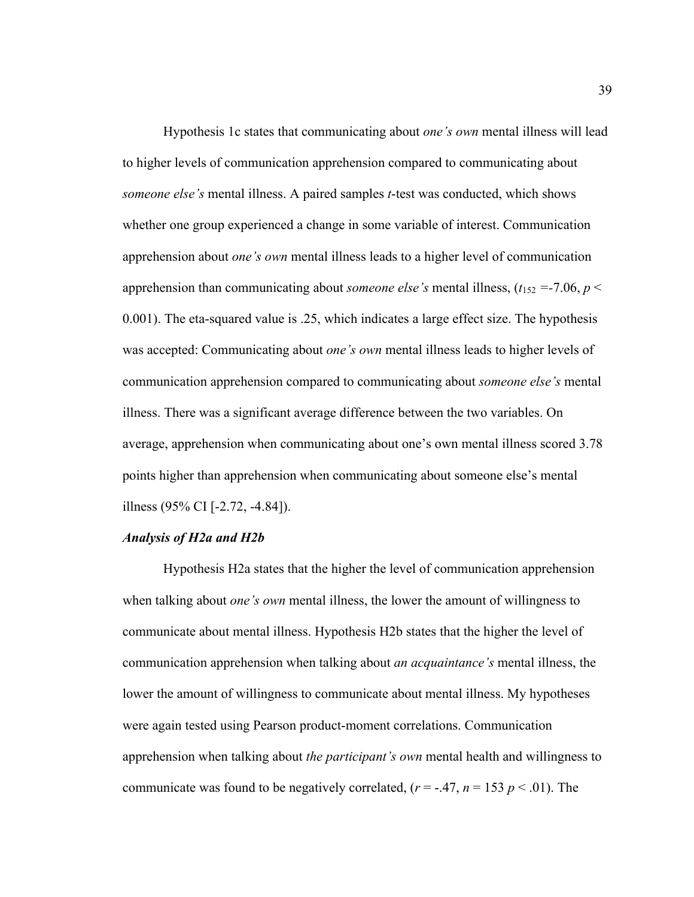Hypothesis 1c states that communicating about *one's own* mental illness will lead to higher levels of communication apprehension compared to communicating about *someone else's* mental illness. A paired samples *t*-test was conducted, which shows whether one group experienced a change in some variable of interest. Communication apprehension about *one's own* mental illness leads to a higher level of communication apprehension than communicating about *someone else's* mental illness,  $(t_{152} = -7.06, p <$ 0.001). The eta-squared value is .25, which indicates a large effect size. The hypothesis was accepted: Communicating about *one's own* mental illness leads to higher levels of communication apprehension compared to communicating about *someone else's* mental illness. There was a significant average difference between the two variables. On average, apprehension when communicating about one's own mental illness scored 3.78 points higher than apprehension when communicating about someone else's mental illness (95% CI [-2.72, -4.84]).

## *Analysis of H2a and H2b*

Hypothesis H2a states that the higher the level of communication apprehension when talking about *one's own* mental illness, the lower the amount of willingness to communicate about mental illness. Hypothesis H2b states that the higher the level of communication apprehension when talking about *an acquaintance's* mental illness, the lower the amount of willingness to communicate about mental illness. My hypotheses were again tested using Pearson product-moment correlations. Communication apprehension when talking about *the participant's own* mental health and willingness to communicate was found to be negatively correlated,  $(r = -.47, n = 153 p < .01)$ . The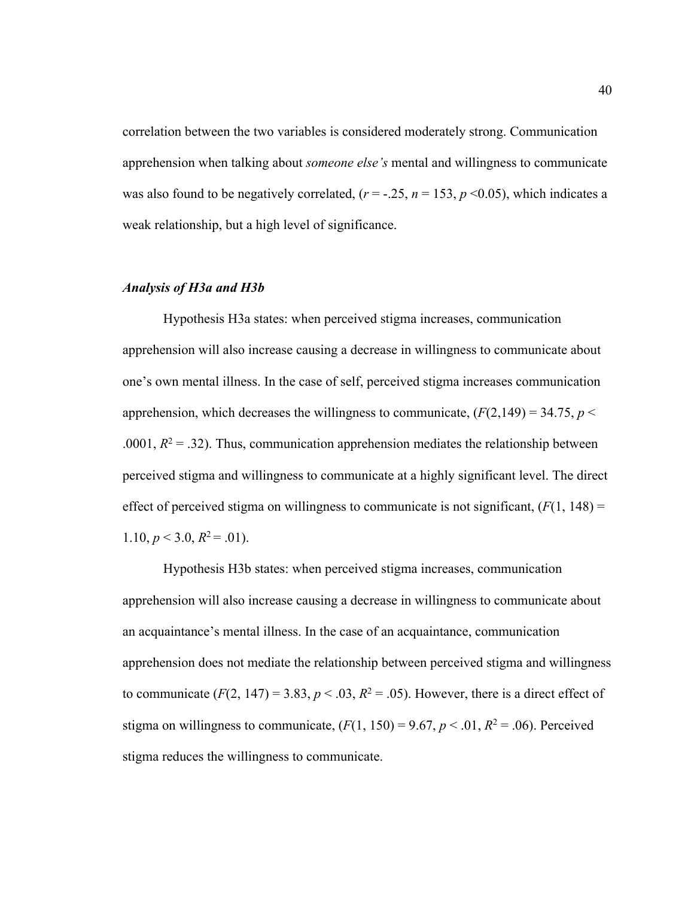correlation between the two variables is considered moderately strong. Communication apprehension when talking about *someone else's* mental and willingness to communicate was also found to be negatively correlated,  $(r = -.25, n = 153, p \le 0.05)$ , which indicates a weak relationship, but a high level of significance.

#### *Analysis of H3a and H3b*

Hypothesis H3a states: when perceived stigma increases, communication apprehension will also increase causing a decrease in willingness to communicate about one's own mental illness. In the case of self, perceived stigma increases communication apprehension, which decreases the willingness to communicate,  $(F(2,149) = 34.75, p <$ .0001,  $R^2 = 0.32$ ). Thus, communication apprehension mediates the relationship between perceived stigma and willingness to communicate at a highly significant level. The direct effect of perceived stigma on willingness to communicate is not significant,  $(F(1, 148))$  = 1.10,  $p < 3.0$ ,  $R^2 = .01$ ).

Hypothesis H3b states: when perceived stigma increases, communication apprehension will also increase causing a decrease in willingness to communicate about an acquaintance's mental illness. In the case of an acquaintance, communication apprehension does not mediate the relationship between perceived stigma and willingness to communicate  $(F(2, 147) = 3.83, p < .03, R^2 = .05)$ . However, there is a direct effect of stigma on willingness to communicate,  $(F(1, 150) = 9.67, p < .01, R^2 = .06)$ . Perceived stigma reduces the willingness to communicate.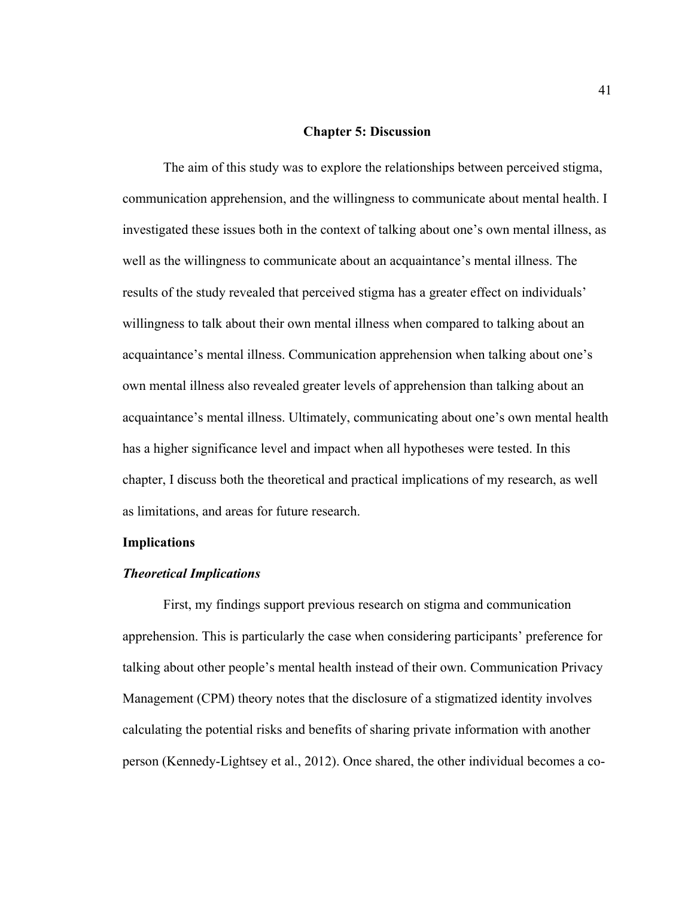#### **Chapter 5: Discussion**

The aim of this study was to explore the relationships between perceived stigma, communication apprehension, and the willingness to communicate about mental health. I investigated these issues both in the context of talking about one's own mental illness, as well as the willingness to communicate about an acquaintance's mental illness. The results of the study revealed that perceived stigma has a greater effect on individuals' willingness to talk about their own mental illness when compared to talking about an acquaintance's mental illness. Communication apprehension when talking about one's own mental illness also revealed greater levels of apprehension than talking about an acquaintance's mental illness. Ultimately, communicating about one's own mental health has a higher significance level and impact when all hypotheses were tested. In this chapter, I discuss both the theoretical and practical implications of my research, as well as limitations, and areas for future research.

### **Implications**

## *Theoretical Implications*

First, my findings support previous research on stigma and communication apprehension. This is particularly the case when considering participants' preference for talking about other people's mental health instead of their own. Communication Privacy Management (CPM) theory notes that the disclosure of a stigmatized identity involves calculating the potential risks and benefits of sharing private information with another person (Kennedy-Lightsey et al., 2012). Once shared, the other individual becomes a co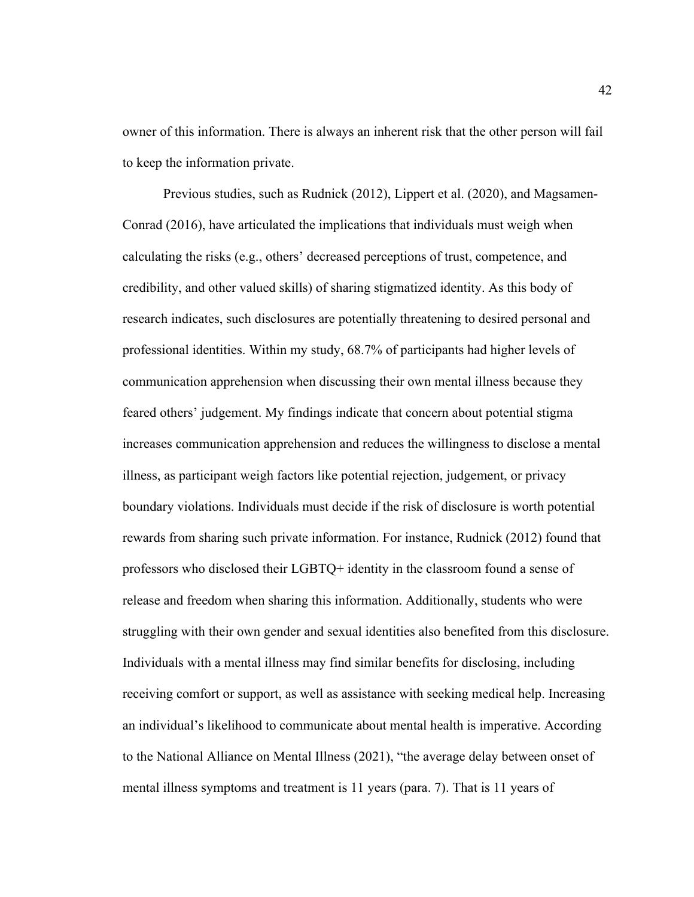owner of this information. There is always an inherent risk that the other person will fail to keep the information private.

Previous studies, such as Rudnick (2012), Lippert et al. (2020), and Magsamen-Conrad (2016), have articulated the implications that individuals must weigh when calculating the risks (e.g., others' decreased perceptions of trust, competence, and credibility, and other valued skills) of sharing stigmatized identity. As this body of research indicates, such disclosures are potentially threatening to desired personal and professional identities. Within my study, 68.7% of participants had higher levels of communication apprehension when discussing their own mental illness because they feared others' judgement. My findings indicate that concern about potential stigma increases communication apprehension and reduces the willingness to disclose a mental illness, as participant weigh factors like potential rejection, judgement, or privacy boundary violations. Individuals must decide if the risk of disclosure is worth potential rewards from sharing such private information. For instance, Rudnick (2012) found that professors who disclosed their LGBTQ+ identity in the classroom found a sense of release and freedom when sharing this information. Additionally, students who were struggling with their own gender and sexual identities also benefited from this disclosure. Individuals with a mental illness may find similar benefits for disclosing, including receiving comfort or support, as well as assistance with seeking medical help. Increasing an individual's likelihood to communicate about mental health is imperative. According to the National Alliance on Mental Illness (2021), "the average delay between onset of mental illness symptoms and treatment is 11 years (para. 7). That is 11 years of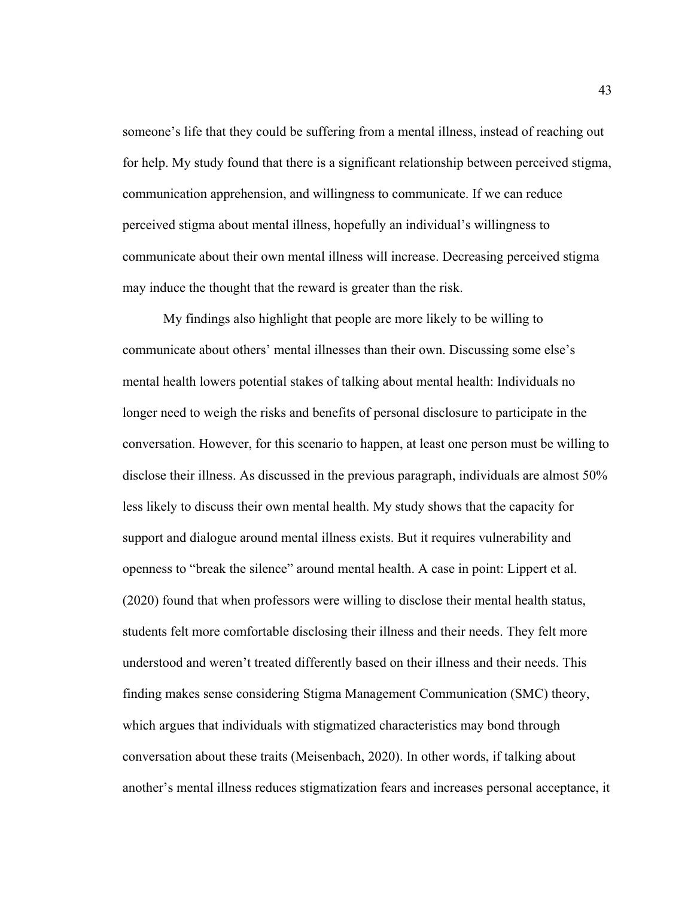someone's life that they could be suffering from a mental illness, instead of reaching out for help. My study found that there is a significant relationship between perceived stigma, communication apprehension, and willingness to communicate. If we can reduce perceived stigma about mental illness, hopefully an individual's willingness to communicate about their own mental illness will increase. Decreasing perceived stigma may induce the thought that the reward is greater than the risk.

My findings also highlight that people are more likely to be willing to communicate about others' mental illnesses than their own. Discussing some else's mental health lowers potential stakes of talking about mental health: Individuals no longer need to weigh the risks and benefits of personal disclosure to participate in the conversation. However, for this scenario to happen, at least one person must be willing to disclose their illness. As discussed in the previous paragraph, individuals are almost 50% less likely to discuss their own mental health. My study shows that the capacity for support and dialogue around mental illness exists. But it requires vulnerability and openness to "break the silence" around mental health. A case in point: Lippert et al. (2020) found that when professors were willing to disclose their mental health status, students felt more comfortable disclosing their illness and their needs. They felt more understood and weren't treated differently based on their illness and their needs. This finding makes sense considering Stigma Management Communication (SMC) theory, which argues that individuals with stigmatized characteristics may bond through conversation about these traits (Meisenbach, 2020). In other words, if talking about another's mental illness reduces stigmatization fears and increases personal acceptance, it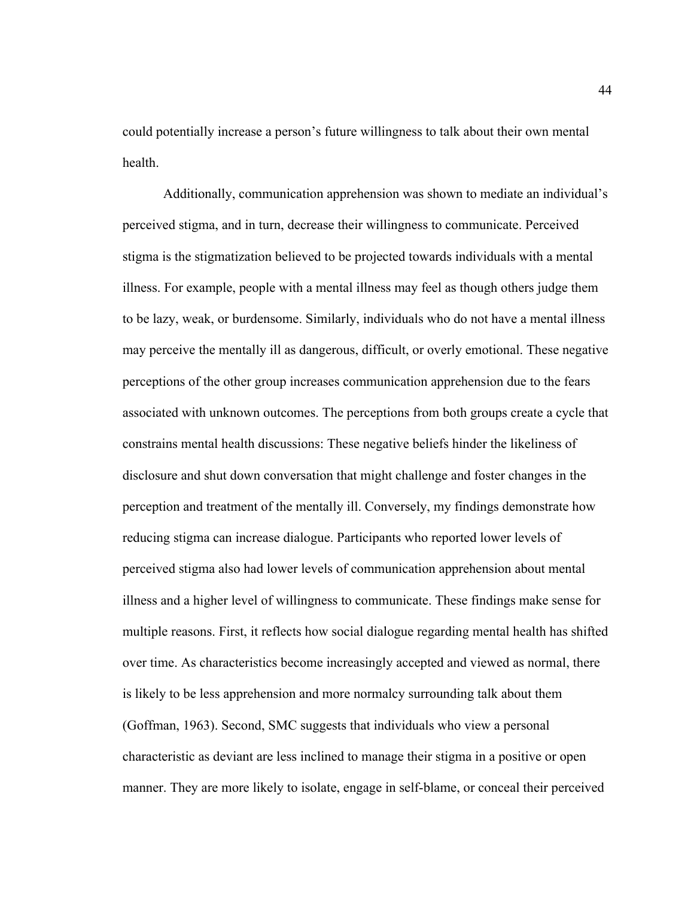could potentially increase a person's future willingness to talk about their own mental health.

Additionally, communication apprehension was shown to mediate an individual's perceived stigma, and in turn, decrease their willingness to communicate. Perceived stigma is the stigmatization believed to be projected towards individuals with a mental illness. For example, people with a mental illness may feel as though others judge them to be lazy, weak, or burdensome. Similarly, individuals who do not have a mental illness may perceive the mentally ill as dangerous, difficult, or overly emotional. These negative perceptions of the other group increases communication apprehension due to the fears associated with unknown outcomes. The perceptions from both groups create a cycle that constrains mental health discussions: These negative beliefs hinder the likeliness of disclosure and shut down conversation that might challenge and foster changes in the perception and treatment of the mentally ill. Conversely, my findings demonstrate how reducing stigma can increase dialogue. Participants who reported lower levels of perceived stigma also had lower levels of communication apprehension about mental illness and a higher level of willingness to communicate. These findings make sense for multiple reasons. First, it reflects how social dialogue regarding mental health has shifted over time. As characteristics become increasingly accepted and viewed as normal, there is likely to be less apprehension and more normalcy surrounding talk about them (Goffman, 1963). Second, SMC suggests that individuals who view a personal characteristic as deviant are less inclined to manage their stigma in a positive or open manner. They are more likely to isolate, engage in self-blame, or conceal their perceived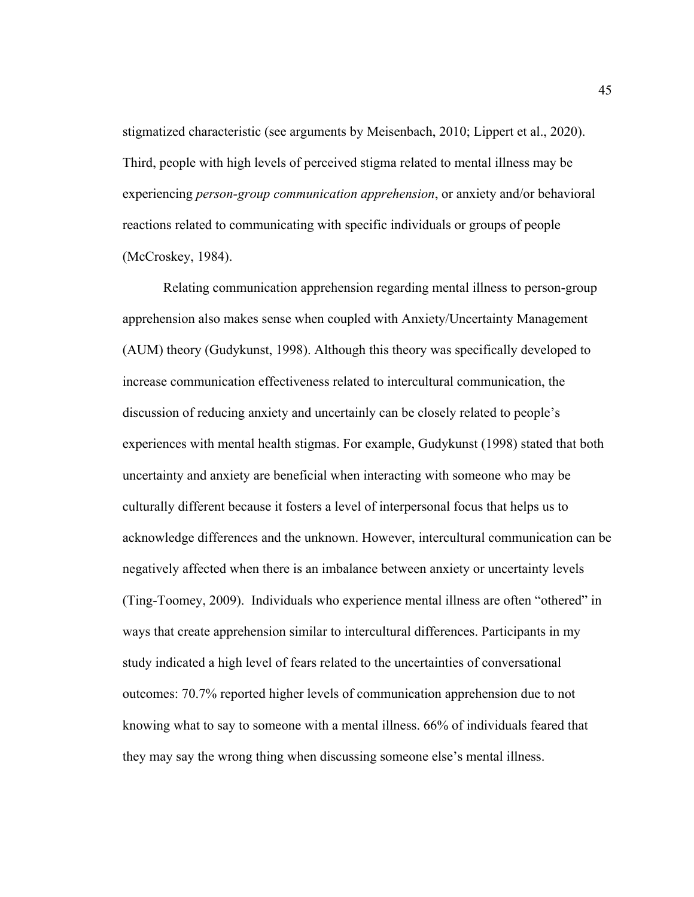stigmatized characteristic (see arguments by Meisenbach, 2010; Lippert et al., 2020). Third, people with high levels of perceived stigma related to mental illness may be experiencing *person-group communication apprehension*, or anxiety and/or behavioral reactions related to communicating with specific individuals or groups of people (McCroskey, 1984).

Relating communication apprehension regarding mental illness to person-group apprehension also makes sense when coupled with Anxiety/Uncertainty Management (AUM) theory (Gudykunst, 1998). Although this theory was specifically developed to increase communication effectiveness related to intercultural communication, the discussion of reducing anxiety and uncertainly can be closely related to people's experiences with mental health stigmas. For example, Gudykunst (1998) stated that both uncertainty and anxiety are beneficial when interacting with someone who may be culturally different because it fosters a level of interpersonal focus that helps us to acknowledge differences and the unknown. However, intercultural communication can be negatively affected when there is an imbalance between anxiety or uncertainty levels (Ting-Toomey, 2009). Individuals who experience mental illness are often "othered" in ways that create apprehension similar to intercultural differences. Participants in my study indicated a high level of fears related to the uncertainties of conversational outcomes: 70.7% reported higher levels of communication apprehension due to not knowing what to say to someone with a mental illness. 66% of individuals feared that they may say the wrong thing when discussing someone else's mental illness.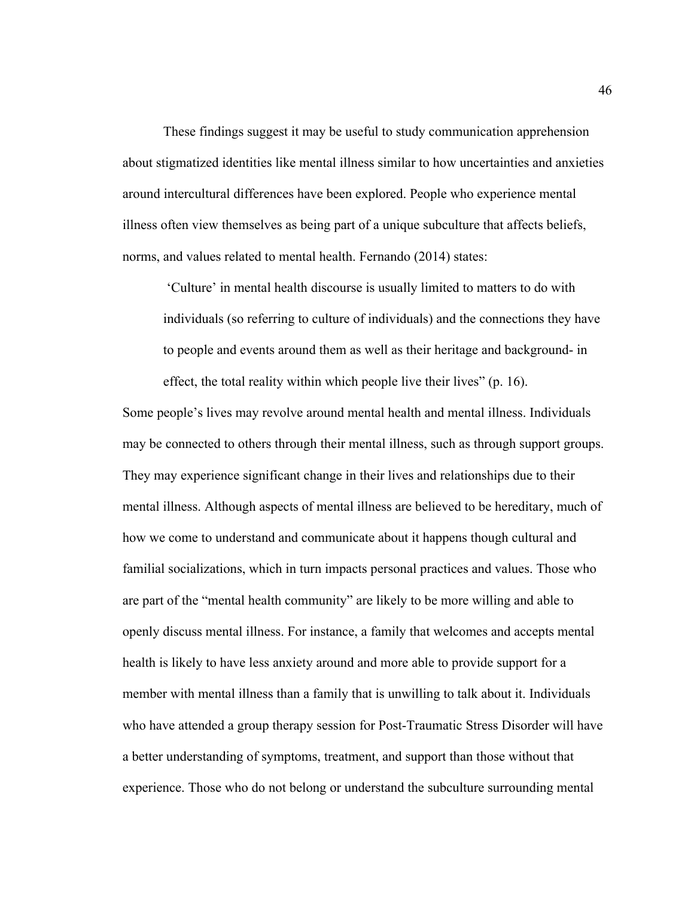These findings suggest it may be useful to study communication apprehension about stigmatized identities like mental illness similar to how uncertainties and anxieties around intercultural differences have been explored. People who experience mental illness often view themselves as being part of a unique subculture that affects beliefs, norms, and values related to mental health. Fernando (2014) states:

'Culture' in mental health discourse is usually limited to matters to do with individuals (so referring to culture of individuals) and the connections they have to people and events around them as well as their heritage and background- in

effect, the total reality within which people live their lives" (p. 16).

Some people's lives may revolve around mental health and mental illness. Individuals may be connected to others through their mental illness, such as through support groups. They may experience significant change in their lives and relationships due to their mental illness. Although aspects of mental illness are believed to be hereditary, much of how we come to understand and communicate about it happens though cultural and familial socializations, which in turn impacts personal practices and values. Those who are part of the "mental health community" are likely to be more willing and able to openly discuss mental illness. For instance, a family that welcomes and accepts mental health is likely to have less anxiety around and more able to provide support for a member with mental illness than a family that is unwilling to talk about it. Individuals who have attended a group therapy session for Post-Traumatic Stress Disorder will have a better understanding of symptoms, treatment, and support than those without that experience. Those who do not belong or understand the subculture surrounding mental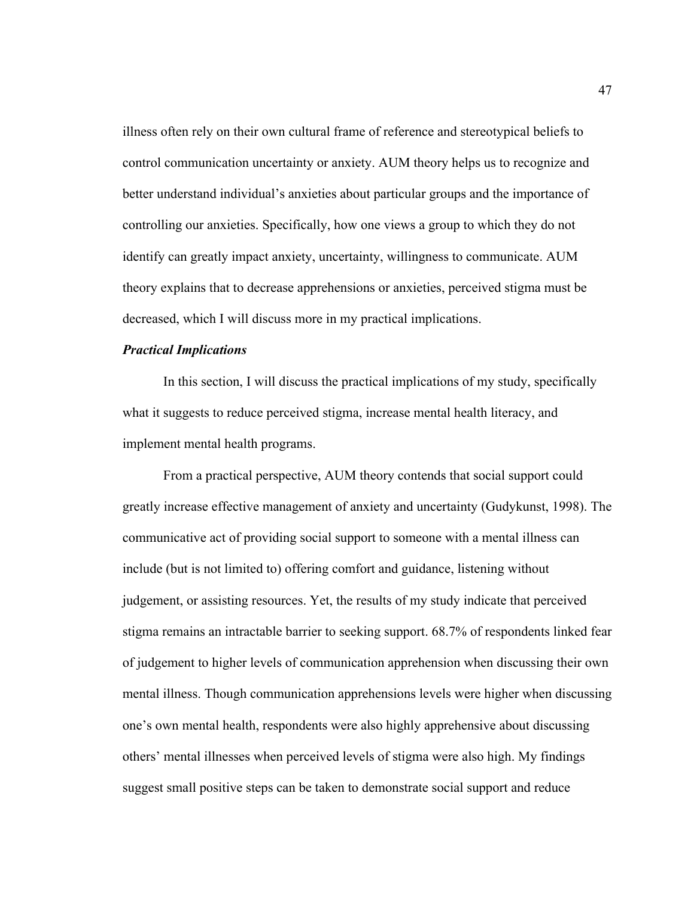illness often rely on their own cultural frame of reference and stereotypical beliefs to control communication uncertainty or anxiety. AUM theory helps us to recognize and better understand individual's anxieties about particular groups and the importance of controlling our anxieties. Specifically, how one views a group to which they do not identify can greatly impact anxiety, uncertainty, willingness to communicate. AUM theory explains that to decrease apprehensions or anxieties, perceived stigma must be decreased, which I will discuss more in my practical implications.

## *Practical Implications*

In this section, I will discuss the practical implications of my study, specifically what it suggests to reduce perceived stigma, increase mental health literacy, and implement mental health programs.

From a practical perspective, AUM theory contends that social support could greatly increase effective management of anxiety and uncertainty (Gudykunst, 1998). The communicative act of providing social support to someone with a mental illness can include (but is not limited to) offering comfort and guidance, listening without judgement, or assisting resources. Yet, the results of my study indicate that perceived stigma remains an intractable barrier to seeking support. 68.7% of respondents linked fear of judgement to higher levels of communication apprehension when discussing their own mental illness. Though communication apprehensions levels were higher when discussing one's own mental health, respondents were also highly apprehensive about discussing others' mental illnesses when perceived levels of stigma were also high. My findings suggest small positive steps can be taken to demonstrate social support and reduce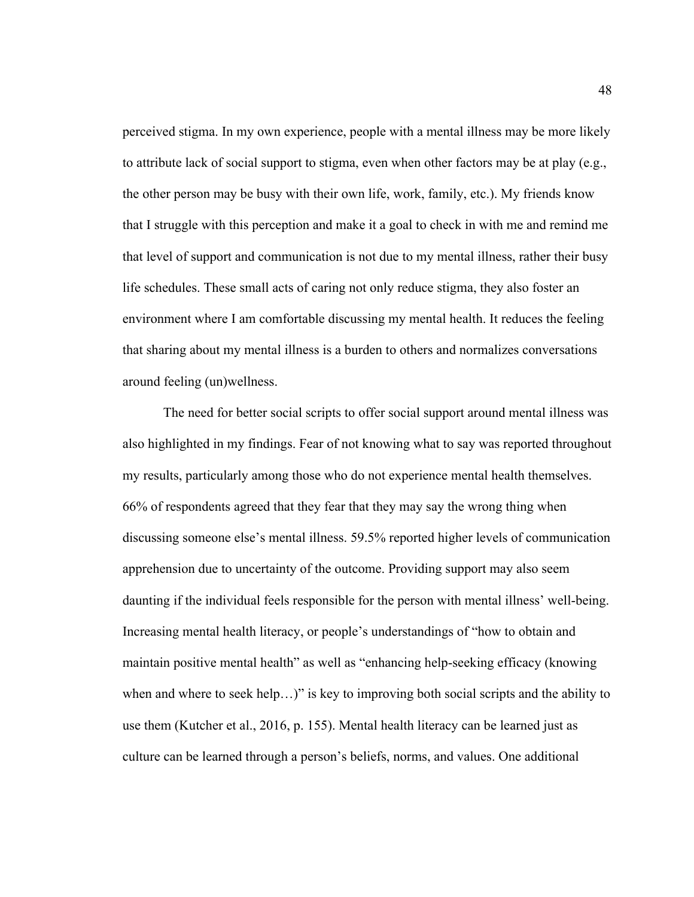perceived stigma. In my own experience, people with a mental illness may be more likely to attribute lack of social support to stigma, even when other factors may be at play (e.g., the other person may be busy with their own life, work, family, etc.). My friends know that I struggle with this perception and make it a goal to check in with me and remind me that level of support and communication is not due to my mental illness, rather their busy life schedules. These small acts of caring not only reduce stigma, they also foster an environment where I am comfortable discussing my mental health. It reduces the feeling that sharing about my mental illness is a burden to others and normalizes conversations around feeling (un)wellness.

The need for better social scripts to offer social support around mental illness was also highlighted in my findings. Fear of not knowing what to say was reported throughout my results, particularly among those who do not experience mental health themselves. 66% of respondents agreed that they fear that they may say the wrong thing when discussing someone else's mental illness. 59.5% reported higher levels of communication apprehension due to uncertainty of the outcome. Providing support may also seem daunting if the individual feels responsible for the person with mental illness' well-being. Increasing mental health literacy, or people's understandings of "how to obtain and maintain positive mental health" as well as "enhancing help-seeking efficacy (knowing when and where to seek help...)" is key to improving both social scripts and the ability to use them (Kutcher et al., 2016, p. 155). Mental health literacy can be learned just as culture can be learned through a person's beliefs, norms, and values. One additional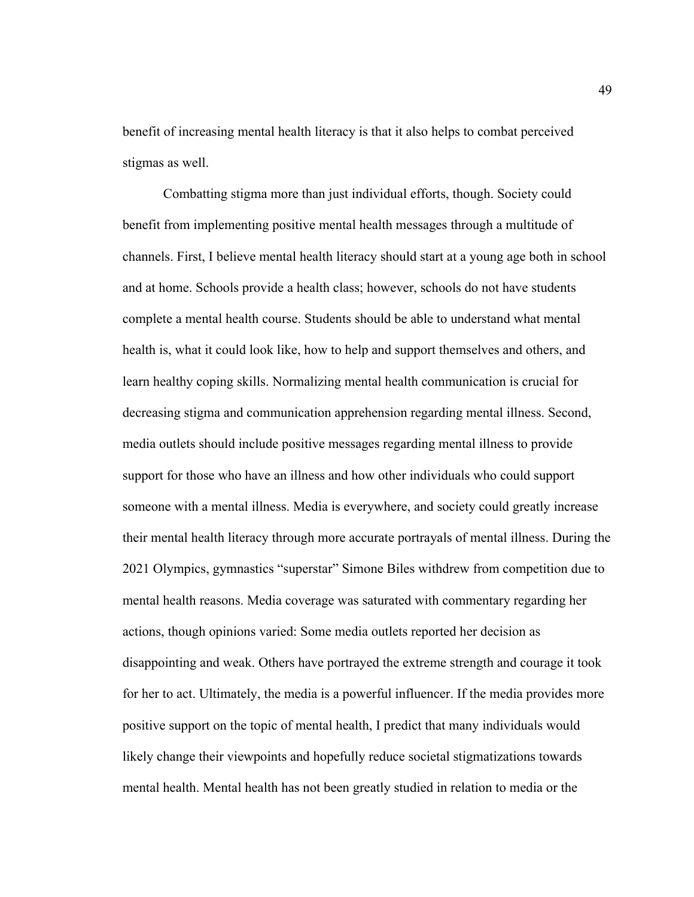benefit of increasing mental health literacy is that it also helps to combat perceived stigmas as well.

Combatting stigma more than just individual efforts, though. Society could benefit from implementing positive mental health messages through a multitude of channels. First, I believe mental health literacy should start at a young age both in school and at home. Schools provide a health class; however, schools do not have students complete a mental health course. Students should be able to understand what mental health is, what it could look like, how to help and support themselves and others, and learn healthy coping skills. Normalizing mental health communication is crucial for decreasing stigma and communication apprehension regarding mental illness. Second, media outlets should include positive messages regarding mental illness to provide support for those who have an illness and how other individuals who could support someone with a mental illness. Media is everywhere, and society could greatly increase their mental health literacy through more accurate portrayals of mental illness. During the 2021 Olympics, gymnastics "superstar" Simone Biles withdrew from competition due to mental health reasons. Media coverage was saturated with commentary regarding her actions, though opinions varied: Some media outlets reported her decision as disappointing and weak. Others have portrayed the extreme strength and courage it took for her to act. Ultimately, the media is a powerful influencer. If the media provides more positive support on the topic of mental health, I predict that many individuals would likely change their viewpoints and hopefully reduce societal stigmatizations towards mental health. Mental health has not been greatly studied in relation to media or the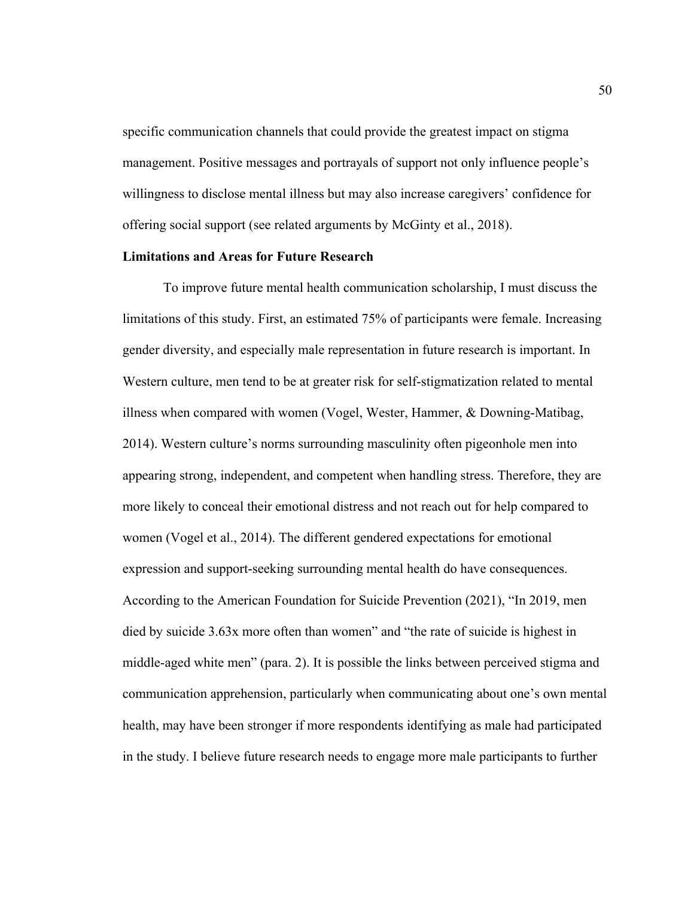specific communication channels that could provide the greatest impact on stigma management. Positive messages and portrayals of support not only influence people's willingness to disclose mental illness but may also increase caregivers' confidence for offering social support (see related arguments by McGinty et al., 2018).

#### **Limitations and Areas for Future Research**

To improve future mental health communication scholarship, I must discuss the limitations of this study. First, an estimated 75% of participants were female. Increasing gender diversity, and especially male representation in future research is important. In Western culture, men tend to be at greater risk for self-stigmatization related to mental illness when compared with women (Vogel, Wester, Hammer, & Downing-Matibag, 2014). Western culture's norms surrounding masculinity often pigeonhole men into appearing strong, independent, and competent when handling stress. Therefore, they are more likely to conceal their emotional distress and not reach out for help compared to women (Vogel et al., 2014). The different gendered expectations for emotional expression and support-seeking surrounding mental health do have consequences. According to the American Foundation for Suicide Prevention (2021), "In 2019, men died by suicide 3.63x more often than women" and "the rate of suicide is highest in middle-aged white men" (para. 2). It is possible the links between perceived stigma and communication apprehension, particularly when communicating about one's own mental health, may have been stronger if more respondents identifying as male had participated in the study. I believe future research needs to engage more male participants to further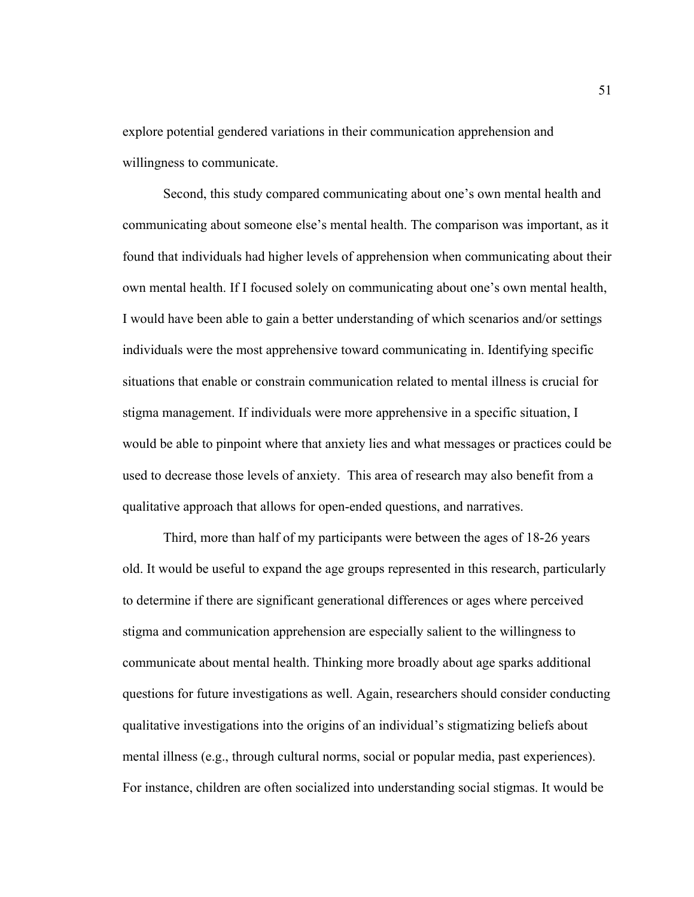explore potential gendered variations in their communication apprehension and willingness to communicate.

Second, this study compared communicating about one's own mental health and communicating about someone else's mental health. The comparison was important, as it found that individuals had higher levels of apprehension when communicating about their own mental health. If I focused solely on communicating about one's own mental health, I would have been able to gain a better understanding of which scenarios and/or settings individuals were the most apprehensive toward communicating in. Identifying specific situations that enable or constrain communication related to mental illness is crucial for stigma management. If individuals were more apprehensive in a specific situation, I would be able to pinpoint where that anxiety lies and what messages or practices could be used to decrease those levels of anxiety. This area of research may also benefit from a qualitative approach that allows for open-ended questions, and narratives.

Third, more than half of my participants were between the ages of 18-26 years old. It would be useful to expand the age groups represented in this research, particularly to determine if there are significant generational differences or ages where perceived stigma and communication apprehension are especially salient to the willingness to communicate about mental health. Thinking more broadly about age sparks additional questions for future investigations as well. Again, researchers should consider conducting qualitative investigations into the origins of an individual's stigmatizing beliefs about mental illness (e.g., through cultural norms, social or popular media, past experiences). For instance, children are often socialized into understanding social stigmas. It would be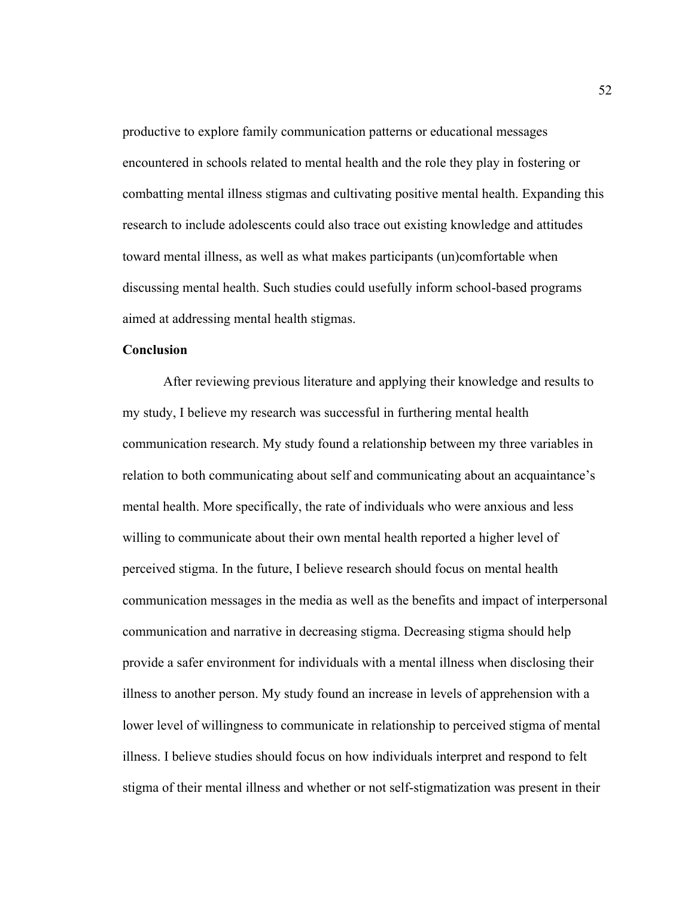productive to explore family communication patterns or educational messages encountered in schools related to mental health and the role they play in fostering or combatting mental illness stigmas and cultivating positive mental health. Expanding this research to include adolescents could also trace out existing knowledge and attitudes toward mental illness, as well as what makes participants (un)comfortable when discussing mental health. Such studies could usefully inform school-based programs aimed at addressing mental health stigmas.

# **Conclusion**

After reviewing previous literature and applying their knowledge and results to my study, I believe my research was successful in furthering mental health communication research. My study found a relationship between my three variables in relation to both communicating about self and communicating about an acquaintance's mental health. More specifically, the rate of individuals who were anxious and less willing to communicate about their own mental health reported a higher level of perceived stigma. In the future, I believe research should focus on mental health communication messages in the media as well as the benefits and impact of interpersonal communication and narrative in decreasing stigma. Decreasing stigma should help provide a safer environment for individuals with a mental illness when disclosing their illness to another person. My study found an increase in levels of apprehension with a lower level of willingness to communicate in relationship to perceived stigma of mental illness. I believe studies should focus on how individuals interpret and respond to felt stigma of their mental illness and whether or not self-stigmatization was present in their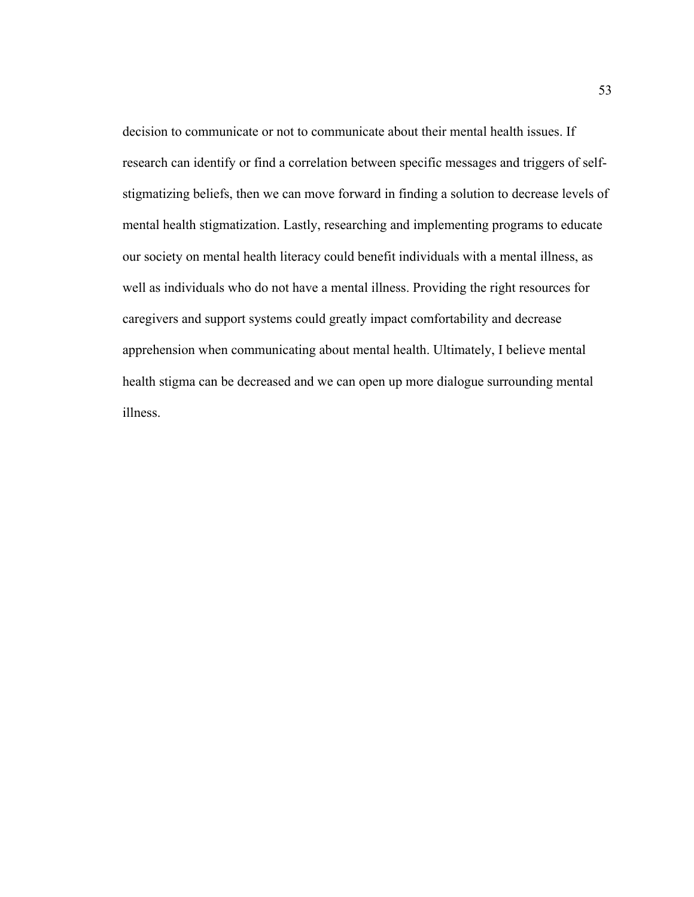decision to communicate or not to communicate about their mental health issues. If research can identify or find a correlation between specific messages and triggers of selfstigmatizing beliefs, then we can move forward in finding a solution to decrease levels of mental health stigmatization. Lastly, researching and implementing programs to educate our society on mental health literacy could benefit individuals with a mental illness, as well as individuals who do not have a mental illness. Providing the right resources for caregivers and support systems could greatly impact comfortability and decrease apprehension when communicating about mental health. Ultimately, I believe mental health stigma can be decreased and we can open up more dialogue surrounding mental illness.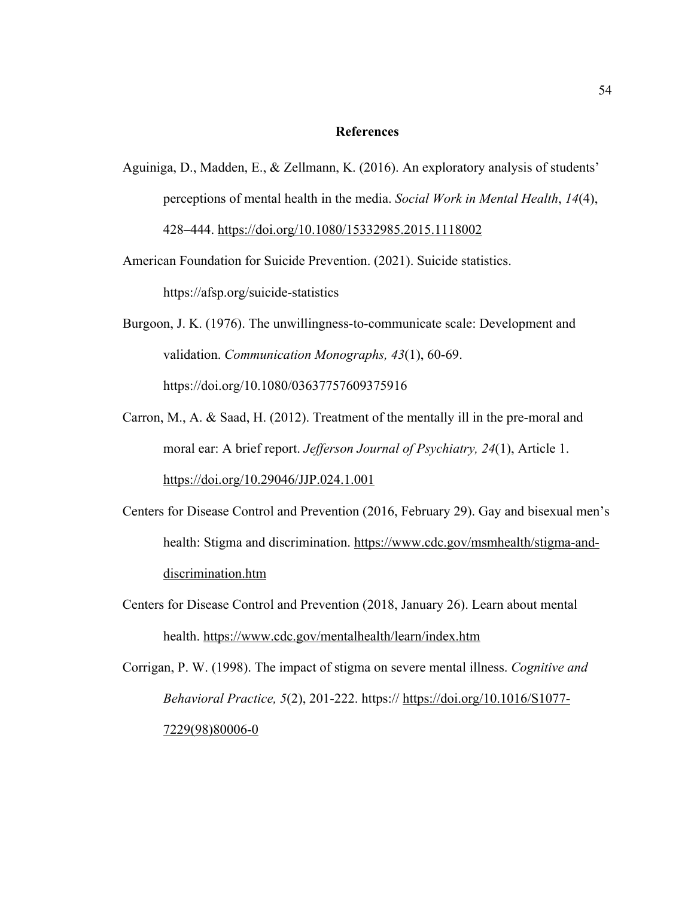#### **References**

Aguiniga, D., Madden, E., & Zellmann, K. (2016). An exploratory analysis of students' perceptions of mental health in the media. *Social Work in Mental Health*, *14*(4), 428–444. https://doi.org/10.1080/15332985.2015.1118002

American Foundation for Suicide Prevention. (2021). Suicide statistics. https://afsp.org/suicide-statistics

- Burgoon, J. K. (1976). The unwillingness-to-communicate scale: Development and validation. *Communication Monographs, 43*(1), 60-69. https://doi.org/10.1080/03637757609375916
- Carron, M., A. & Saad, H. (2012). Treatment of the mentally ill in the pre-moral and moral ear: A brief report. *Jefferson Journal of Psychiatry, 24*(1), Article 1. https://doi.org/10.29046/JJP.024.1.001
- Centers for Disease Control and Prevention (2016, February 29). Gay and bisexual men's health: Stigma and discrimination. https://www.cdc.gov/msmhealth/stigma-anddiscrimination.htm
- Centers for Disease Control and Prevention (2018, January 26). Learn about mental health. https://www.cdc.gov/mentalhealth/learn/index.htm

Corrigan, P. W. (1998). The impact of stigma on severe mental illness. *Cognitive and Behavioral Practice, 5*(2), 201-222. https:// https://doi.org/10.1016/S1077- 7229(98)80006-0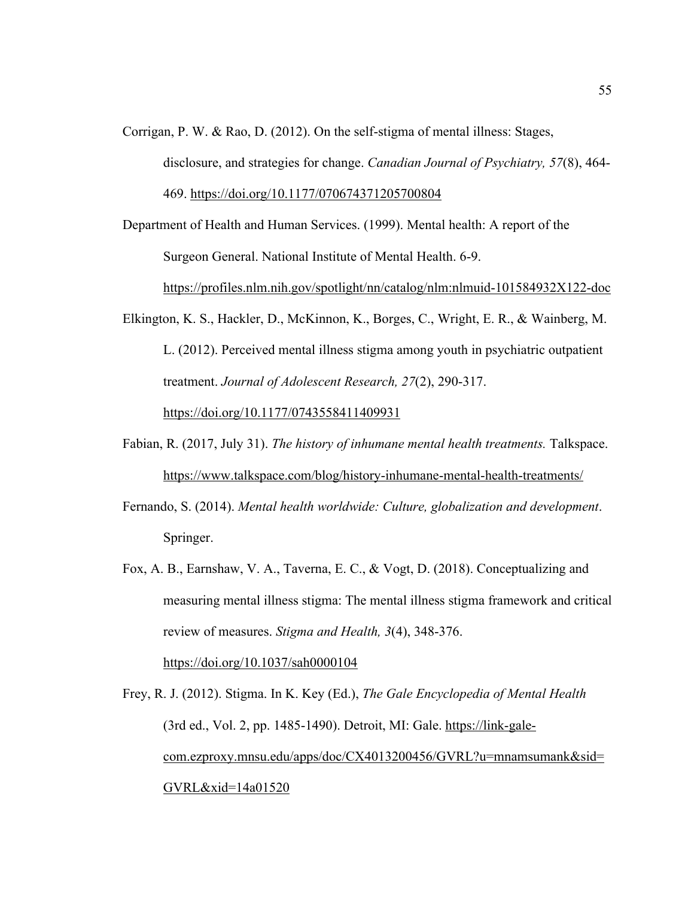Corrigan, P. W. & Rao, D. (2012). On the self-stigma of mental illness: Stages, disclosure, and strategies for change. *Canadian Journal of Psychiatry, 57*(8), 464- 469. https://doi.org/10.1177/070674371205700804

Department of Health and Human Services. (1999). Mental health: A report of the Surgeon General. National Institute of Mental Health. 6-9.

https://profiles.nlm.nih.gov/spotlight/nn/catalog/nlm:nlmuid-101584932X122-doc

- Elkington, K. S., Hackler, D., McKinnon, K., Borges, C., Wright, E. R., & Wainberg, M. L. (2012). Perceived mental illness stigma among youth in psychiatric outpatient treatment. *Journal of Adolescent Research, 27*(2), 290-317. https://doi.org/10.1177/0743558411409931
- Fabian, R. (2017, July 31). *The history of inhumane mental health treatments.* Talkspace. https://www.talkspace.com/blog/history-inhumane-mental-health-treatments/
- Fernando, S. (2014). *Mental health worldwide: Culture, globalization and development*. Springer.
- Fox, A. B., Earnshaw, V. A., Taverna, E. C., & Vogt, D. (2018). Conceptualizing and measuring mental illness stigma: The mental illness stigma framework and critical review of measures. *Stigma and Health, 3*(4), 348-376. https://doi.org/10.1037/sah0000104

Frey, R. J. (2012). Stigma. In K. Key (Ed.), *The Gale Encyclopedia of Mental Health* (3rd ed., Vol. 2, pp. 1485-1490). Detroit, MI: Gale. https://link-galecom.ezproxy.mnsu.edu/apps/doc/CX4013200456/GVRL?u=mnamsumank&sid= GVRL&xid=14a01520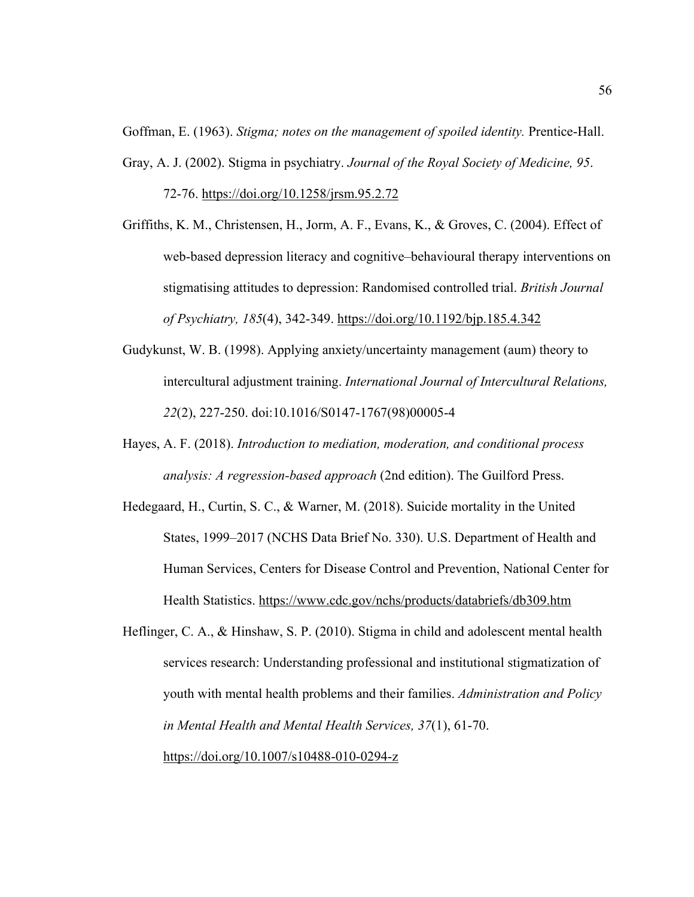Goffman, E. (1963). *Stigma; notes on the management of spoiled identity.* Prentice-Hall.

Gray, A. J. (2002). Stigma in psychiatry. *Journal of the Royal Society of Medicine, 95*.

72-76. https://doi.org/10.1258/jrsm.95.2.72

- Griffiths, K. M., Christensen, H., Jorm, A. F., Evans, K., & Groves, C. (2004). Effect of web-based depression literacy and cognitive–behavioural therapy interventions on stigmatising attitudes to depression: Randomised controlled trial. *British Journal of Psychiatry, 185*(4), 342-349. https://doi.org/10.1192/bjp.185.4.342
- Gudykunst, W. B. (1998). Applying anxiety/uncertainty management (aum) theory to intercultural adjustment training. *International Journal of Intercultural Relations, 22*(2), 227-250. doi:10.1016/S0147-1767(98)00005-4
- Hayes, A. F. (2018). *Introduction to mediation, moderation, and conditional process analysis: A regression-based approach* (2nd edition). The Guilford Press.
- Hedegaard, H., Curtin, S. C., & Warner, M. (2018). Suicide mortality in the United States, 1999–2017 (NCHS Data Brief No. 330). U.S. Department of Health and Human Services, Centers for Disease Control and Prevention, National Center for Health Statistics. https://www.cdc.gov/nchs/products/databriefs/db309.htm
- Heflinger, C. A., & Hinshaw, S. P. (2010). Stigma in child and adolescent mental health services research: Understanding professional and institutional stigmatization of youth with mental health problems and their families. *Administration and Policy in Mental Health and Mental Health Services, 37*(1), 61-70. https://doi.org/10.1007/s10488-010-0294-z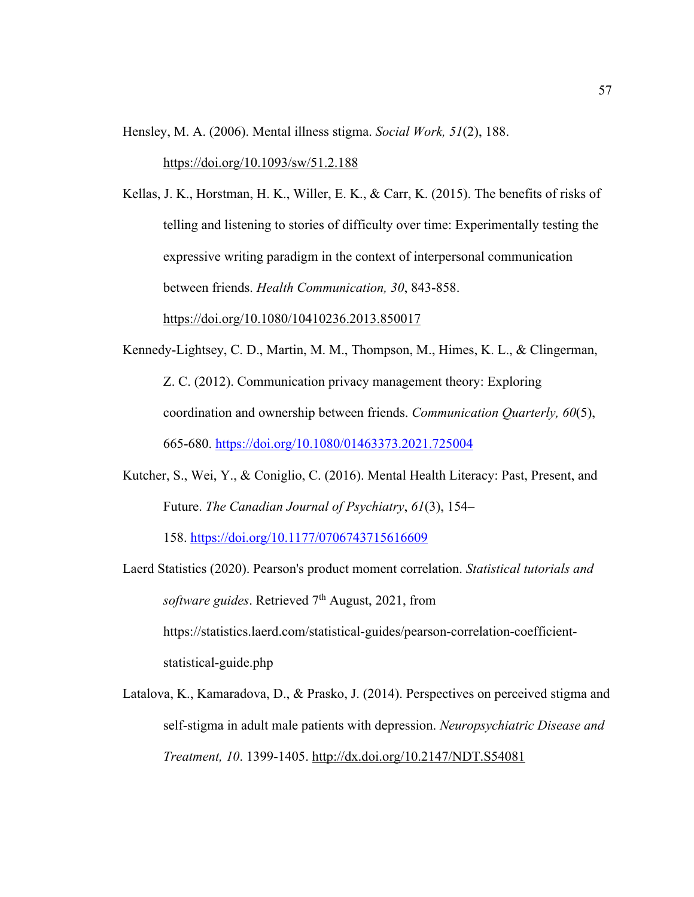Hensley, M. A. (2006). Mental illness stigma. *Social Work, 51*(2), 188.

https://doi.org/10.1093/sw/51.2.188

Kellas, J. K., Horstman, H. K., Willer, E. K., & Carr, K. (2015). The benefits of risks of telling and listening to stories of difficulty over time: Experimentally testing the expressive writing paradigm in the context of interpersonal communication between friends. *Health Communication, 30*, 843-858.

https://doi.org/10.1080/10410236.2013.850017

- Kennedy-Lightsey, C. D., Martin, M. M., Thompson, M., Himes, K. L., & Clingerman, Z. C. (2012). Communication privacy management theory: Exploring coordination and ownership between friends. *Communication Quarterly, 60*(5), 665-680. https://doi.org/10.1080/01463373.2021.725004
- Kutcher, S., Wei, Y., & Coniglio, C. (2016). Mental Health Literacy: Past, Present, and Future. *The Canadian Journal of Psychiatry*, *61*(3), 154–

158. https://doi.org/10.1177/0706743715616609

- Laerd Statistics (2020). Pearson's product moment correlation. *Statistical tutorials and software guides.* Retrieved 7<sup>th</sup> August, 2021, from https://statistics.laerd.com/statistical-guides/pearson-correlation-coefficientstatistical-guide.php
- Latalova, K., Kamaradova, D., & Prasko, J. (2014). Perspectives on perceived stigma and self-stigma in adult male patients with depression. *Neuropsychiatric Disease and Treatment, 10*. 1399-1405. http://dx.doi.org/10.2147/NDT.S54081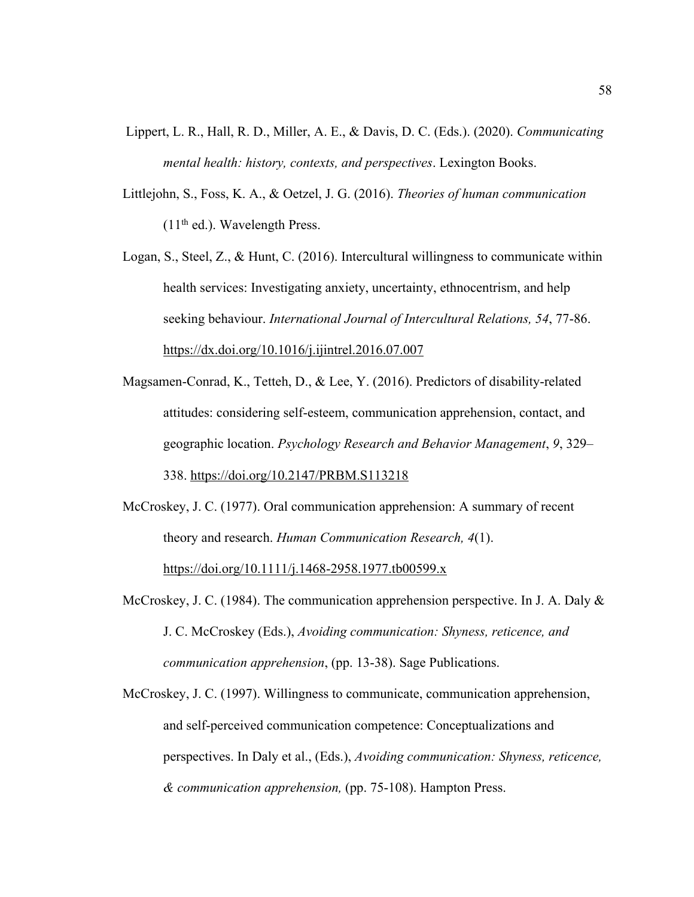- Lippert, L. R., Hall, R. D., Miller, A. E., & Davis, D. C. (Eds.). (2020). *Communicating mental health: history, contexts, and perspectives*. Lexington Books.
- Littlejohn, S., Foss, K. A., & Oetzel, J. G. (2016). *Theories of human communication*  $(11<sup>th</sup>$  ed.). Wavelength Press.
- Logan, S., Steel, Z., & Hunt, C. (2016). Intercultural willingness to communicate within health services: Investigating anxiety, uncertainty, ethnocentrism, and help seeking behaviour. *International Journal of Intercultural Relations, 54*, 77-86. https://dx.doi.org/10.1016/j.ijintrel.2016.07.007
- Magsamen-Conrad, K., Tetteh, D., & Lee, Y. (2016). Predictors of disability-related attitudes: considering self-esteem, communication apprehension, contact, and geographic location. *Psychology Research and Behavior Management*, *9*, 329– 338. https://doi.org/10.2147/PRBM.S113218
- McCroskey, J. C. (1977). Oral communication apprehension: A summary of recent theory and research. *Human Communication Research, 4*(1). https://doi.org/10.1111/j.1468-2958.1977.tb00599.x
- McCroskey, J. C. (1984). The communication apprehension perspective. In J. A. Daly  $\&$ J. C. McCroskey (Eds.), *Avoiding communication: Shyness, reticence, and communication apprehension*, (pp. 13-38). Sage Publications.
- McCroskey, J. C. (1997). Willingness to communicate, communication apprehension, and self-perceived communication competence: Conceptualizations and perspectives. In Daly et al., (Eds.), *Avoiding communication: Shyness, reticence, & communication apprehension,* (pp. 75-108). Hampton Press.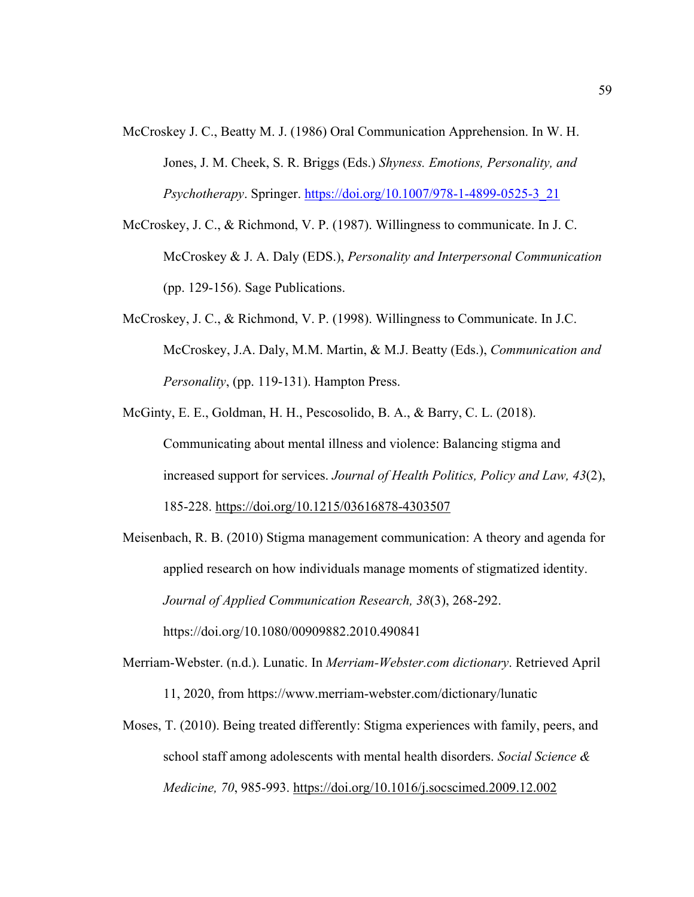- McCroskey J. C., Beatty M. J. (1986) Oral Communication Apprehension. In W. H. Jones, J. M. Cheek, S. R. Briggs (Eds.) *Shyness. Emotions, Personality, and Psychotherapy*. Springer. https://doi.org/10.1007/978-1-4899-0525-3\_21
- McCroskey, J. C., & Richmond, V. P. (1987). Willingness to communicate. In J. C. McCroskey & J. A. Daly (EDS.), *Personality and Interpersonal Communication*  (pp. 129-156). Sage Publications.
- McCroskey, J. C., & Richmond, V. P. (1998). Willingness to Communicate. In J.C. McCroskey, J.A. Daly, M.M. Martin, & M.J. Beatty (Eds.), *Communication and Personality*, (pp. 119-131). Hampton Press.
- McGinty, E. E., Goldman, H. H., Pescosolido, B. A., & Barry, C. L. (2018). Communicating about mental illness and violence: Balancing stigma and increased support for services. *Journal of Health Politics, Policy and Law, 43*(2), 185-228. https://doi.org/10.1215/03616878-4303507
- Meisenbach, R. B. (2010) Stigma management communication: A theory and agenda for applied research on how individuals manage moments of stigmatized identity. *Journal of Applied Communication Research, 38*(3), 268-292. https://doi.org/10.1080/00909882.2010.490841
- Merriam-Webster. (n.d.). Lunatic. In *Merriam-Webster.com dictionary*. Retrieved April 11, 2020, from https://www.merriam-webster.com/dictionary/lunatic
- Moses, T. (2010). Being treated differently: Stigma experiences with family, peers, and school staff among adolescents with mental health disorders. *Social Science & Medicine, 70*, 985-993. https://doi.org/10.1016/j.socscimed.2009.12.002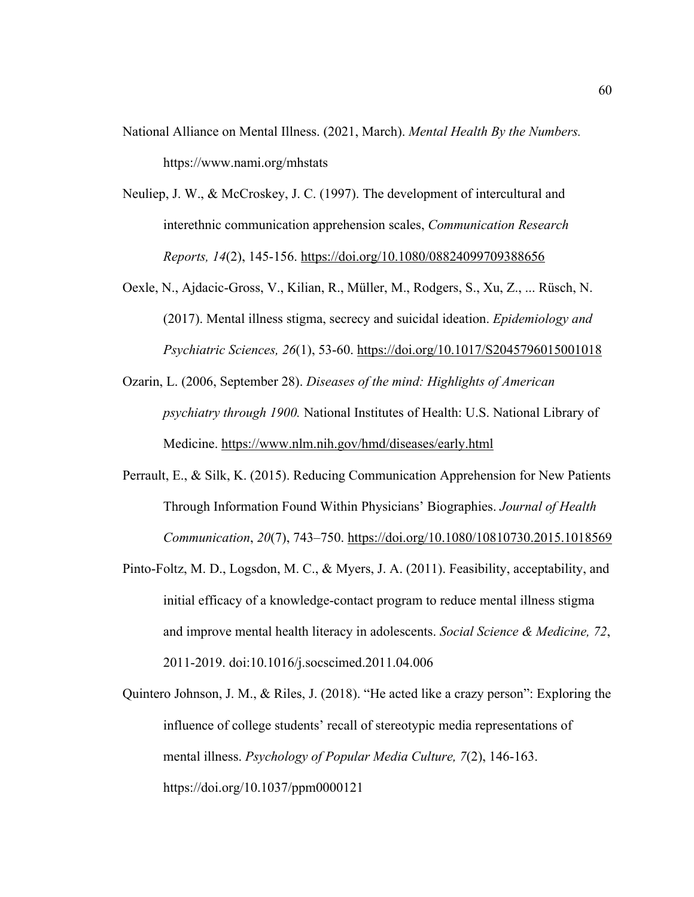- National Alliance on Mental Illness. (2021, March). *Mental Health By the Numbers.*  https://www.nami.org/mhstats
- Neuliep, J. W., & McCroskey, J. C. (1997). The development of intercultural and interethnic communication apprehension scales, *Communication Research Reports, 14*(2), 145-156. https://doi.org/10.1080/08824099709388656
- Oexle, N., Ajdacic-Gross, V., Kilian, R., Müller, M., Rodgers, S., Xu, Z., ... Rüsch, N. (2017). Mental illness stigma, secrecy and suicidal ideation. *Epidemiology and Psychiatric Sciences, 26*(1), 53-60. https://doi.org/10.1017/S2045796015001018
- Ozarin, L. (2006, September 28). *Diseases of the mind: Highlights of American psychiatry through 1900.* National Institutes of Health: U.S. National Library of Medicine. https://www.nlm.nih.gov/hmd/diseases/early.html
- Perrault, E., & Silk, K. (2015). Reducing Communication Apprehension for New Patients Through Information Found Within Physicians' Biographies. *Journal of Health Communication*, *20*(7), 743–750. https://doi.org/10.1080/10810730.2015.1018569
- Pinto-Foltz, M. D., Logsdon, M. C., & Myers, J. A. (2011). Feasibility, acceptability, and initial efficacy of a knowledge-contact program to reduce mental illness stigma and improve mental health literacy in adolescents. *Social Science & Medicine, 72*, 2011-2019. doi:10.1016/j.socscimed.2011.04.006
- Quintero Johnson, J. M., & Riles, J. (2018). "He acted like a crazy person": Exploring the influence of college students' recall of stereotypic media representations of mental illness. *Psychology of Popular Media Culture, 7*(2), 146-163. https://doi.org/10.1037/ppm0000121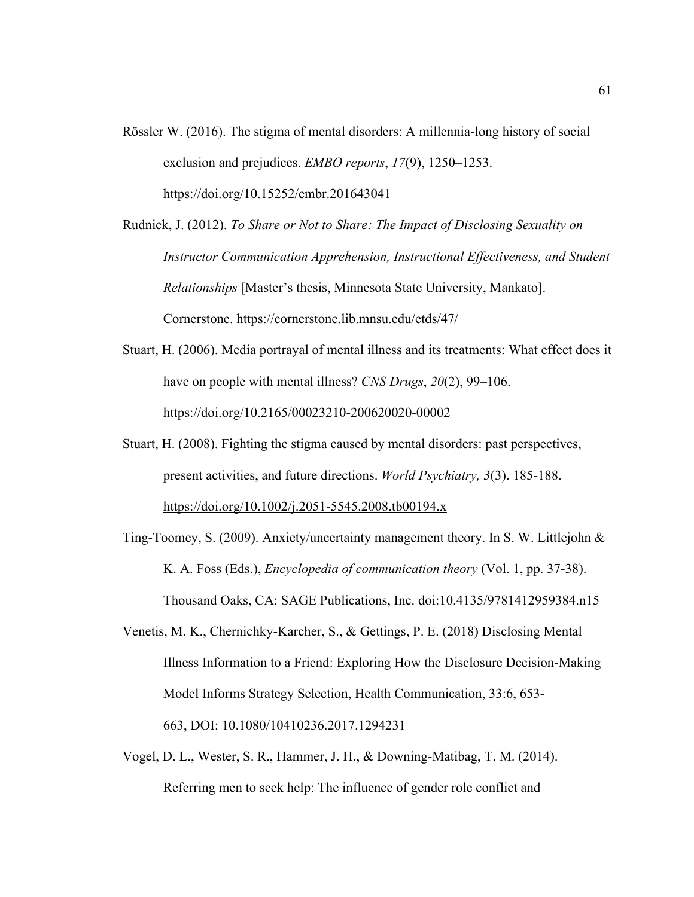- Rössler W. (2016). The stigma of mental disorders: A millennia-long history of social exclusion and prejudices. *EMBO reports*, *17*(9), 1250–1253. https://doi.org/10.15252/embr.201643041
- Rudnick, J. (2012). *To Share or Not to Share: The Impact of Disclosing Sexuality on Instructor Communication Apprehension, Instructional Effectiveness, and Student Relationships* [Master's thesis, Minnesota State University, Mankato]. Cornerstone. https://cornerstone.lib.mnsu.edu/etds/47/
- Stuart, H. (2006). Media portrayal of mental illness and its treatments: What effect does it have on people with mental illness? *CNS Drugs*, *20*(2), 99–106. https://doi.org/10.2165/00023210-200620020-00002
- Stuart, H. (2008). Fighting the stigma caused by mental disorders: past perspectives, present activities, and future directions. *World Psychiatry, 3*(3). 185-188. https://doi.org/10.1002/j.2051-5545.2008.tb00194.x
- Ting-Toomey, S. (2009). Anxiety/uncertainty management theory. In S. W. Littlejohn & K. A. Foss (Eds.), *Encyclopedia of communication theory* (Vol. 1, pp. 37-38). Thousand Oaks, CA: SAGE Publications, Inc. doi:10.4135/9781412959384.n15
- Venetis, M. K., Chernichky-Karcher, S., & Gettings, P. E. (2018) Disclosing Mental Illness Information to a Friend: Exploring How the Disclosure Decision-Making Model Informs Strategy Selection, Health Communication, 33:6, 653- 663, DOI: 10.1080/10410236.2017.1294231
- Vogel, D. L., Wester, S. R., Hammer, J. H., & Downing-Matibag, T. M. (2014). Referring men to seek help: The influence of gender role conflict and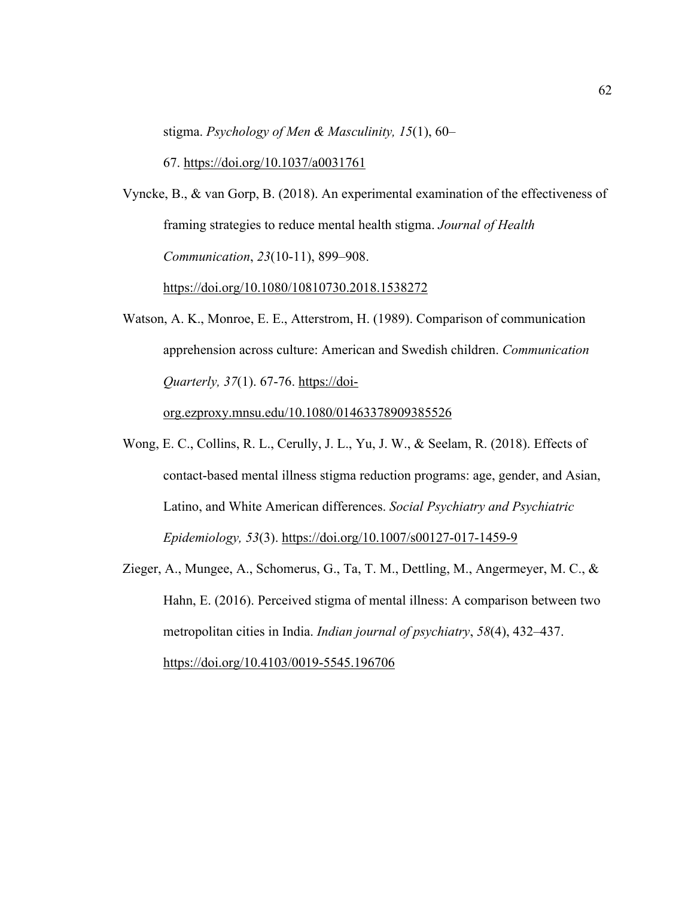stigma. *Psychology of Men & Masculinity, 15*(1), 60–

67. https://doi.org/10.1037/a0031761

Vyncke, B., & van Gorp, B. (2018). An experimental examination of the effectiveness of framing strategies to reduce mental health stigma. *Journal of Health Communication*, *23*(10-11), 899–908.

https://doi.org/10.1080/10810730.2018.1538272

Watson, A. K., Monroe, E. E., Atterstrom, H. (1989). Comparison of communication apprehension across culture: American and Swedish children. *Communication Quarterly, 37(1). 67-76.* https://doi-

org.ezproxy.mnsu.edu/10.1080/01463378909385526

- Wong, E. C., Collins, R. L., Cerully, J. L., Yu, J. W., & Seelam, R. (2018). Effects of contact-based mental illness stigma reduction programs: age, gender, and Asian, Latino, and White American differences. *Social Psychiatry and Psychiatric Epidemiology, 53*(3). https://doi.org/10.1007/s00127-017-1459-9
- Zieger, A., Mungee, A., Schomerus, G., Ta, T. M., Dettling, M., Angermeyer, M. C., & Hahn, E. (2016). Perceived stigma of mental illness: A comparison between two metropolitan cities in India. *Indian journal of psychiatry*, *58*(4), 432–437. https://doi.org/10.4103/0019-5545.196706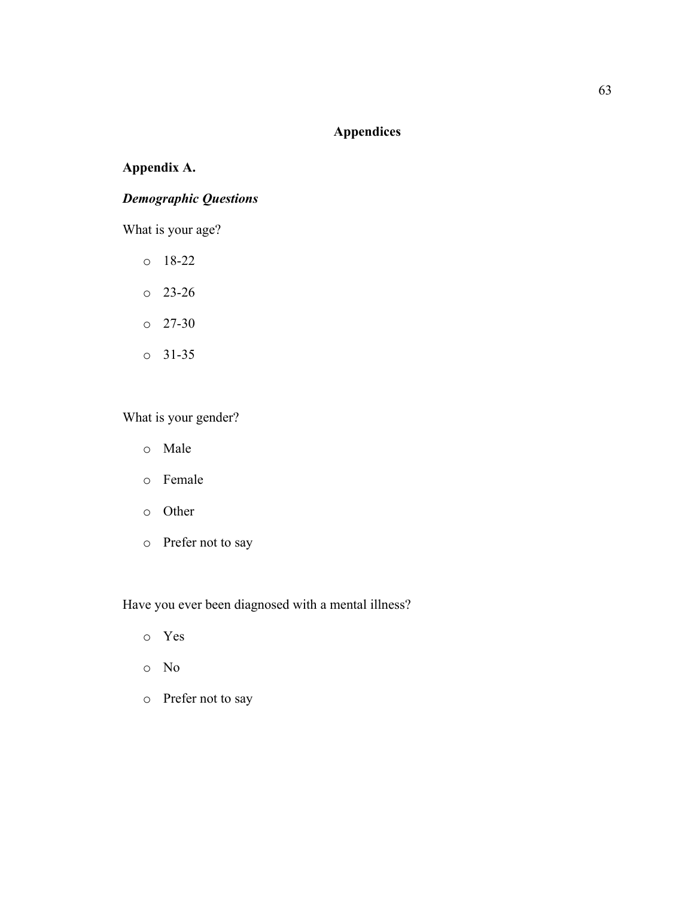# **Appendices**

# **Appendix A.**

# *Demographic Questions*

What is your age?

- o 18-22
- o 23-26
- o 27-30
- o 31-35

What is your gender?

- o Male
- o Female
- o Other
- o Prefer not to say

Have you ever been diagnosed with a mental illness?

- o Yes
- o No
- o Prefer not to say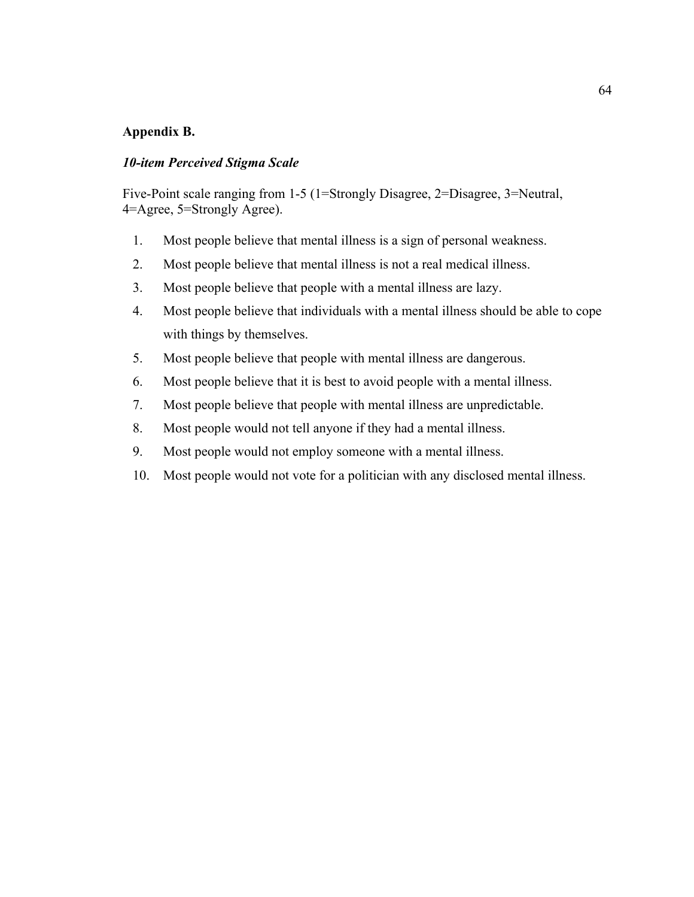# **Appendix B.**

# *10-item Perceived Stigma Scale*

Five-Point scale ranging from 1-5 (1=Strongly Disagree, 2=Disagree, 3=Neutral, 4=Agree, 5=Strongly Agree).

- 1. Most people believe that mental illness is a sign of personal weakness.
- 2. Most people believe that mental illness is not a real medical illness.
- 3. Most people believe that people with a mental illness are lazy.
- 4. Most people believe that individuals with a mental illness should be able to cope with things by themselves.
- 5. Most people believe that people with mental illness are dangerous.
- 6. Most people believe that it is best to avoid people with a mental illness.
- 7. Most people believe that people with mental illness are unpredictable.
- 8. Most people would not tell anyone if they had a mental illness.
- 9. Most people would not employ someone with a mental illness.
- 10. Most people would not vote for a politician with any disclosed mental illness.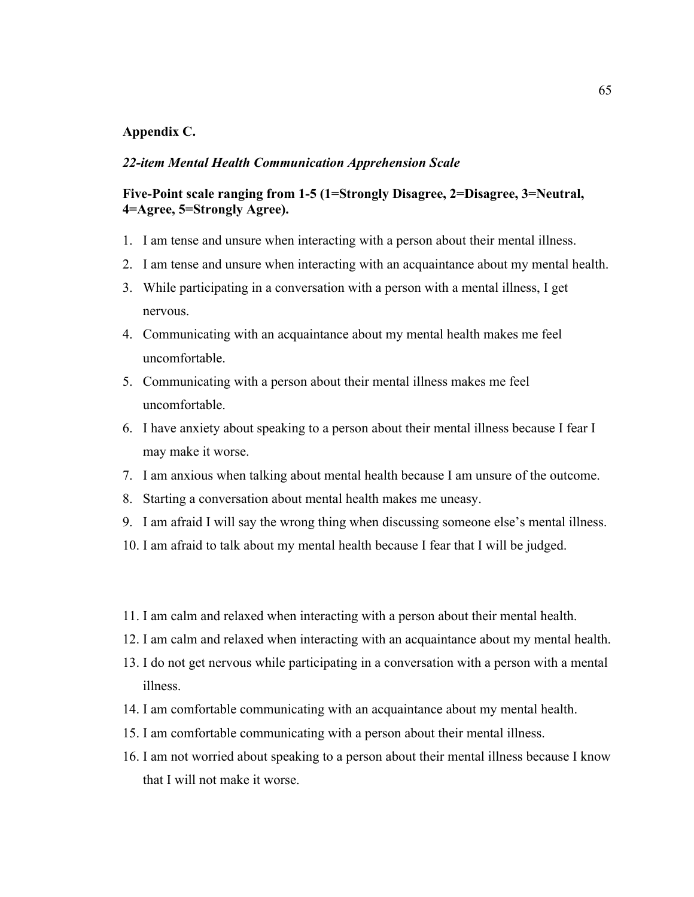# **Appendix C.**

## *22-item Mental Health Communication Apprehension Scale*

# **Five-Point scale ranging from 1-5 (1=Strongly Disagree, 2=Disagree, 3=Neutral, 4=Agree, 5=Strongly Agree).**

- 1. I am tense and unsure when interacting with a person about their mental illness.
- 2. I am tense and unsure when interacting with an acquaintance about my mental health.
- 3. While participating in a conversation with a person with a mental illness, I get nervous.
- 4. Communicating with an acquaintance about my mental health makes me feel uncomfortable.
- 5. Communicating with a person about their mental illness makes me feel uncomfortable.
- 6. I have anxiety about speaking to a person about their mental illness because I fear I may make it worse.
- 7. I am anxious when talking about mental health because I am unsure of the outcome.
- 8. Starting a conversation about mental health makes me uneasy.
- 9. I am afraid I will say the wrong thing when discussing someone else's mental illness.
- 10. I am afraid to talk about my mental health because I fear that I will be judged.
- 11. I am calm and relaxed when interacting with a person about their mental health.
- 12. I am calm and relaxed when interacting with an acquaintance about my mental health.
- 13. I do not get nervous while participating in a conversation with a person with a mental illness.
- 14. I am comfortable communicating with an acquaintance about my mental health.
- 15. I am comfortable communicating with a person about their mental illness.
- 16. I am not worried about speaking to a person about their mental illness because I know that I will not make it worse.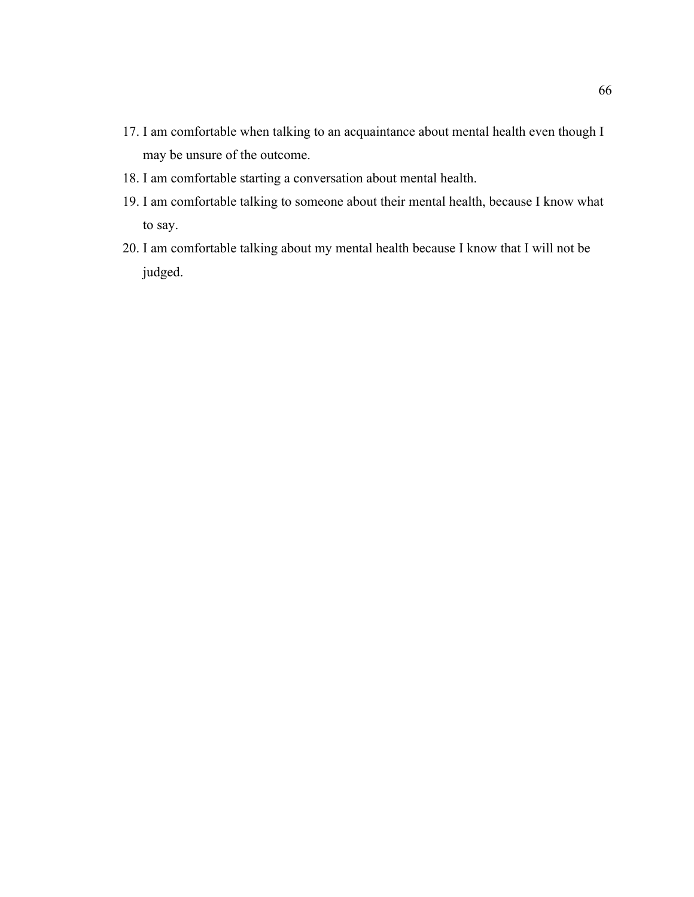- 17. I am comfortable when talking to an acquaintance about mental health even though I may be unsure of the outcome.
- 18. I am comfortable starting a conversation about mental health.
- 19. I am comfortable talking to someone about their mental health, because I know what to say.
- 20. I am comfortable talking about my mental health because I know that I will not be judged.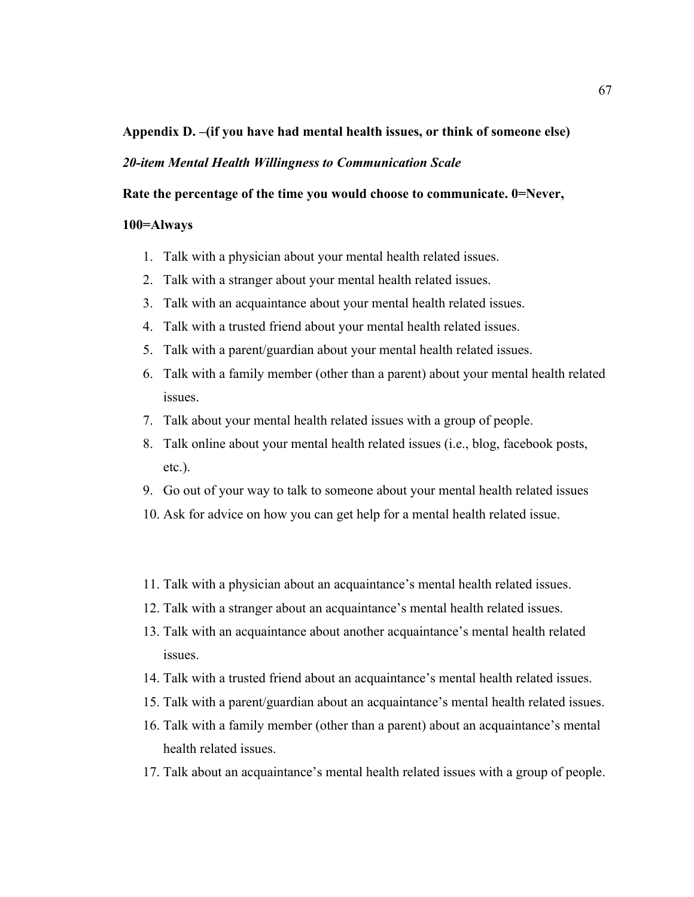# **Appendix D. –(if you have had mental health issues, or think of someone else)**

# *20-item Mental Health Willingness to Communication Scale*

**Rate the percentage of the time you would choose to communicate. 0=Never,** 

## **100=Always**

- 1. Talk with a physician about your mental health related issues.
- 2. Talk with a stranger about your mental health related issues.
- 3. Talk with an acquaintance about your mental health related issues.
- 4. Talk with a trusted friend about your mental health related issues.
- 5. Talk with a parent/guardian about your mental health related issues.
- 6. Talk with a family member (other than a parent) about your mental health related issues.
- 7. Talk about your mental health related issues with a group of people.
- 8. Talk online about your mental health related issues (i.e., blog, facebook posts, etc.).
- 9. Go out of your way to talk to someone about your mental health related issues
- 10. Ask for advice on how you can get help for a mental health related issue.
- 11. Talk with a physician about an acquaintance's mental health related issues.
- 12. Talk with a stranger about an acquaintance's mental health related issues.
- 13. Talk with an acquaintance about another acquaintance's mental health related issues.
- 14. Talk with a trusted friend about an acquaintance's mental health related issues.
- 15. Talk with a parent/guardian about an acquaintance's mental health related issues.
- 16. Talk with a family member (other than a parent) about an acquaintance's mental health related issues.
- 17. Talk about an acquaintance's mental health related issues with a group of people.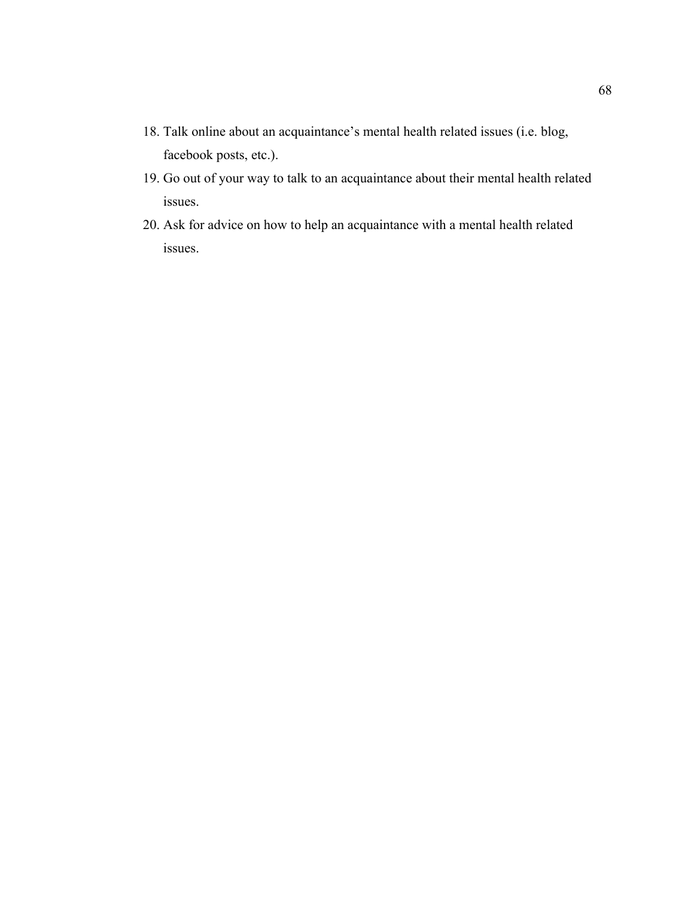- 18. Talk online about an acquaintance's mental health related issues (i.e. blog, facebook posts, etc.).
- 19. Go out of your way to talk to an acquaintance about their mental health related issues.
- 20. Ask for advice on how to help an acquaintance with a mental health related issues.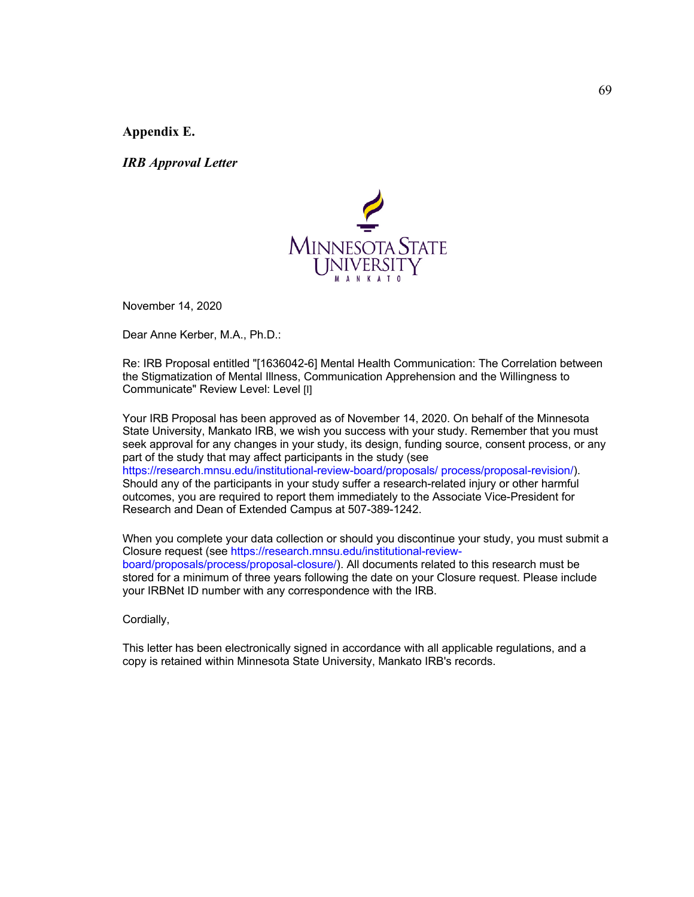**Appendix E.** 

*IRB Approval Letter*



November 14, 2020

Dear Anne Kerber, M.A., Ph.D.:

Re: IRB Proposal entitled "[1636042-6] Mental Health Communication: The Correlation between the Stigmatization of Mental Illness, Communication Apprehension and the Willingness to Communicate" Review Level: Level [I]

Your IRB Proposal has been approved as of November 14, 2020. On behalf of the Minnesota State University, Mankato IRB, we wish you success with your study. Remember that you must seek approval for any changes in your study, its design, funding source, consent process, or any part of the study that may affect participants in the study (see https://research.mnsu.edu/institutional-review-board/proposals/ process/proposal-revision/). Should any of the participants in your study suffer a research-related injury or other harmful outcomes, you are required to report them immediately to the Associate Vice-President for Research and Dean of Extended Campus at 507-389-1242.

When you complete your data collection or should you discontinue your study, you must submit a Closure request (see https://research.mnsu.edu/institutional-reviewboard/proposals/process/proposal-closure/). All documents related to this research must be stored for a minimum of three years following the date on your Closure request. Please include your IRBNet ID number with any correspondence with the IRB.

Cordially,

This letter has been electronically signed in accordance with all applicable regulations, and a copy is retained within Minnesota State University, Mankato IRB's records.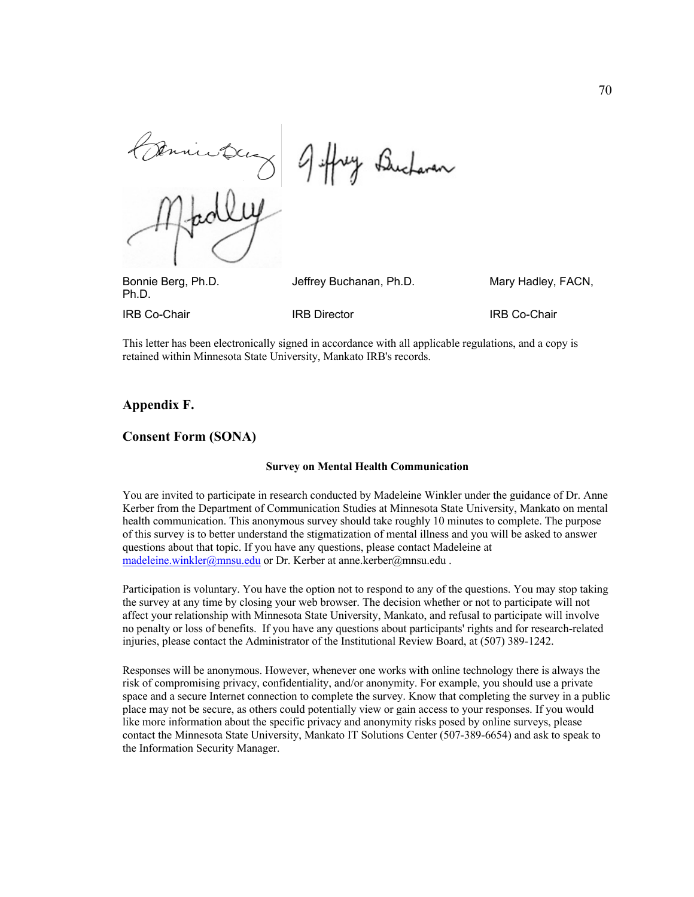y Bucharan

Bonnie Berg, Ph.D. Jeffrey Buchanan, Ph.D. Mary Hadley, FACN, Ph.D.

**IRB Co-Chair IRB Director IRB OF THE CO-Chair** 

This letter has been electronically signed in accordance with all applicable regulations, and a copy is retained within Minnesota State University, Mankato IRB's records.

## **Appendix F.**

#### **Consent Form (SONA)**

#### **Survey on Mental Health Communication**

You are invited to participate in research conducted by Madeleine Winkler under the guidance of Dr. Anne Kerber from the Department of Communication Studies at Minnesota State University, Mankato on mental health communication. This anonymous survey should take roughly 10 minutes to complete. The purpose of this survey is to better understand the stigmatization of mental illness and you will be asked to answer questions about that topic. If you have any questions, please contact Madeleine at madeleine.winkler@mnsu.edu or Dr. Kerber at anne.kerber@mnsu.edu.

Participation is voluntary. You have the option not to respond to any of the questions. You may stop taking the survey at any time by closing your web browser. The decision whether or not to participate will not affect your relationship with Minnesota State University, Mankato, and refusal to participate will involve no penalty or loss of benefits. If you have any questions about participants' rights and for research-related injuries, please contact the Administrator of the Institutional Review Board, at (507) 389-1242.

Responses will be anonymous. However, whenever one works with online technology there is always the risk of compromising privacy, confidentiality, and/or anonymity. For example, you should use a private space and a secure Internet connection to complete the survey. Know that completing the survey in a public place may not be secure, as others could potentially view or gain access to your responses. If you would like more information about the specific privacy and anonymity risks posed by online surveys, please contact the Minnesota State University, Mankato IT Solutions Center (507-389-6654) and ask to speak to the Information Security Manager.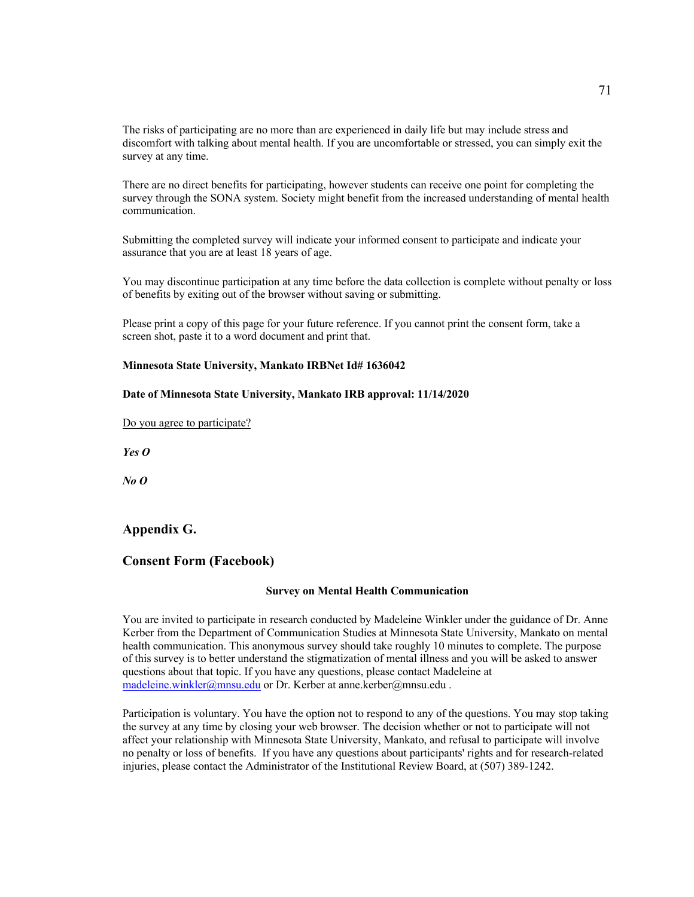The risks of participating are no more than are experienced in daily life but may include stress and discomfort with talking about mental health. If you are uncomfortable or stressed, you can simply exit the survey at any time.

There are no direct benefits for participating, however students can receive one point for completing the survey through the SONA system. Society might benefit from the increased understanding of mental health communication.

Submitting the completed survey will indicate your informed consent to participate and indicate your assurance that you are at least 18 years of age.

You may discontinue participation at any time before the data collection is complete without penalty or loss of benefits by exiting out of the browser without saving or submitting.

Please print a copy of this page for your future reference. If you cannot print the consent form, take a screen shot, paste it to a word document and print that.

#### **Minnesota State University, Mankato IRBNet Id# 1636042**

#### **Date of Minnesota State University, Mankato IRB approval: 11/14/2020**

Do you agree to participate?

*Yes O*

*No O*

## **Appendix G.**

## **Consent Form (Facebook)**

#### **Survey on Mental Health Communication**

You are invited to participate in research conducted by Madeleine Winkler under the guidance of Dr. Anne Kerber from the Department of Communication Studies at Minnesota State University, Mankato on mental health communication. This anonymous survey should take roughly 10 minutes to complete. The purpose of this survey is to better understand the stigmatization of mental illness and you will be asked to answer questions about that topic. If you have any questions, please contact Madeleine at madeleine.winkler@mnsu.edu or Dr. Kerber at anne.kerber@mnsu.edu .

Participation is voluntary. You have the option not to respond to any of the questions. You may stop taking the survey at any time by closing your web browser. The decision whether or not to participate will not affect your relationship with Minnesota State University, Mankato, and refusal to participate will involve no penalty or loss of benefits. If you have any questions about participants' rights and for research-related injuries, please contact the Administrator of the Institutional Review Board, at (507) 389-1242.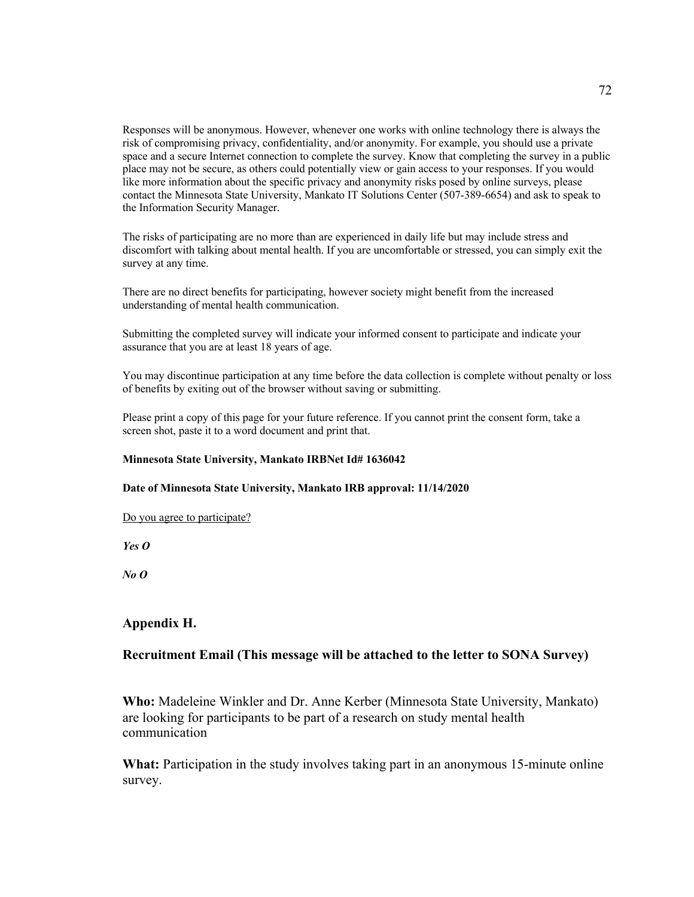Responses will be anonymous. However, whenever one works with online technology there is always the risk of compromising privacy, confidentiality, and/or anonymity. For example, you should use a private space and a secure Internet connection to complete the survey. Know that completing the survey in a public place may not be secure, as others could potentially view or gain access to your responses. If you would like more information about the specific privacy and anonymity risks posed by online surveys, please contact the Minnesota State University, Mankato IT Solutions Center (507-389-6654) and ask to speak to the Information Security Manager.

The risks of participating are no more than are experienced in daily life but may include stress and discomfort with talking about mental health. If you are uncomfortable or stressed, you can simply exit the survey at any time.

There are no direct benefits for participating, however society might benefit from the increased understanding of mental health communication.

Submitting the completed survey will indicate your informed consent to participate and indicate your assurance that you are at least 18 years of age.

You may discontinue participation at any time before the data collection is complete without penalty or loss of benefits by exiting out of the browser without saving or submitting.

Please print a copy of this page for your future reference. If you cannot print the consent form, take a screen shot, paste it to a word document and print that.

#### **Minnesota State University, Mankato IRBNet Id# 1636042**

#### **Date of Minnesota State University, Mankato IRB approval: 11/14/2020**

Do you agree to participate?

*Yes O*

*No O*

## **Appendix H.**

## **Recruitment Email (This message will be attached to the letter to SONA Survey)**

**Who:** Madeleine Winkler and Dr. Anne Kerber (Minnesota State University, Mankato) are looking for participants to be part of a research on study mental health communication

**What:** Participation in the study involves taking part in an anonymous 15-minute online survey.